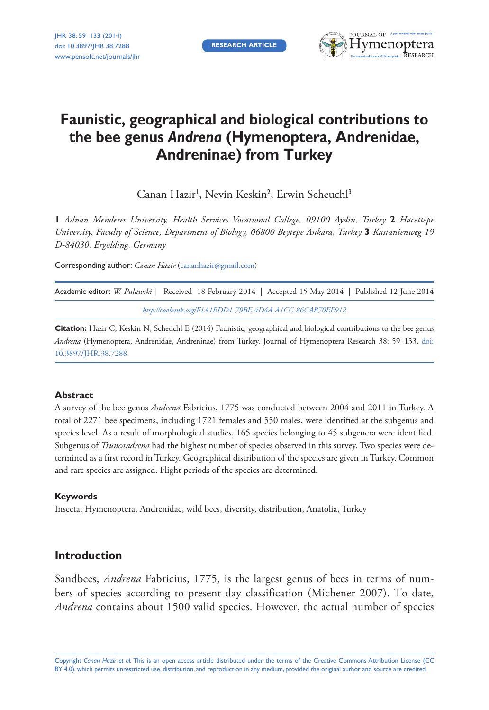**RESEARCH ARTICLE**



# **Faunistic, geographical and biological contributions to the bee genus** *Andrena* **(Hymenoptera, Andrenidae, Andreninae) from Turkey**

Canan Hazir<sup>1</sup>, Nevin Keskin<sup>2</sup>, Erwin Scheuchl<sup>3</sup>

**1** *Adnan Menderes University, Health Services Vocational College, 09100 Aydin, Turkey* **2** *Hacettepe University, Faculty of Science, Department of Biology, 06800 Beytepe Ankara, Turkey* **3** *Kastanienweg 19 D-84030, Ergolding, Germany*

Corresponding author: *Canan Hazir* [\(cananhazir@gmail.com\)](mailto:cananhazir@gmail.com)

|                                                         | Academic editor: W. Pulawski   Received 18 February 2014   Accepted 15 May 2014   Published 12 June 2014 |  |  |  |  |
|---------------------------------------------------------|----------------------------------------------------------------------------------------------------------|--|--|--|--|
| http://zoobank.org/F1A1EDD1-79BE-4D4A-A1CC-86CAB70EE912 |                                                                                                          |  |  |  |  |

**Citation:** Hazir C, Keskin N, Scheuchl E (2014) Faunistic, geographical and biological contributions to the bee genus *Andrena* [\(Hymenoptera, Andrenidae, Andreninae\) from Turkey. Journal of Hymenoptera Research 38: 59–133. doi:](http://dx.doi.org/10.3897/JHR.38.7288) 10.3897/JHR.38.7288

## **Abstract**

A survey of the bee genus *Andrena* Fabricius, 1775 was conducted between 2004 and 2011 in Turkey. A total of 2271 bee specimens, including 1721 females and 550 males, were identified at the subgenus and species level. As a result of morphological studies, 165 species belonging to 45 subgenera were identified. Subgenus of *Truncandrena* had the highest number of species observed in this survey. Two species were determined as a first record in Turkey. Geographical distribution of the species are given in Turkey. Common and rare species are assigned. Flight periods of the species are determined.

## **Keywords**

Insecta, Hymenoptera, Andrenidae, wild bees, diversity, distribution, Anatolia, Turkey

# **Introduction**

Sandbees, *Andrena* Fabricius, 1775, is the largest genus of bees in terms of numbers of species according to present day classification (Michener 2007). To date, *Andrena* contains about 1500 valid species. However, the actual number of species

Copyright *Canan Hazir et al.* This is an open access article distributed under the terms of the [Creative Commons Attribution License \(CC](http://creativecommons.org/licenses/by/4.0/)  [BY 4.0\)](http://creativecommons.org/licenses/by/4.0/), which permits unrestricted use, distribution, and reproduction in any medium, provided the original author and source are credited.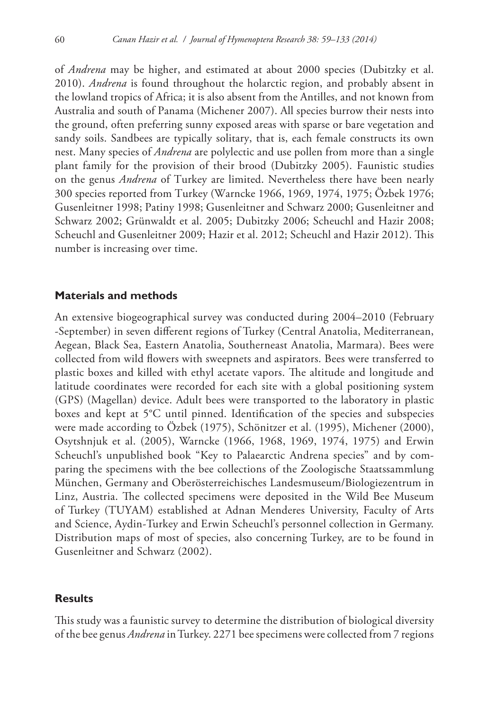of *Andrena* may be higher, and estimated at about 2000 species (Dubitzky et al. 2010). *Andrena* is found throughout the holarctic region, and probably absent in the lowland tropics of Africa; it is also absent from the Antilles, and not known from Australia and south of Panama (Michener 2007). All species burrow their nests into the ground, often preferring sunny exposed areas with sparse or bare vegetation and sandy soils. Sandbees are typically solitary, that is, each female constructs its own nest. Many species of *Andrena* are polylectic and use pollen from more than a single plant family for the provision of their brood (Dubitzky 2005). Faunistic studies on the genus *Andrena* of Turkey are limited. Nevertheless there have been nearly 300 species reported from Turkey (Warncke 1966, 1969, 1974, 1975; Özbek 1976; Gusenleitner 1998; Patiny 1998; Gusenleitner and Schwarz 2000; Gusenleitner and Schwarz 2002; Grünwaldt et al. 2005; Dubitzky 2006; Scheuchl and Hazir 2008; Scheuchl and Gusenleitner 2009; Hazir et al. 2012; Scheuchl and Hazir 2012). This number is increasing over time.

## **Materials and methods**

An extensive biogeographical survey was conducted during 2004–2010 (February -September) in seven different regions of Turkey (Central Anatolia, Mediterranean, Aegean, Black Sea, Eastern Anatolia, Southerneast Anatolia, Marmara). Bees were collected from wild flowers with sweepnets and aspirators. Bees were transferred to plastic boxes and killed with ethyl acetate vapors. The altitude and longitude and latitude coordinates were recorded for each site with a global positioning system (GPS) (Magellan) device. Adult bees were transported to the laboratory in plastic boxes and kept at 5°C until pinned. Identification of the species and subspecies were made according to Özbek (1975), Schönitzer et al. (1995), Michener (2000), Osytshnjuk et al. (2005), Warncke (1966, 1968, 1969, 1974, 1975) and Erwin Scheuchl's unpublished book "Key to Palaearctic Andrena species" and by comparing the specimens with the bee collections of the Zoologische Staatssammlung München, Germany and Oberösterreichisches Landesmuseum/Biologiezentrum in Linz, Austria. The collected specimens were deposited in the Wild Bee Museum of Turkey (TUYAM) established at Adnan Menderes University, Faculty of Arts and Science, Aydin-Turkey and Erwin Scheuchl's personnel collection in Germany. Distribution maps of most of species, also concerning Turkey, are to be found in Gusenleitner and Schwarz (2002).

## **Results**

This study was a faunistic survey to determine the distribution of biological diversity of the bee genus *Andrena* in Turkey. 2271 bee specimens were collected from 7 regions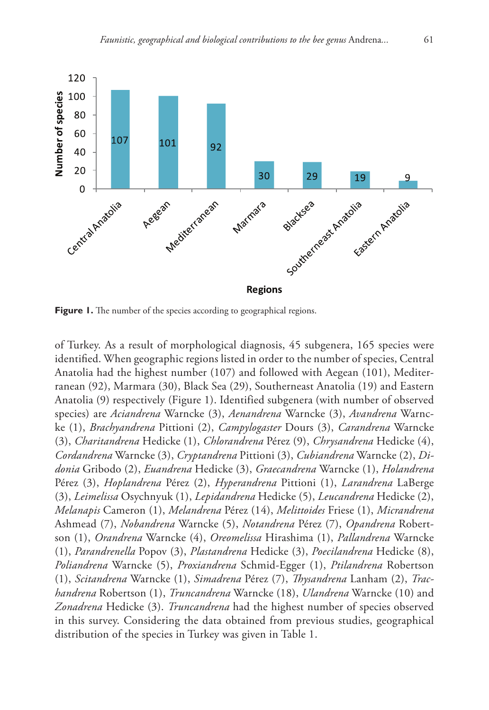

Figure 1. The number of the species according to geographical regions.

of Turkey. As a result of morphological diagnosis, 45 subgenera, 165 species were identified. When geographic regions listed in order to the number of species, Central Anatolia had the highest number (107) and followed with Aegean (101), Mediterranean (92), Marmara (30), Black Sea (29), Southerneast Anatolia (19) and Eastern Anatolia (9) respectively (Figure 1). Identified subgenera (with number of observed species) are *Aciandrena* Warncke (3), *Aenandrena* Warncke (3), *Avandrena* Warncke (1), *Brachyandrena* Pittioni (2), *Campylogaster* Dours (3), *Carandrena* Warncke (3), *Charitandrena* Hedicke (1), *Chlorandrena* Pérez (9), *Chrysandrena* Hedicke (4), *Cordandrena* Warncke (3), *Cryptandrena* Pittioni (3), *Cubiandrena* Warncke (2), *Didonia* Gribodo (2), *Euandrena* Hedicke (3), *Graecandrena* Warncke (1), *Holandrena* Pérez (3), *Hoplandrena* Pérez (2), *Hyperandrena* Pittioni (1), *Larandrena* LaBerge (3), *Leimelissa* Osychnyuk (1), *Lepidandrena* Hedicke (5), *Leucandrena* Hedicke (2), *Melanapis* Cameron (1), *Melandrena* Pérez (14), *Melittoides* Friese (1), *Micrandrena* Ashmead (7), *Nobandrena* Warncke (5), *Notandrena* Pérez (7), *Opandrena* Robertson (1), *Orandrena* Warncke (4), *Oreomelissa* Hirashima (1), *Pallandrena* Warncke (1), *Parandrenella* Popov (3), *Plastandrena* Hedicke (3), *Poecilandrena* Hedicke (8), *Poliandrena* Warncke (5), *Proxiandrena* Schmid-Egger (1), *Ptilandrena* Robertson (1), *Scitandrena* Warncke (1), *Simadrena* Pérez (7), *Thysandrena* Lanham (2), *Trachandrena* Robertson (1), *Truncandrena* Warncke (18), *Ulandrena* Warncke (10) and *Zonadrena* Hedicke (3). *Truncandrena* had the highest number of species observed in this survey. Considering the data obtained from previous studies, geographical distribution of the species in Turkey was given in Table 1.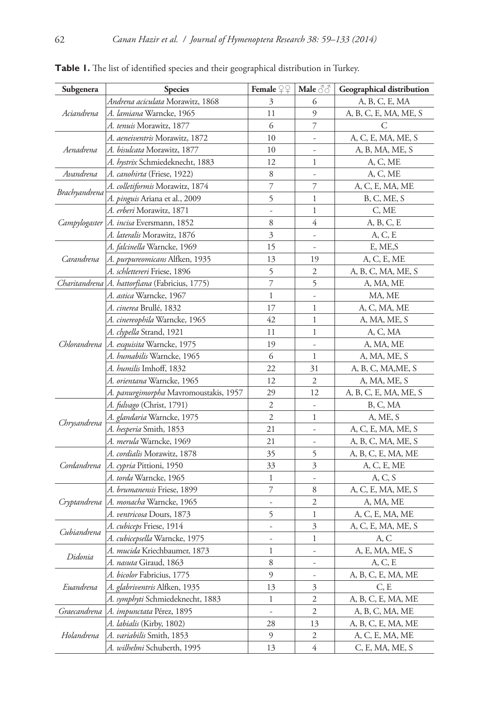| Subgenera     | <b>Species</b>                                   | Female $\mathcal{Q} \mathcal{Q}$ | Male $\textcircled{3}$   | <b>Geographical distribution</b> |
|---------------|--------------------------------------------------|----------------------------------|--------------------------|----------------------------------|
| Aciandrena    | <i>Andrena aciculata</i> Morawitz, 1868          | 3                                | 6                        | A, B, C, E, MA                   |
|               | <i>A. lamiana</i> Warncke, 1965                  | 11                               | 9                        | A, B, C, E, MA, ME, S            |
|               | <i>A. tenuis</i> Morawitz, 1877                  | 6                                | 7                        | С                                |
|               | <i>A. aeneiventris</i> Morawitz, 1872            | 10                               | $\frac{1}{2}$            | A, C, E, MA, ME, S               |
| Aenadrena     | A. bisulcata Morawitz, 1877                      | 10                               | $\overline{a}$           | A, B, MA, ME, S                  |
|               | <i>A. hystrix</i> Schmiedeknecht, 1883           | 12                               | 1                        | A, C, ME                         |
| Avandrena     | A. canohirta (Friese, 1922)                      |                                  | $\overline{a}$           | A, C, ME                         |
| Brachyandrena | A. colletiformis Morawitz, 1874                  | 7                                | 7                        | A, C, E, MA, ME                  |
|               | <i>A. pinguis</i> Ariana et al., 2009            | 5                                | 1                        | B, C, ME, S                      |
|               | <i>A. erberi</i> Morawitz, 1871                  | $\frac{1}{2}$                    | 1                        | C, ME                            |
|               | Campylogaster   A. incisa Eversmann, 1852        | 8                                | 4                        | A, B, C, E                       |
|               | A. lateralis Morawitz, 1876                      | 3                                | $\overline{a}$           | A, C, E                          |
|               | A. falcinella Warncke, 1969                      | 15                               | $\overline{\phantom{a}}$ | E, ME, S                         |
| Carandrena    | A. purpureomicans Alfken, 1935                   | 13                               | 19                       | A, C, E, ME                      |
|               | A. schlettereri Friese, 1896                     | 5                                | 2                        | A, B, C, MA, ME, S               |
|               | Charitandrena   A. hattorfiana (Fabricius, 1775) | $\overline{\phantom{a}}$         | 5                        | A, MA, ME                        |
|               | <i>A. astica</i> Warncke, 1967                   | 1                                | $\frac{1}{2}$            | MA, ME                           |
|               | <i>A. cinerea</i> Brullé, 1832                   | 17                               | 1                        | A, C, MA, ME                     |
|               | A. cinereophila Warncke, 1965                    | 42                               | 1                        | A, MA, ME, S                     |
|               | <i>A. clypella</i> Strand, 1921                  | 11                               | 1                        | A, C, MA                         |
|               | Chlorandrena   A. exquisita Warncke, 1975        | 19                               | $\overline{a}$           | A, MA, ME                        |
|               | <i>A. humabilis</i> Warncke, 1965                | 6                                | 1                        | A, MA, ME, S                     |
|               | <i>A. humilis</i> Imhoff, 1832                   | 22                               | 31                       | A, B, C, MA, ME, S               |
|               | A. orientana Warncke, 1965                       | 12                               | $\overline{2}$           | A, MA, ME, S                     |
|               | <i>A. panurgimorpha</i> Mavromoustakis, 1957     | 29                               | 12                       | A, B, C, E, MA, ME, S            |
|               | <i>A. fulvago</i> (Christ, 1791)                 | 2                                |                          | B, C, MA                         |
|               | <i>A. glandaria</i> Warncke, 1975                | 2                                | 1                        | A, ME, S                         |
| Chrysandrena  | A. <i>hesperia</i> Smith, 1853                   | 21                               | $\overline{a}$           | A, C, E, MA, ME, S               |
|               | A. merula Warncke, 1969                          | 21                               | $\frac{1}{2}$            | A, B, C, MA, ME, S               |
|               | A. cordialis Morawitz, 1878                      | 35                               | 5                        | A, B, C, E, MA, ME               |
| Cordandrena   | A. cypria Pittioni, 1950                         | 33                               | 3                        | A, C, E, ME                      |
|               | A. torda Warncke, 1965                           | 1                                | $\overline{a}$           | A, C, S                          |
|               | <i>A. brumanensis</i> Friese, 1899               | 7                                | 8                        | A, C, E, MA, ME, S               |
| Cryptandrena  | A. monacha Warncke, 1965                         | $\frac{1}{2}$                    | $\mathfrak{2}$           | A, MA, ME                        |
|               | <i>A. ventricosa</i> Dours, 1873                 | 5                                | 1                        | A, C, E, MA, ME                  |
|               | A. cubiceps Friese, 1914                         | $\frac{1}{2}$                    | 3                        | A, C, E, MA, ME, S               |
| Cubiandrena   | <i>A. cubicepsella</i> Warncke, 1975             | ÷,                               | 1                        | A, C                             |
|               | A. mucida Kriechbaumer, 1873                     | 1                                | $\frac{1}{2}$            | A, E, MA, ME, S                  |
| Didonia       | <i>A. nasuta</i> Giraud, 1863                    | 8                                | $\frac{1}{2}$            | A, C, E                          |
| Euandrena     | <i>A. bicolor</i> Fabricius, 1775                | 9                                | -                        | A, B, C, E, MA, ME               |
|               | A. glabriventris Alfken, 1935                    | 13                               | 3                        | C, E                             |
|               | A. symphyti Schmiedeknecht, 1883                 | 1                                | $\mathfrak{2}$           | A, B, C, E, MA, ME               |
| Graecandrena  | <i>A. impunctata</i> Pérez, 1895                 | $\overline{\phantom{a}}$         | 2                        | A, B, C, MA, ME                  |
|               | A. labialis (Kirby, 1802)                        | 28                               | 13                       | A, B, C, E, MA, ME               |
| Holandrena    | A. variabilis Smith, 1853                        | 9                                | 2                        | A, C, E, MA, ME                  |
|               | <i>A. wilhelmi</i> Schuberth, 1995               | 13                               | 4                        | C, E, MA, ME, S                  |

**Table 1.** The list of identified species and their geographical distribution in Turkey.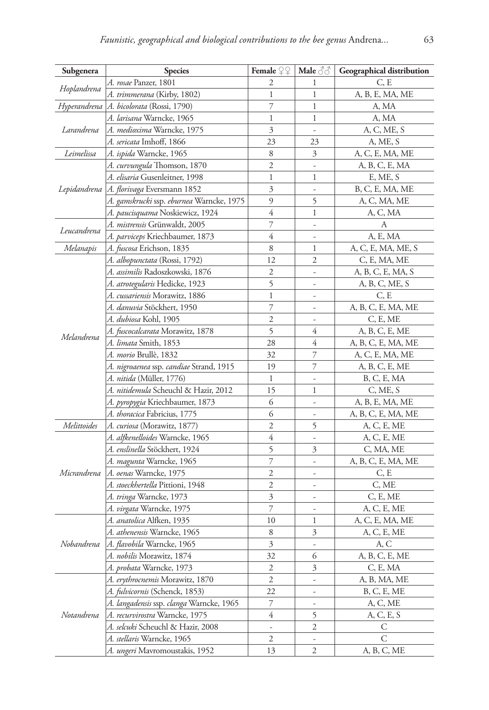| Subgenera   | <b>Species</b>                             | Female $\mathcal{Q} \mathcal{Q}$ | Male $\Im$               | <b>Geographical distribution</b> |
|-------------|--------------------------------------------|----------------------------------|--------------------------|----------------------------------|
| Hoplandrena | A. rosae Panzer, 1801                      | 2                                | 1                        | C, E                             |
|             | A. trimmerana (Kirby, 1802)                | 1                                | 1                        | A, B, E, MA, ME                  |
|             | Hyperandrena   A. bicolorata (Rossi, 1790) | 7                                | 1                        | A, MA                            |
|             | <i>A. larisana</i> Warncke, 1965           | $\mathbf{1}$                     | 1                        | A, MA                            |
| Larandrena  | A. medioxima Warncke, 1975                 | 3                                | $\overline{a}$           | A, C, ME, S                      |
|             | A. sericata Imhoff, 1866                   | 23                               | 23                       | A, ME, S                         |
| Leimelissa  | <i>A. ispida</i> Warncke, 1965             | 8                                | 3                        | A, C, E, MA, ME                  |
|             | A. curvungula Thomson, 1870                | $\mathfrak{2}$                   | $\overline{a}$           | A, B, C, E, MA                   |
|             | <i>A. elisaria</i> Gusenleitner, 1998      | 1                                | 1                        | E, ME, S                         |
|             | Lepidandrena   A. florivaga Eversmann 1852 | 3                                | $\overline{a}$           | B, C, E, MA, ME                  |
|             | A. gamskrucki ssp. eburnea Warncke, 1975   | 9                                | 5                        | A, C, MA, ME                     |
|             | A. paucisquama Noskiewicz, 1924            | 4                                | 1                        | A, C, MA                         |
| Leucandrena | A. mistrensis Grünwaldt, 2005              | 7                                | $\frac{1}{2}$            | А                                |
|             | <i>A. parviceps</i> Kriechbaumer, 1873     | $\overline{4}$                   | $\overline{a}$           | A, E, MA                         |
| Melanapis   | <i>A. fuscosa</i> Erichson, 1835           | 8                                | 1                        | A, C, E, MA, ME, S               |
|             | A. albopunctata (Rossi, 1792)              | 12                               | 2                        | C, E, MA, ME                     |
|             | A. assimilis Radoszkowski, 1876            | 2                                | $\overline{\phantom{m}}$ | A, B, C, E, MA, S                |
|             | A. atrotegularis Hedicke, 1923             | 5                                | $\frac{1}{2}$            | A, B, C, ME, S                   |
|             | <i>A. cussariensis</i> Morawitz, 1886      | 1                                | ÷,                       | C, E                             |
|             | <i>A. danuvia</i> Stöckhert, 1950          | 7                                | $\overline{a}$           | A, B, C, E, MA, ME               |
|             | A. dubiosa Kohl, 1905                      | $\overline{c}$                   | $\frac{1}{2}$            | C, E, ME                         |
| Melandrena  | A. fuscocalcarata Morawitz, 1878           | 5                                | 4                        | A, B, C, E, ME                   |
|             | A. limata Smith, 1853                      | 28                               | 4                        | A, B, C, E, MA, ME               |
|             | A. morio Brullè, 1832                      | 32                               | $\overline{\phantom{a}}$ | A, C, E, MA, ME                  |
|             | A. nigroaenea ssp. candiae Strand, 1915    | 19                               | 7                        | A, B, C, E, ME                   |
|             | <i>A. nitida</i> (Müller, 1776)            | 1                                | $\frac{1}{2}$            | B, C, E, MA                      |
|             | A. nitidemula Scheuchl & Hazir, 2012       | 15                               | 1                        | C, ME, S                         |
|             | <i>A. pyropygia</i> Kriechbaumer, 1873     | 6                                | $\overline{\phantom{m}}$ | A, B, E, MA, ME                  |
|             | A. thoracica Fabricius, 1775               | 6                                | ÷,                       | A, B, C, E, MA, ME               |
| Melittoides | A. curiosa (Morawitz, 1877)                | $\overline{c}$                   | 5                        | A, C, E, ME                      |
|             | <i>A. alfkenelloides</i> Warncke, 1965     | 4                                | $\overline{a}$           | A, C, E, ME                      |
|             | <i>A. enslinella</i> Stöckhert, 1924       | 5                                | 3                        | C, MA, ME                        |
|             | <i>A. magunta</i> Warncke, 1965            | 7                                | $\overline{a}$           | A, B, C, E, MA, ME               |
| Micrandrena | A. oenas Warncke, 1975                     | 2                                | $\overline{\phantom{0}}$ | C, E                             |
|             | A. stoeckhertella Pittioni, 1948           | 2                                | $\overline{\phantom{m}}$ | C, ME                            |
|             | A. tringa Warncke, 1973                    | 3                                | $\overline{\phantom{a}}$ | C, E, ME                         |
|             | <i>A. virgata</i> Warncke, 1975            | 7                                | ÷                        | A, C, E, ME                      |
|             | <i>A. anatolica</i> Alfken, 1935           | 10                               | 1                        | A, C, E, MA, ME                  |
| Nobandrena  | A. athenensis Warncke, 1965                | 8                                | 3                        | A, C, E, ME                      |
|             | <i>A. flavobila</i> Warncke, 1965          | 3                                | $\overline{a}$           | A, C                             |
|             | A. nobilis Morawitz, 1874                  | 32                               | 6                        | A, B, C, E, ME                   |
|             | A. probata Warncke, 1973                   | $\mathfrak{2}$                   | 3                        | C, E, MA                         |
| Notandrena  | A. erythrocnemis Morawitz, 1870            | 2                                | $\overline{\phantom{a}}$ | A, B, MA, ME                     |
|             | A. fulvicornis (Schenck, 1853)             | 22                               | $\overline{\phantom{a}}$ | B, C, E, ME                      |
|             | A. langadensis ssp. clanga Warncke, 1965   | 7                                | $\overline{\phantom{a}}$ | A, C, ME                         |
|             | A. recurvirostra Warncke, 1975             | 4                                | 5                        | A, C, E, S                       |
|             | A. selcuki Scheuchl & Hazir, 2008          | $\overline{\phantom{a}}$         | 2                        | C                                |
|             | A. stellaris Warncke, 1965                 | 2                                |                          | C                                |
|             | A. ungeri Mavromoustakis, 1952             | 13                               | 2                        | A, B, C, ME                      |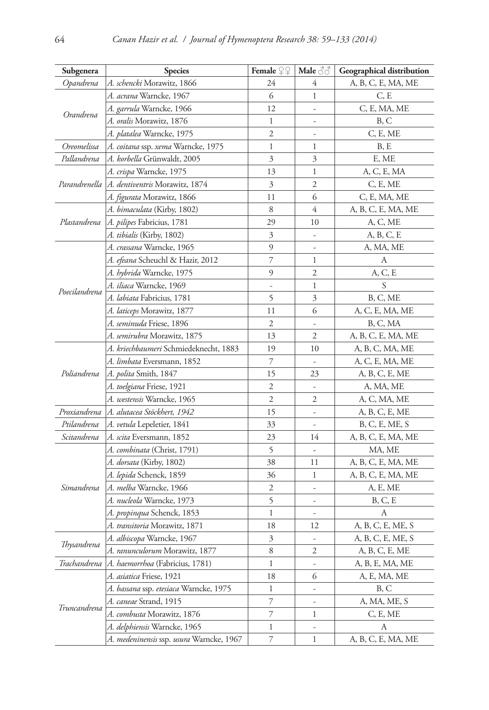| Subgenera     | <b>Species</b>                                 | Female $\mathcal{Q} \mathcal{Q}$ | Male $\Im \Im$           | Geographical distribution |
|---------------|------------------------------------------------|----------------------------------|--------------------------|---------------------------|
| Opandrena     | A. schencki Morawitz, 1866                     | 24                               | 4                        | A, B, C, E, MA, ME        |
| Orandrena     | <i>A. acrana</i> Warncke, 1967                 | 6                                | 1                        | C, E                      |
|               | <i>A. garrula</i> Warncke, 1966                | 12                               | $\frac{1}{2}$            | C, E, MA, ME              |
|               | <i>A. oralis</i> Morawitz, 1876                | 1                                | $\overline{a}$           | B, C                      |
|               | <i>A. platalea</i> Warncke, 1975               | 2                                | $\overline{a}$           | C, E, ME                  |
| Oreomelissa   | A. coitana ssp. xema Warncke, 1975             | 1                                | 1                        | B, E                      |
| Pallandrena   | A. korbella Grünwaldt, 2005                    | 3                                | $\mathfrak{Z}$           | E, ME                     |
|               | A. crispa Warncke, 1975                        | 13                               | 1                        | A, C, E, MA               |
|               | Parandrenella   A. dentiventris Morawitz, 1874 | 3                                | 2                        | C, E, ME                  |
|               | A. figurata Morawitz, 1866                     | 11                               | 6                        | C, E, MA, ME              |
|               | A. bimaculata (Kirby, 1802)                    | 8                                | 4                        | A, B, C, E, MA, ME        |
| Plastandrena  | <i>A. pilipes</i> Fabricius, 1781              | 29                               | 10                       | A, C, ME                  |
|               | A. tibialis (Kirby, 1802)                      | 3                                | $\overline{\phantom{a}}$ | A, B, C, E                |
|               | A. crassana Warncke, 1965                      | 9                                | $\frac{1}{2}$            | A, MA, ME                 |
|               | <i>A. efeana</i> Scheuchl & Hazir, 2012        | 7                                | 1                        | А                         |
|               | A. hybrida Warncke, 1975                       | 9                                | 2                        | A, C, E                   |
|               | A. iliaca Warncke, 1969                        | $\overline{\phantom{a}}$         | 1                        | S                         |
| Poecilandrena | <i>A. labiata</i> Fabricius, 1781              | 5                                | 3                        | B, C, ME                  |
|               | A. laticeps Morawitz, 1877                     | 11                               | 6                        | A, C, E, MA, ME           |
|               | A. seminuda Friese, 1896                       | 2                                | $\frac{1}{2}$            | B, C, MA                  |
|               | A. semirubra Morawitz, 1875                    | 13                               | 2                        | A, B, C, E, MA, ME        |
|               | <i>A. kriechbaumeri</i> Schmiedeknecht, 1883   | 19                               | 10                       | A, B, C, MA, ME           |
|               | A. limbata Eversmann, 1852                     | 7                                | $\overline{\phantom{a}}$ | A, C, E, MA, ME           |
| Poliandrena   | A. <i>polita</i> Smith, 1847                   | 15                               | 23                       | A, B, C, E, ME            |
|               | A. toelgiana Friese, 1921                      | 2                                | $\overline{\phantom{a}}$ | A, MA, ME                 |
|               | <i>A. westensis</i> Warncke, 1965              | 2                                | 2                        | A, C, MA, ME              |
| Proxiandrena  | A. alutacea Stöckhert, 1942                    | 15                               | $\overline{a}$           | A, B, C, E, ME            |
| Ptilandrena   | A. vetula Lepeletier, 1841                     | 33                               |                          | B, C, E, ME, S            |
| Scitandrena   | <i>A. scita</i> Eversmann, 1852                | 23                               | 14                       | A, B, C, E, MA, ME        |
|               | <i>A. combinata</i> (Christ, 1791)             | 5                                | $\frac{1}{2}$            | MA, ME                    |
|               | A. dorsata (Kirby, 1802)                       | 38                               | 11                       | A, B, C, E, MA, ME        |
|               | A. lepida Schenck, 1859                        | 36                               | 1                        | A, B, C, E, MA, ME        |
| Simandrena    | A. melba Warncke, 1966                         | $\mathfrak{2}$                   | $\overline{\phantom{a}}$ | A, E, ME                  |
|               | A. nucleola Warncke, 1973                      | 5                                | $\overline{\phantom{a}}$ | B, C, E                   |
|               | A. propinqua Schenck, 1853                     | 1                                | $\overline{a}$           | А                         |
|               | A. transitoria Morawitz, 1871                  | 18                               | 12                       | A, B, C, E, ME, S         |
|               | A. albiscopa Warncke, 1967                     | 3                                | $\overline{a}$           | A, B, C, E, ME, S         |
| Thysandrena   | A. ranunculorum Morawitz, 1877                 | 8                                | 2                        | A, B, C, E, ME            |
| Trachandrena  | A. haemorrhoa (Fabricius, 1781)                | 1                                | $\overline{a}$           | A, B, E, MA, ME           |
|               | <i>A. asiatica</i> Friese, 1921                | 18                               | 6                        | A, E, MA, ME              |
|               | A. bassana ssp. etesiaca Warncke, 1975         | 1                                | -                        | B, C                      |
|               | A. caneae Strand, 1915                         | 7                                | $\overline{a}$           | A, MA, ME, S              |
| Truncandrena  | A. combusta Morawitz, 1876                     | 7                                | 1                        | C, E, ME                  |
|               | A. delphiensis Warncke, 1965                   | 1                                | $\overline{a}$           | А                         |
|               | A. medeninensis ssp. usura Warncke, 1967       | 7                                | 1                        | A, B, C, E, MA, ME        |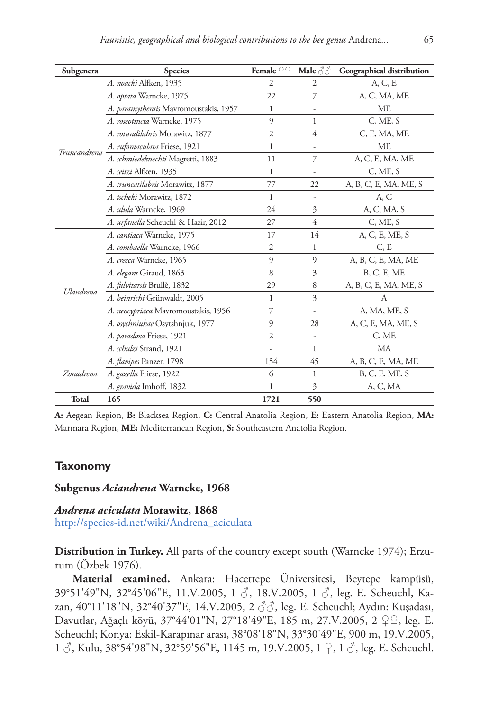| Subgenera        | <b>Species</b>                        | Female $\mathcal{Q} \mathcal{Q}$ | Male $\Im \Im$           | <b>Geographical distribution</b> |
|------------------|---------------------------------------|----------------------------------|--------------------------|----------------------------------|
|                  | A. noacki Alfken, 1935                | $\overline{2}$                   | $\overline{2}$           | A, C, E                          |
|                  | A. optata Warncke, 1975               | 22                               | 7                        | A, C, MA, ME                     |
|                  | A. paramythensis Mavromoustakis, 1957 | 1                                |                          | МE                               |
|                  | A. roseotincta Warncke, 1975          | 9                                | 1                        | C, ME, S                         |
|                  | A. rotundilabris Morawitz, 1877       | $\overline{2}$                   | 4                        | C, E, MA, ME                     |
| Truncandrena     | A. rufomaculata Friese, 1921          | 1                                | $\overline{\phantom{m}}$ | ME                               |
|                  | A. schmiedeknechti Magretti, 1883     | 11                               | 7                        | A, C, E, MA, ME                  |
|                  | A. seitzi Alfken, 1935                | 1                                |                          | C, ME, S                         |
|                  | A. truncatilabris Morawitz, 1877      | 77                               | 22                       | A, B, C, E, MA, ME, S            |
|                  | A. tscheki Morawitz, 1872             | 1                                | $\frac{1}{2}$            | A, C                             |
|                  | A. ulula Warncke, 1969                | 24                               | 3                        | A, C, MA, S                      |
|                  | A. urfanella Scheuchl & Hazir, 2012   | 27                               | $\overline{4}$           | C, ME, S                         |
|                  | A. cantiaca Warncke, 1975             | 17                               | 14                       | A, C, E, ME, S                   |
|                  | A. combaella Warncke, 1966            | $\overline{2}$                   | 1                        | C, E                             |
|                  | A. crecca Warncke, 1965               | 9                                | 9                        | A, B, C, E, MA, ME               |
| <b>Ulandrena</b> | A. elegans Giraud, 1863               | 8                                | 3                        | B, C, E, ME                      |
|                  | A. fulvitarsis Brullè, 1832           | 29                               | 8                        | A, B, C, E, MA, ME, S            |
|                  | A. heinrichi Grünwaldt, 2005          | 1                                | 3                        | A                                |
|                  | A. neocypriaca Mavromoustakis, 1956   | 7                                | $\overline{\phantom{a}}$ | A, MA, ME, S                     |
|                  | A. osychniukae Osytshnjuk, 1977       | 9                                | 28                       | A, C, E, MA, ME, S               |
|                  | A. paradoxa Friese, 1921              | $\overline{2}$                   | $\overline{\phantom{a}}$ | C, ME                            |
|                  | A. schulzi Strand, 1921               | $\overline{\phantom{a}}$         | 1                        | МA                               |
| Zonadrena        | A. <i>flavipes</i> Panzer, 1798       | 154                              | 45                       | A, B, C, E, MA, ME               |
|                  | A. gazella Friese, 1922               | 6                                | 1                        | B, C, E, ME, S                   |
|                  | A. gravida Imhoff, 1832               | 1                                | 3                        | A, C, MA                         |
| Total            | 165                                   | 1721                             | 550                      |                                  |

**A:** Aegean Region, **B:** Blacksea Region, **C:** Central Anatolia Region, **E:** Eastern Anatolia Region, **MA:** Marmara Region, **ME:** Mediterranean Region, **S:** Southeastern Anatolia Region.

## **Taxonomy**

## **Subgenus** *Aciandrena* **Warncke, 1968**

*Andrena aciculata* **Morawitz, 1868** [http://species-id.net/wiki/Andrena\\_aciculata](http://species-id.net/wiki/Andrena_aciculata)

**Distribution in Turkey.** All parts of the country except south (Warncke 1974); Erzurum (Özbek 1976).

**Material examined.** Ankara: Hacettepe Üniversitesi, Beytepe kampüsü, 39°51'49"N, 32°45'06"E, 11.V.2005, 1 ♂, 18.V.2005, 1 ♂, leg. E. Scheuchl, Kazan, 40°11'18"N, 32°40'37"E, 14.V.2005, 2 ♂♂, leg. E. Scheuchl; Aydın: Kuşadası, Davutlar, Ağaçlı köyü, 37°44'01"N, 27°18'49"E, 185 m, 27.V.2005, 2 ♀♀, leg. E. Scheuchl; Konya: Eskil-Karapınar arası, 38°08'18"N, 33°30'49"E, 900 m, 19.V.2005, 1 ♂, Kulu, 38°54'98"N, 32°59'56"E, 1145 m, 19.V.2005, 1 ♀, 1 ♂, leg. E. Scheuchl.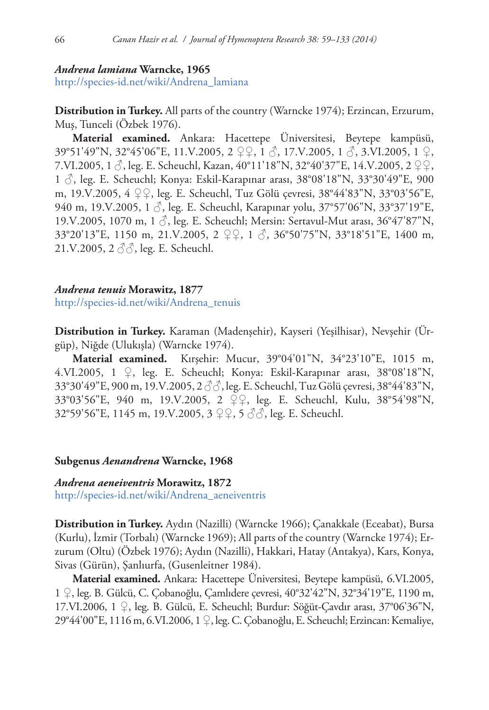#### *Andrena lamiana* **Warncke, 1965**

[http://species-id.net/wiki/Andrena\\_lamiana](http://species-id.net/wiki/Andrena_lamiana)

**Distribution in Turkey.** All parts of the country (Warncke 1974); Erzincan, Erzurum, Muş, Tunceli (Özbek 1976).

**Material examined.** Ankara: Hacettepe Üniversitesi, Beytepe kampüsü, 39°51'49"N, 32°45'06"E, 11.V.2005, 2 ♀♀, 1 ♂, 17.V.2005, 1 ♂, 3.VI.2005, 1 ♀, 7.VI.2005, 1 ♂, leg. E. Scheuchl, Kazan, 40°11'18"N, 32°40'37"E, 14.V.2005, 2 ♀♀, 1 ♂, leg. E. Scheuchl; Konya: Eskil-Karapınar arası, 38°08'18"N, 33°30'49"E, 900 m, 19.V.2005, 4 ♀♀, leg. E. Scheuchl, Tuz Gölü çevresi, 38°44'83"N, 33°03'56"E, 940 m, 19.V.2005, 1  $\beta$ , leg. E. Scheuchl, Karapınar yolu, 37°57'06"N, 33°37'19"E, 19.V.2005, 1070 m, 1 ♂, leg. E. Scheuchl; Mersin: Sertavul-Mut arası, 36°47'87"N, 33°20'13"E, 1150 m, 21.V.2005, 2 ♀♀, 1 ♂, 36°50'75"N, 33°18'51"E, 1400 m, 21.V.2005, 2 ♂♂, leg. E. Scheuchl.

## *Andrena tenuis* **Morawitz, 1877**

[http://species-id.net/wiki/Andrena\\_tenuis](http://species-id.net/wiki/Andrena_tenuis)

**Distribution in Turkey.** Karaman (Madenşehir), Kayseri (Yeşilhisar), Nevşehir (Ürgüp), Niğde (Ulukışla) (Warncke 1974).

**Material examined.** Kırşehir: Mucur, 39°04'01"N, 34°23'10"E, 1015 m, 4.VI.2005, 1 ♀, leg. E. Scheuchl; Konya: Eskil-Karapınar arası, 38°08'18"N, 33°30'49"E, 900 m, 19.V.2005, 2 ♂♂, leg. E. Scheuchl, Tuz Gölü çevresi, 38°44'83"N, 33°03'56"E, 940 m, 19.V.2005, 2 ♀♀, leg. E. Scheuchl, Kulu, 38°54'98"N, 32°59'56"E, 1145 m, 19.V.2005, 3 ♀♀, 5 ♂♂, leg. E. Scheuchl.

#### **Subgenus** *Aenandrena* **Warncke, 1968**

#### *Andrena aeneiventris* **Morawitz, 1872**

[http://species-id.net/wiki/Andrena\\_aeneiventris](http://species-id.net/wiki/Andrena_aeneiventris)

**Distribution in Turkey.** Aydın (Nazilli) (Warncke 1966); Çanakkale (Eceabat), Bursa (Kurlu), İzmir (Torbalı) (Warncke 1969); All parts of the country (Warncke 1974); Erzurum (Oltu) (Özbek 1976); Aydın (Nazilli), Hakkari, Hatay (Antakya), Kars, Konya, Sivas (Gürün), Şanlıurfa, (Gusenleitner 1984).

**Material examined.** Ankara: Hacettepe Üniversitesi, Beytepe kampüsü, 6.VI.2005, 1 ♀, leg. B. Gülcü, C. Çobanoğlu, Çamlıdere çevresi, 40°32'42"N, 32°34'19"E, 1190 m, 17.VI.2006, 1 ♀, leg. B. Gülcü, E. Scheuchl; Burdur: Söğüt-Çavdır arası, 37°06'36"N, 29°44'00"E, 1116 m, 6.VI.2006, 1 ♀, leg. C. Çobanoğlu, E. Scheuchl; Erzincan: Kemaliye,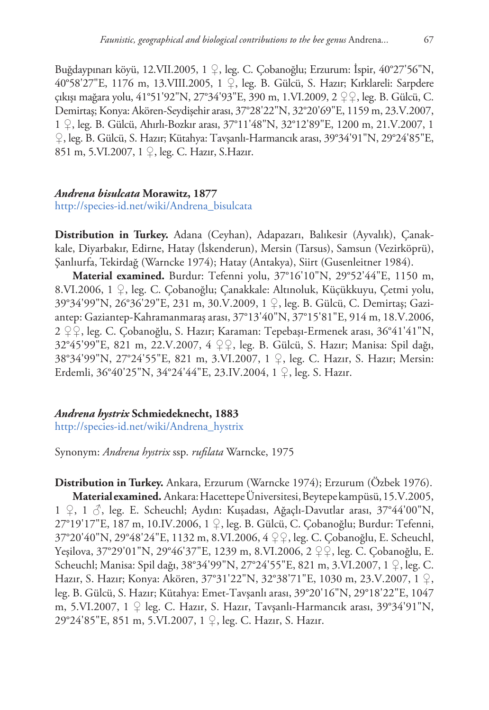Buğdaypınarı köyü, 12.VII.2005, 1 ♀, leg. C. Çobanoğlu; Erzurum: İspir, 40°27'56"N, 40°58'27"E, 1176 m, 13.VIII.2005, 1 ♀, leg. B. Gülcü, S. Hazır; Kırklareli: Sarpdere çıkışı mağara yolu, 41°51'92"N, 27°34'93"E, 390 m, 1.VI.2009, 2 ♀♀, leg. B. Gülcü, C. Demirtaş; Konya: Akören-Seydişehir arası, 37°28'22"N, 32°20'69"E, 1159 m, 23.V.2007, 1 ♀, leg. B. Gülcü, Ahırlı-Bozkır arası, 37°11'48"N, 32°12'89"E, 1200 m, 21.V.2007, 1 ♀, leg. B. Gülcü, S. Hazır; Kütahya: Tavşanlı-Harmancık arası, 39°34'91"N, 29°24'85"E, 851 m, 5.VI.2007, 1 ♀, leg. C. Hazır, S.Hazır.

# *Andrena bisulcata* **Morawitz, 1877**

## [http://species-id.net/wiki/Andrena\\_bisulcata](http://species-id.net/wiki/Andrena_bisulcata)

**Distribution in Turkey.** Adana (Ceyhan), Adapazarı, Balıkesir (Ayvalık), Çanakkale, Diyarbakır, Edirne, Hatay (İskenderun), Mersin (Tarsus), Samsun (Vezirköprü), Şanlıurfa, Tekirdağ (Warncke 1974); Hatay (Antakya), Siirt (Gusenleitner 1984).

**Material examined.** Burdur: Tefenni yolu, 37°16'10"N, 29°52'44"E, 1150 m, 8.VI.2006, 1 ♀, leg. C. Çobanoğlu; Çanakkale: Altınoluk, Küçükkuyu, Çetmi yolu, 39°34'99"N, 26°36'29"E, 231 m, 30.V.2009, 1 ♀, leg. B. Gülcü, C. Demirtaş; Gaziantep: Gaziantep-Kahramanmaraş arası, 37°13'40"N, 37°15'81"E, 914 m, 18.V.2006, 2 ♀♀, leg. C. Çobanoğlu, S. Hazır; Karaman: Tepebaşı-Ermenek arası, 36°41'41"N, 32°45'99"E, 821 m, 22.V.2007, 4 ♀♀, leg. B. Gülcü, S. Hazır; Manisa: Spil dağı, 38°34'99"N, 27°24'55"E, 821 m, 3.VI.2007, 1 ♀, leg. C. Hazır, S. Hazır; Mersin: Erdemli, 36°40'25"N, 34°24'44"E, 23.IV.2004, 1 ♀, leg. S. Hazır.

## *Andrena hystrix* **Schmiedeknecht, 1883**

[http://species-id.net/wiki/Andrena\\_hystrix](http://species-id.net/wiki/Andrena_hystrix)

Synonym: *Andrena hystrix* ssp. *rufilata* Warncke, 1975

**Distribution in Turkey.** Ankara, Erzurum (Warncke 1974); Erzurum (Özbek 1976). **Material examined.** Ankara: Hacettepe Üniversitesi, Beytepe kampüsü, 15.V.2005, 1 ♀, 1 ♂, leg. E. Scheuchl; Aydın: Kuşadası, Ağaçlı-Davutlar arası, 37°44'00"N, 27°19'17"E, 187 m, 10.IV.2006, 1 ♀, leg. B. Gülcü, C. Çobanoğlu; Burdur: Tefenni, 37°20'40"N, 29°48'24"E, 1132 m, 8.VI.2006, 4 ♀♀, leg. C. Çobanoğlu, E. Scheuchl, Yeşilova, 37°29'01"N, 29°46'37"E, 1239 m, 8.VI.2006, 2 ♀♀, leg. C. Çobanoğlu, E. Scheuchl; Manisa: Spil dağı, 38°34'99"N, 27°24'55"E, 821 m, 3.VI.2007, 1 ♀, leg. C. Hazır, S. Hazır; Konya: Akören, 37°31'22"N, 32°38'71"E, 1030 m, 23.V.2007, 1 ♀, leg. B. Gülcü, S. Hazır; Kütahya: Emet-Tavşanlı arası, 39°20'16"N, 29°18'22"E, 1047 m, 5.VI.2007, 1 ♀ leg. C. Hazır, S. Hazır, Tavşanlı-Harmancık arası, 39°34'91"N, 29°24'85"E, 851 m, 5.VI.2007, 1 ♀, leg. C. Hazır, S. Hazır.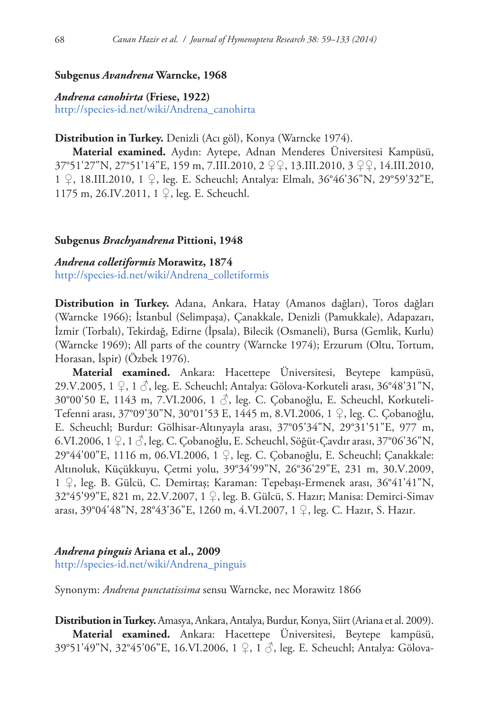## **Subgenus** *Avandrena* **Warncke, 1968**

*Andrena canohirta* **(Friese, 1922)** [http://species-id.net/wiki/Andrena\\_canohirta](http://species-id.net/wiki/Andrena_canohirta)

## **Distribution in Turkey.** Denizli (Acı göl), Konya (Warncke 1974).

**Material examined.** Aydın: Aytepe, Adnan Menderes Üniversitesi Kampüsü, 37°51'27"N, 27°51'14"E, 159 m, 7.III.2010, 2 ♀♀, 13.III.2010, 3 ♀♀, 14.III.2010, 1 ♀, 18.III.2010, 1 ♀, leg. E. Scheuchl; Antalya: Elmalı, 36°46'36"N, 29°59'32"E, 1175 m, 26.IV.2011, 1 ♀, leg. E. Scheuchl.

#### **Subgenus** *Brachyandrena* **Pittioni, 1948**

*Andrena colletiformis* **Morawitz, 1874** [http://species-id.net/wiki/Andrena\\_colletiformis](http://species-id.net/wiki/Andrena_colletiformis)

**Distribution in Turkey.** Adana, Ankara, Hatay (Amanos dağları), Toros dağları (Warncke 1966); İstanbul (Selimpaşa), Çanakkale, Denizli (Pamukkale), Adapazarı, İzmir (Torbalı), Tekirdağ, Edirne (İpsala), Bilecik (Osmaneli), Bursa (Gemlik, Kurlu) (Warncke 1969); All parts of the country (Warncke 1974); Erzurum (Oltu, Tortum, Horasan, İspir) (Özbek 1976).

**Material examined.** Ankara: Hacettepe Üniversitesi, Beytepe kampüsü, 29.V.2005, 1  $\mathcal{Q}$ , 1  $\mathcal{S}$ , leg. E. Scheuchl; Antalya: Gölova-Korkuteli arası, 36°48'31"N, 30°00'50 E, 1143 m, 7.VI.2006, 1 ♂, leg. C. Çobanoğlu, E. Scheuchl, Korkuteli-Tefenni arası, 37°09'30"N, 30°01'53 E, 1445 m, 8.VI.2006, 1 ♀, leg. C. Çobanoğlu, E. Scheuchl; Burdur: Gölhisar-Altınyayla arası, 37°05'34"N, 29°31'51"E, 977 m, 6.VI.2006, 1 ♀, 1 ♂, leg. C. Çobanoğlu, E. Scheuchl, Söğüt-Çavdır arası, 37°06'36"N, 29°44'00"E, 1116 m, 06.VI.2006, 1 ♀, leg. C. Çobanoğlu, E. Scheuchl; Çanakkale: Altınoluk, Küçükkuyu, Çetmi yolu, 39°34'99"N, 26°36'29"E, 231 m, 30.V.2009, 1 ♀, leg. B. Gülcü, C. Demirtaş; Karaman: Tepebaşı-Ermenek arası, 36°41'41"N, 32°45'99"E, 821 m, 22.V.2007, 1 ♀, leg. B. Gülcü, S. Hazır; Manisa: Demirci-Simav arası, 39°04'48"N, 28°43'36"E, 1260 m, 4.VI.2007, 1 ♀, leg. C. Hazır, S. Hazır.

#### *Andrena pinguis* **Ariana et al., 2009**

[http://species-id.net/wiki/Andrena\\_pinguis](http://species-id.net/wiki/Andrena_pinguis)

Synonym: *Andrena punctatissima* sensu Warncke, nec Morawitz 1866

**Distribution in Turkey.** Amasya, Ankara, Antalya, Burdur, Konya, Siirt (Ariana et al. 2009). **Material examined.** Ankara: Hacettepe Üniversitesi, Beytepe kampüsü, 39°51'49"N, 32°45'06"E, 16.VI.2006, 1 ♀, 1 ♂, leg. E. Scheuchl; Antalya: Gölova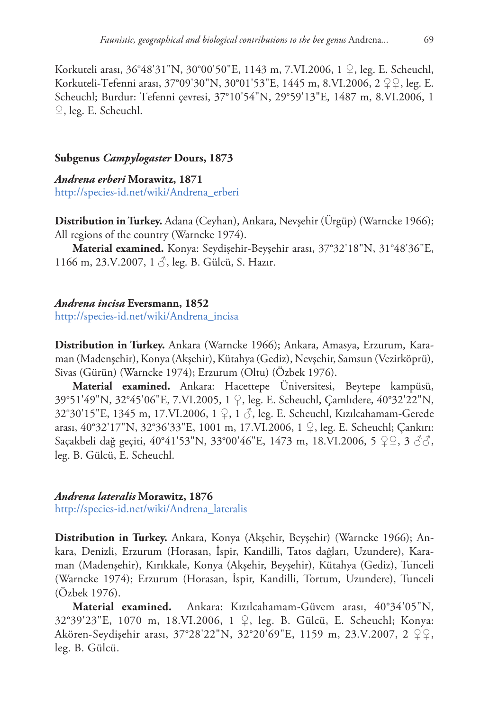Korkuteli arası, 36°48'31"N, 30°00'50"E, 1143 m, 7.VI.2006, 1 ♀, leg. E. Scheuchl, Korkuteli-Tefenni arası, 37°09'30"N, 30°01'53"E, 1445 m, 8.VI.2006, 2 ♀♀, leg. E. Scheuchl; Burdur: Tefenni çevresi, 37°10'54"N, 29°59'13"E, 1487 m, 8.VI.2006, 1 ♀, leg. E. Scheuchl.

## **Subgenus** *Campylogaster* **Dours, 1873**

*Andrena erberi* **Morawitz, 1871** [http://species-id.net/wiki/Andrena\\_erberi](http://species-id.net/wiki/Andrena_erberi)

**Distribution in Turkey.** Adana (Ceyhan), Ankara, Nevşehir (Ürgüp) (Warncke 1966); All regions of the country (Warncke 1974).

**Material examined.** Konya: Seydişehir-Beyşehir arası, 37°32'18"N, 31°48'36"E, 1166 m, 23.V.2007, 1 ♂, leg. B. Gülcü, S. Hazır.

#### *Andrena incisa* **Eversmann, 1852**

[http://species-id.net/wiki/Andrena\\_incisa](http://species-id.net/wiki/Andrena_incisa)

**Distribution in Turkey.** Ankara (Warncke 1966); Ankara, Amasya, Erzurum, Karaman (Madenşehir), Konya (Akşehir), Kütahya (Gediz), Nevşehir, Samsun (Vezirköprü), Sivas (Gürün) (Warncke 1974); Erzurum (Oltu) (Özbek 1976).

**Material examined.** Ankara: Hacettepe Üniversitesi, Beytepe kampüsü, 39°51'49"N, 32°45'06"E, 7.VI.2005, 1 ♀, leg. E. Scheuchl, Çamlıdere, 40°32'22"N, 32°30'15"E, 1345 m, 17.VI.2006, 1 ♀, 1 ♂, leg. E. Scheuchl, Kızılcahamam-Gerede arası, 40°32'17"N, 32°36'33"E, 1001 m, 17.VI.2006, 1 ♀, leg. E. Scheuchl; Çankırı: Saçakbeli dağ geçiti, 40°41'53"N, 33°00'46"E, 1473 m, 18.VI.2006, 5  $\varphi$ Q, 3  $\varphi$  $\varphi$ , leg. B. Gülcü, E. Scheuchl.

## *Andrena lateralis* **Morawitz, 1876**

[http://species-id.net/wiki/Andrena\\_lateralis](http://species-id.net/wiki/Andrena_lateralis)

**Distribution in Turkey.** Ankara, Konya (Akşehir, Beyşehir) (Warncke 1966); Ankara, Denizli, Erzurum (Horasan, İspir, Kandilli, Tatos dağları, Uzundere), Karaman (Madenşehir), Kırıkkale, Konya (Akşehir, Beyşehir), Kütahya (Gediz), Tunceli (Warncke 1974); Erzurum (Horasan, İspir, Kandilli, Tortum, Uzundere), Tunceli (Özbek 1976).

**Material examined.** Ankara: Kızılcahamam-Güvem arası, 40°34'05"N, 32°39'23"E, 1070 m, 18.VI.2006, 1 ♀, leg. B. Gülcü, E. Scheuchl; Konya: Akören-Seydişehir arası, 37°28'22"N, 32°20'69"E, 1159 m, 23.V.2007, 2 ♀♀, leg. B. Gülcü.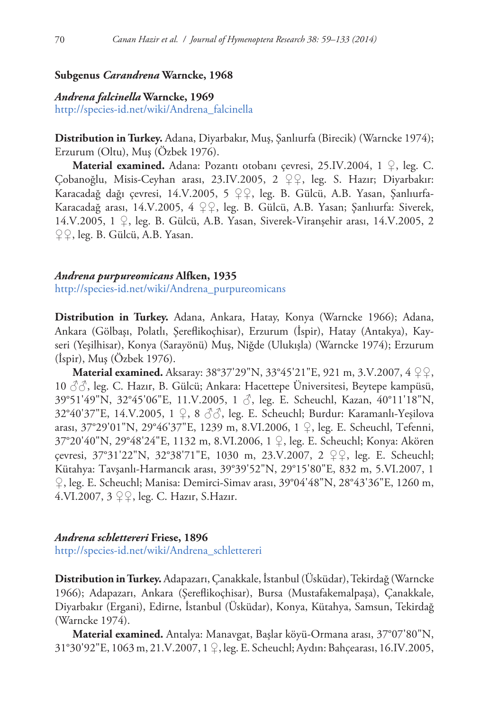## **Subgenus** *Carandrena* **Warncke, 1968**

## *Andrena falcinella* **Warncke, 1969** [http://species-id.net/wiki/Andrena\\_falcinella](http://species-id.net/wiki/Andrena_falcinella)

**Distribution in Turkey.** Adana, Diyarbakır, Muş, Şanlıurfa (Birecik) (Warncke 1974); Erzurum (Oltu), Muş (Özbek 1976).

**Material examined.** Adana: Pozantı otobanı çevresi, 25.IV.2004, 1 ♀, leg. C. Çobanoğlu, Misis-Ceyhan arası, 23.IV.2005, 2 ♀♀, leg. S. Hazır; Diyarbakır: Karacadağ dağı çevresi, 14.V.2005, 5 ♀♀, leg. B. Gülcü, A.B. Yasan, Şanlıurfa-Karacadağ arası, 14.V.2005, 4 ♀♀, leg. B. Gülcü, A.B. Yasan; Şanlıurfa: Siverek, 14.V.2005, 1 ♀, leg. B. Gülcü, A.B. Yasan, Siverek-Viranşehir arası, 14.V.2005, 2 ♀♀, leg. B. Gülcü, A.B. Yasan.

#### *Andrena purpureomicans* **Alfken, 1935**

[http://species-id.net/wiki/Andrena\\_purpureomicans](http://species-id.net/wiki/Andrena_purpureomicans)

**Distribution in Turkey.** Adana, Ankara, Hatay, Konya (Warncke 1966); Adana, Ankara (Gölbaşı, Polatlı, Şereflikoçhisar), Erzurum (İspir), Hatay (Antakya), Kayseri (Yeşilhisar), Konya (Sarayönü) Muş, Niğde (Ulukışla) (Warncke 1974); Erzurum (İspir), Muş (Özbek 1976).

**Material examined.** Aksaray: 38°37'29"N, 33°45'21"E, 921 m, 3.V.2007, 4 ♀♀,  $10 \text{ }\partial\beta$ , leg. C. Hazır, B. Gülcü; Ankara: Hacettepe Üniversitesi, Beytepe kampüsü, 39°51'49"N, 32°45'06"E, 11.V.2005, 1 ♂, leg. E. Scheuchl, Kazan, 40°11'18"N, 32°40'37"E, 14.V.2005, 1 ♀, 8 ♂♂, leg. E. Scheuchl; Burdur: Karamanlı-Yeşilova arası, 37°29'01"N, 29°46'37"E, 1239 m, 8.VI.2006, 1 ♀, leg. E. Scheuchl, Tefenni, 37°20'40"N, 29°48'24"E, 1132 m, 8.VI.2006, 1 ♀, leg. E. Scheuchl; Konya: Akören çevresi, 37°31'22"N, 32°38'71"E, 1030 m, 23.V.2007, 2 ♀♀, leg. E. Scheuchl; Kütahya: Tavşanlı-Harmancık arası, 39°39'52"N, 29°15'80"E, 832 m, 5.VI.2007, 1 ♀, leg. E. Scheuchl; Manisa: Demirci-Simav arası, 39°04'48"N, 28°43'36"E, 1260 m, 4.VI.2007, 3 ♀♀, leg. C. Hazır, S.Hazır.

## *Andrena schlettereri* **Friese, 1896**

[http://species-id.net/wiki/Andrena\\_schlettereri](http://species-id.net/wiki/Andrena_schlettereri)

**Distribution in Turkey.** Adapazarı, Çanakkale, İstanbul (Üsküdar), Tekirdağ (Warncke 1966); Adapazarı, Ankara (Şereflikoçhisar), Bursa (Mustafakemalpaşa), Çanakkale, Diyarbakır (Ergani), Edirne, İstanbul (Üsküdar), Konya, Kütahya, Samsun, Tekirdağ (Warncke 1974).

**Material examined.** Antalya: Manavgat, Başlar köyü-Ormana arası, 37°07'80"N, 31°30'92"E, 1063 m, 21.V.2007, 1 ♀, leg. E. Scheuchl; Aydın:Bahçearası, 16.IV.2005,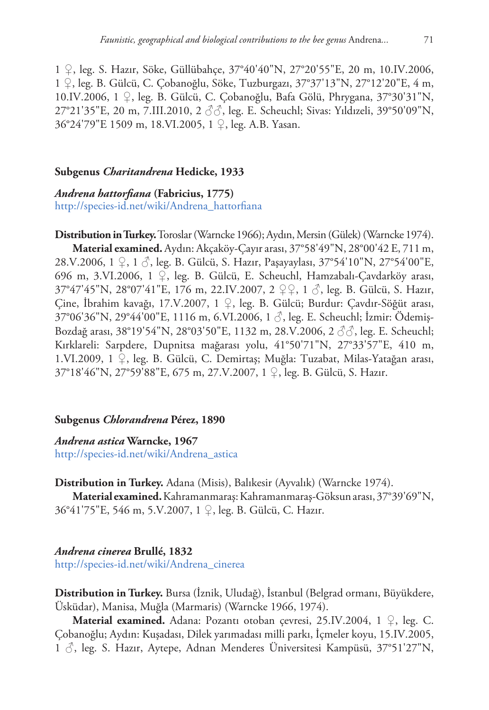1 ♀, leg. S. Hazır, Söke, Güllübahçe, 37°40'40"N, 27°20'55"E, 20 m, 10.IV.2006, 1 ♀, leg. B. Gülcü, C. Çobanoğlu, Söke, Tuzburgazı, 37°37'13"N, 27°12'20"E, 4 m, 10.IV.2006, 1 ♀, leg. B. Gülcü, C. Çobanoğlu, Bafa Gölü, Phrygana, 37°30'31"N, 27°21'35"E, 20 m, 7.III.2010, 2 ♂♂, leg. E. Scheuchl; Sivas: Yıldızeli, 39°50'09"N, 36°24'79"E 1509 m, 18.VI.2005, 1 ♀, leg. A.B. Yasan.

## **Subgenus** *Charitandrena* **Hedicke, 1933**

*Andrena hattorfiana* **(Fabricius, 1775)** [http://species-id.net/wiki/Andrena\\_hattorfiana](http://species-id.net/wiki/Andrena_hattorfiana)

**Distribution in Turkey.** Toroslar (Warncke 1966); Aydın, Mersin (Gülek) (Warncke 1974). **Material examined.** Aydın: Akçaköy-Çayır arası, 37°58'49"N, 28°00'42 E, 711 m, 28.V.2006, 1 ♀, 1 ♂, leg. B. Gülcü, S. Hazır, Paşayaylası, 37°54'10"N, 27°54'00"E, 696 m, 3.VI.2006, 1 ♀, leg. B. Gülcü, E. Scheuchl, Hamzabalı-Çavdarköy arası, 37°47'45"N, 28°07'41"E, 176 m, 22.IV.2007, 2 ♀♀, 1 ♂, leg. B. Gülcü, S. Hazır, Çine, İbrahim kavağı, 17.V.2007, 1 ♀, leg. B. Gülcü; Burdur: Çavdır-Söğüt arası, 37°06'36"N, 29°44'00"E, 1116 m, 6.VI.2006, 1 ♂, leg. E. Scheuchl; İzmir: Ödemiş-Bozdağ arası, 38°19'54"N, 28°03'50"E, 1132 m, 28.V.2006, 2 ♂♂, leg. E. Scheuchl; Kırklareli: Sarpdere, Dupnitsa mağarası yolu, 41°50'71"N, 27°33'57"E, 410 m, 1.VI.2009, 1 ♀, leg. B. Gülcü, C. Demirtaş; Muğla: Tuzabat, Milas-Yatağan arası, 37°18'46"N, 27°59'88"E, 675 m, 27.V.2007, 1 ♀, leg. B. Gülcü, S. Hazır.

## **Subgenus** *Chlorandrena* **Pérez, 1890**

*Andrena astica* **Warncke, 1967** [http://species-id.net/wiki/Andrena\\_astica](http://species-id.net/wiki/Andrena_astica)

**Distribution in Turkey.** Adana (Misis), Balıkesir (Ayvalık) (Warncke 1974).

**Material examined.**Kahramanmaraş: Kahramanmaraş-Göksun arası, 37°39'69"N, 36°41'75"E, 546 m, 5.V.2007, 1 ♀, leg. B. Gülcü, C. Hazır.

## *Andrena cinerea* **Brullé, 1832**

[http://species-id.net/wiki/Andrena\\_cinerea](http://species-id.net/wiki/Andrena_cinerea)

**Distribution in Turkey.** Bursa (İznik, Uludağ), İstanbul (Belgrad ormanı, Büyükdere, Üsküdar), Manisa, Muğla (Marmaris) (Warncke 1966, 1974).

**Material examined.** Adana: Pozantı otoban çevresi, 25.IV.2004, 1 ♀, leg. C. Çobanoğlu; Aydın: Kuşadası, Dilek yarımadası milli parkı, İçmeler koyu, 15.IV.2005, 1 ♂, leg. S. Hazır, Aytepe, Adnan Menderes Üniversitesi Kampüsü, 37°51'27"N,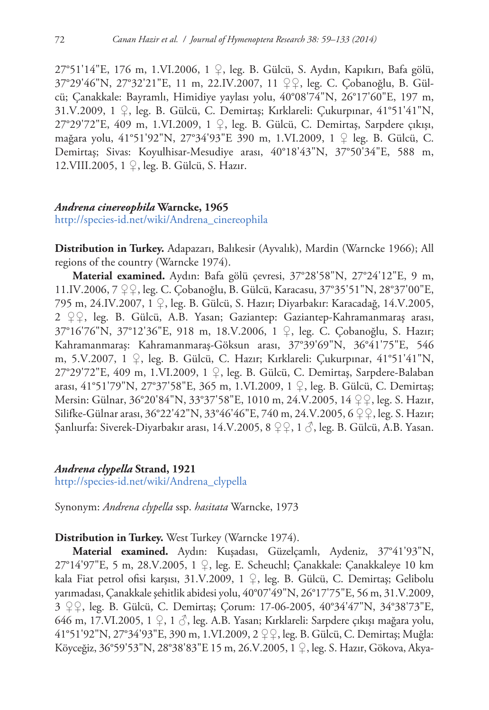27°51'14"E, 176 m, 1.VI.2006, 1 ♀, leg. B. Gülcü, S. Aydın, Kapıkırı, Bafa gölü, 37°29'46"N, 27°32'21"E, 11 m, 22.IV.2007, 11 ♀♀, leg. C. Çobanoğlu, B. Gülcü; Çanakkale: Bayramlı, Himidiye yaylası yolu, 40°08'74"N, 26°17'60"E, 197 m, 31.V.2009, 1 ♀, leg. B. Gülcü, C. Demirtaş; Kırklareli: Çukurpınar, 41°51'41"N, 27°29'72"E, 409 m, 1.VI.2009, 1 ♀, leg. B. Gülcü, C. Demirtaş, Sarpdere çıkışı, mağara yolu, 41°51'92"N, 27°34'93"E 390 m, 1.VI.2009, 1 ♀ leg. B. Gülcü, C. Demirtaş; Sivas: Koyulhisar-Mesudiye arası, 40°18'43"N, 37°50'34"E, 588 m, 12.VIII.2005, 1 ♀, leg. B. Gülcü, S. Hazır.

## *Andrena cinereophila* **Warncke, 1965**

[http://species-id.net/wiki/Andrena\\_cinereophila](http://species-id.net/wiki/Andrena_cinereophila)

**Distribution in Turkey.** Adapazarı, Balıkesir (Ayvalık), Mardin (Warncke 1966); All regions of the country (Warncke 1974).

**Material examined.** Aydın: Bafa gölü çevresi, 37°28'58"N, 27°24'12"E, 9 m, 11.IV.2006, 7 ♀♀, leg. C. Çobanoğlu, B. Gülcü, Karacasu, 37°35'51"N, 28°37'00"E, 795 m, 24.IV.2007, 1 ♀, leg. B. Gülcü, S. Hazır; Diyarbakır: Karacadağ, 14.V.2005, 2 ♀♀, leg. B. Gülcü, A.B. Yasan; Gaziantep: Gaziantep-Kahramanmaraş arası, 37°16'76"N, 37°12'36"E, 918 m, 18.V.2006, 1 ♀, leg. C. Çobanoğlu, S. Hazır; Kahramanmaraş: Kahramanmaraş-Göksun arası, 37°39'69"N, 36°41'75"E, 546 m, 5.V.2007, 1 ♀, leg. B. Gülcü, C. Hazır; Kırklareli: Çukurpınar, 41°51'41"N, 27°29'72"E, 409 m, 1.VI.2009, 1 ♀, leg. B. Gülcü, C. Demirtaş, Sarpdere-Balaban arası, 41°51'79"N, 27°37'58"E, 365 m, 1.VI.2009, 1 ♀, leg. B. Gülcü, C. Demirtaş; Mersin: Gülnar, 36°20'84"N, 33°37'58"E, 1010 m, 24.V.2005, 14 ♀♀, leg. S. Hazır, Silifke-Gülnar arası, 36°22'42"N, 33°46'46"E, 740 m, 24.V.2005, 6 ♀♀, leg. S. Hazır; Şanlıurfa: Siverek-Diyarbakır arası, 14.V.2005, 8 ♀♀, 1 ♂, leg. B. Gülcü, A.B. Yasan.

## *Andrena clypella* **Strand, 1921**

[http://species-id.net/wiki/Andrena\\_clypella](http://species-id.net/wiki/Andrena_clypella)

Synonym: *Andrena clypella* ssp. *hasitata* Warncke, 1973

## **Distribution in Turkey.** West Turkey (Warncke 1974).

**Material examined.** Aydın: Kuşadası, Güzelçamlı, Aydeniz, 37°41'93"N, 27°14'97"E, 5 m, 28.V.2005, 1 ♀, leg. E. Scheuchl; Çanakkale: Çanakkaleye 10 km kala Fiat petrol ofisi karşısı, 31.V.2009, 1 ♀, leg. B. Gülcü, C. Demirtaş; Gelibolu yarımadası, Çanakkale şehitlik abidesi yolu, 40°07'49"N, 26°17'75"E, 56 m, 31.V.2009, 3 ♀♀, leg. B. Gülcü, C. Demirtaş; Çorum: 17-06-2005, 40°34'47"N, 34°38'73"E, 646 m, 17.VI.2005, 1 ♀, 1 ♂, leg. A.B. Yasan; Kırklareli: Sarpdere çıkışı mağara yolu, 41°51'92"N, 27°34'93"E, 390 m, 1.VI.2009, 2 ♀♀, leg. B. Gülcü, C. Demirtaş; Muğla: Köyceğiz, 36°59'53"N, 28°38'83"E 15 m, 26.V.2005, 1 ♀, leg. S. Hazır, Gökova, Akya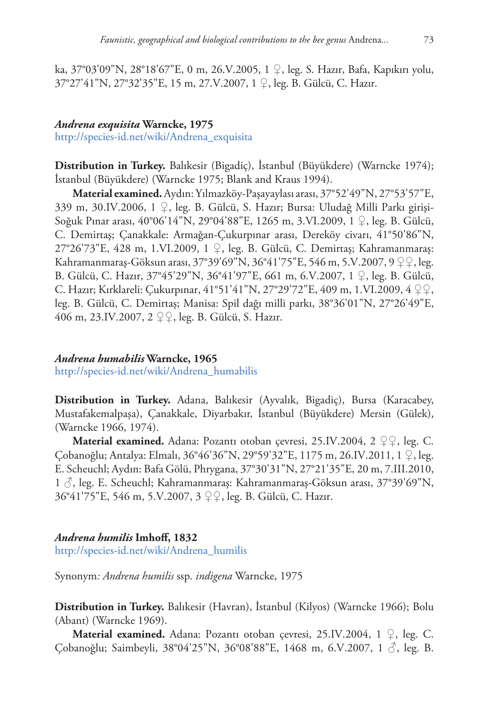ka, 37°03'09"N, 28°18'67"E, 0 m, 26.V.2005, 1 ♀, leg. S. Hazır, Bafa, Kapıkırı yolu, 37°27'41"N, 27°32'35"E, 15 m, 27.V.2007, 1 ♀, leg. B. Gülcü, C. Hazır.

## *Andrena exquisita* **Warncke, 1975**

[http://species-id.net/wiki/Andrena\\_exquisita](http://species-id.net/wiki/Andrena_exquisita)

**Distribution in Turkey.** Balıkesir (Bigadiç), İstanbul (Büyükdere) (Warncke 1974); İstanbul (Büyükdere) (Warncke 1975; Blank and Kraus 1994).

**Material examined.**Aydın: Yılmazköy-Paşayaylası arası, 37°52'49"N, 27°53'57"E, 339 m, 30.IV.2006, 1 ♀, leg. B. Gülcü, S. Hazır; Bursa: Uludağ Milli Parkı girişi-Soğuk Pınar arası, 40°06'14"N, 29°04'88"E, 1265 m, 3.VI.2009, 1 ♀, leg. B. Gülcü, C. Demirtaş; Çanakkale: Armağan-Çukurpınar arası, Dereköy civarı, 41°50'86"N, 27°26'73"E, 428 m, 1.VI.2009, 1 ♀, leg. B. Gülcü, C. Demirtaş; Kahramanmaraş: Kahramanmaraş-Göksun arası, 37°39'69"N, 36°41'75"E, 546 m, 5.V.2007, 9 ♀♀, leg. B. Gülcü, C. Hazır, 37°45'29"N, 36°41'97"E, 661 m, 6.V.2007, 1 ♀, leg. B. Gülcü, C. Hazır; Kırklareli: Çukurpınar, 41°51'41"N, 27°29'72"E, 409 m, 1.VI.2009, 4 ♀♀, leg. B. Gülcü, C. Demirtaş; Manisa: Spil dağı milli parkı, 38°36'01"N, 27°26'49"E, 406 m, 23.IV.2007, 2 ♀♀, leg. B. Gülcü, S. Hazır.

## *Andrena humabilis* **Warncke, 1965**

[http://species-id.net/wiki/Andrena\\_humabilis](http://species-id.net/wiki/Andrena_humabilis)

**Distribution in Turkey.** Adana, Balıkesir (Ayvalık, Bigadiç), Bursa (Karacabey, Mustafakemalpaşa), Çanakkale, Diyarbakır, İstanbul (Büyükdere) Mersin (Gülek), (Warncke 1966, 1974).

**Material examined.** Adana: Pozantı otoban çevresi, 25.IV.2004, 2 ♀♀, leg. C. Çobanoğlu; Antalya: Elmalı, 36°46'36"N, 29°59'32"E, 1175 m, 26.IV.2011, 1 ♀, leg. E. Scheuchl; Aydın: Bafa Gölü, Phrygana, 37°30'31"N, 27°21'35"E, 20 m, 7.III.2010, 1 ♂, leg. E. Scheuchl; Kahramanmaraş: Kahramanmaraş-Göksun arası, 37°39'69"N, 36°41'75"E, 546 m, 5.V.2007, 3 ♀♀, leg. B. Gülcü, C. Hazır.

## *Andrena humilis* **Imhoff, 1832**

[http://species-id.net/wiki/Andrena\\_humilis](http://species-id.net/wiki/Andrena_humilis)

Synonym*: Andrena humilis* ssp. *indigena* Warncke, 1975

**Distribution in Turkey.** Balıkesir (Havran), İstanbul (Kilyos) (Warncke 1966); Bolu (Abant) (Warncke 1969).

**Material examined.** Adana: Pozantı otoban çevresi, 25.IV.2004, 1 ♀, leg. C. Çobanoğlu; Saimbeyli, 38°04'25"N, 36°08'88"E, 1468 m, 6.V.2007, 1 ♂, leg. B.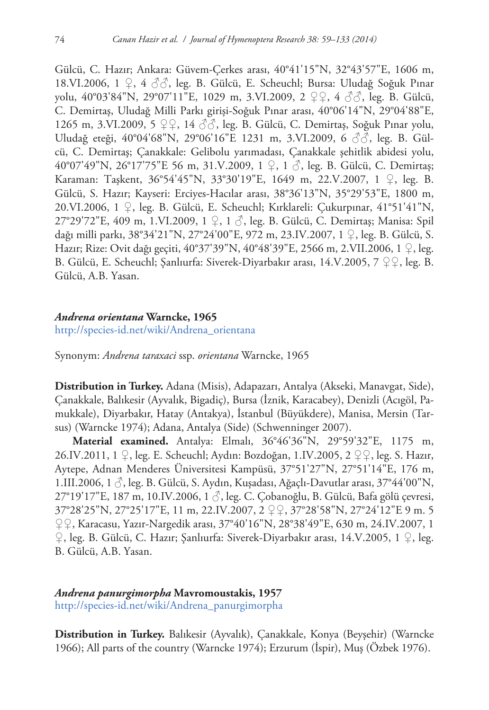Gülcü, C. Hazır; Ankara: Güvem-Çerkes arası, 40°41'15"N, 32°43'57"E, 1606 m, 18.VI.2006, 1 ♀, 4 ♂♂, leg. B. Gülcü, E. Scheuchl; Bursa: Uludağ Soğuk Pınar yolu, 40°03'84"N, 29°07'11"E, 1029 m, 3.VI.2009, 2 ♀♀, 4 ♂♂, leg. B. Gülcü, C. Demirtaş, Uludağ Milli Parkı girişi-Soğuk Pınar arası, 40°06'14"N, 29°04'88"E, 1265 m, 3.VI.2009, 5 ♀♀, 14 ♂♂, leg. B. Gülcü, C. Demirtaş, Soğuk Pınar yolu, Uludağ eteği, 40°04'68"N, 29°06'16"E 1231 m, 3.VI.2009, 6 ♂♂, leg. B. Gülcü, C. Demirtaş; Çanakkale: Gelibolu yarımadası, Çanakkale şehitlik abidesi yolu, 40°07'49"N, 26°17'75"E 56 m, 31.V.2009, 1 ♀, 1 ♂, leg. B. Gülcü, C. Demirtaş; Karaman: Taşkent, 36°54'45"N, 33°30'19"E, 1649 m, 22.V.2007, 1 ♀, leg. B. Gülcü, S. Hazır; Kayseri: Erciyes-Hacılar arası, 38°36'13"N, 35°29'53"E, 1800 m, 20.VI.2006, 1 ♀, leg. B. Gülcü, E. Scheuchl; Kırklareli: Çukurpınar, 41°51'41"N, 27°29'72"E, 409 m, 1.VI.2009, 1 ♀, 1 ♂, leg. B. Gülcü, C. Demirtaş; Manisa: Spil dağı milli parkı, 38°34'21"N, 27°24'00"E, 972 m, 23.IV.2007, 1 ♀, leg. B. Gülcü, S. Hazır; Rize: Ovit dağı geçiti, 40°37'39"N, 40°48'39"E, 2566 m, 2.VII.2006, 1 ♀, leg. B. Gülcü, E. Scheuchl; Şanlıurfa: Siverek-Diyarbakır arası, 14.V.2005, 7 ♀♀, leg. B. Gülcü, A.B. Yasan.

## *Andrena orientana* **Warncke, 1965**

[http://species-id.net/wiki/Andrena\\_orientana](http://species-id.net/wiki/Andrena_orientana)

Synonym: *Andrena taraxaci* ssp. *orientana* Warncke, 1965

**Distribution in Turkey.** Adana (Misis), Adapazarı, Antalya (Akseki, Manavgat, Side), Çanakkale, Balıkesir (Ayvalık, Bigadiç), Bursa (İznik, Karacabey), Denizli (Acıgöl, Pamukkale), Diyarbakır, Hatay (Antakya), İstanbul (Büyükdere), Manisa, Mersin (Tarsus) (Warncke 1974); Adana, Antalya (Side) (Schwenninger 2007).

**Material examined.** Antalya: Elmalı, 36°46'36"N, 29°59'32"E, 1175 m, 26.IV.2011, 1 ♀, leg. E. Scheuchl; Aydın: Bozdoğan, 1.IV.2005, 2 ♀♀, leg. S. Hazır, Aytepe, Adnan Menderes Üniversitesi Kampüsü, 37°51'27"N, 27°51'14"E, 176 m, 1.III.2006, 1 ♂, leg. B. Gülcü, S. Aydın, Kuşadası, Ağaçlı-Davutlar arası, 37°44'00"N, 27°19'17"E, 187 m, 10.IV.2006, 1 3, leg. C. Çobanoğlu, B. Gülcü, Bafa gölü çevresi, 37°28'25"N, 27°25'17"E, 11 m, 22.IV.2007, 2 ♀♀, 37°28'58"N, 27°24'12"E 9 m. 5 ♀♀, Karacasu, Yazır-Nargedik arası, 37°40'16"N, 28°38'49"E, 630 m, 24.IV.2007, 1 ♀, leg. B. Gülcü, C. Hazır; Şanlıurfa: Siverek-Diyarbakır arası, 14.V.2005, 1 ♀, leg. B. Gülcü, A.B. Yasan.

# *Andrena panurgimorpha* **Mavromoustakis, 1957**

[http://species-id.net/wiki/Andrena\\_panurgimorpha](http://species-id.net/wiki/Andrena_panurgimorpha)

**Distribution in Turkey.** Balıkesir (Ayvalık), Çanakkale, Konya (Beyşehir) (Warncke 1966); All parts of the country (Warncke 1974); Erzurum (İspir), Muş (Özbek 1976).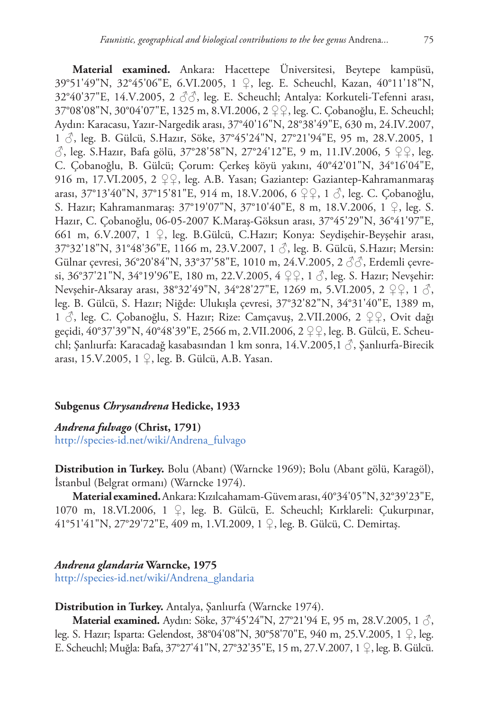**Material examined.** Ankara: Hacettepe Üniversitesi, Beytepe kampüsü, 39°51'49"N, 32°45'06"E, 6.VI.2005, 1 ♀, leg. E. Scheuchl, Kazan, 40°11'18"N,  $32^{\circ}40'37''$ E, 14.V.2005, 2 $\langle \partial \phi \rangle$ , leg. E. Scheuchl; Antalya: Korkuteli-Tefenni arası, 37°08'08"N, 30°04'07"E, 1325 m, 8.VI.2006, 2 ♀♀, leg. C. Çobanoğlu, E. Scheuchl; Aydın: Karacasu, Yazır-Nargedik arası, 37°40'16"N, 28°38'49"E, 630 m, 24.IV.2007, 1 ♂, leg. B. Gülcü, S.Hazır, Söke, 37°45'24"N, 27°21'94"E, 95 m, 28.V.2005, 1  $\Diamond$ , leg. S.Hazır, Bafa gölü, 37°28'58"N, 27°24'12"E, 9 m, 11.IV.2006, 5 ♀♀, leg. C. Çobanoğlu, B. Gülcü; Çorum: Çerkeş köyü yakını, 40°42'01"N, 34°16'04"E, 916 m, 17.VI.2005, 2 ♀♀, leg. A.B. Yasan; Gaziantep: Gaziantep-Kahramanmaraş arası, 37°13'40"N, 37°15'81"E, 914 m, 18.V.2006, 6 ♀♀, 1 ♂, leg. C. Çobanoğlu, S. Hazır; Kahramanmaraş: 37°19'07"N, 37°10'40"E, 8 m, 18.V.2006, 1 ♀, leg. S. Hazır, C. Çobanoğlu, 06-05-2007 K.Maraş-Göksun arası, 37°45'29"N, 36°41'97"E, 661 m, 6.V.2007, 1 ♀, leg. B.Gülcü, C.Hazır; Konya: Seydişehir-Beyşehir arası, 37°32'18"N, 31°48'36"E, 1166 m, 23.V.2007, 1 ♂, leg. B. Gülcü, S.Hazır; Mersin: Gülnar çevresi, 36°20'84"N, 33°37'58"E, 1010 m, 24.V.2005, 2 ♂♂, Erdemli çevresi, 36°37'21"N, 34°19'96"E, 180 m, 22.V.2005, 4  $22$ , 1  $\circ$ , leg. S. Hazır; Nevşehir: Nevşehir-Aksaray arası, 38°32'49"N, 34°28'27"E, 1269 m, 5.VI.2005, 2 ♀♀, 1 ♂, leg. B. Gülcü, S. Hazır; Niğde: Ulukışla çevresi, 37°32'82"N, 34°31'40"E, 1389 m, 1 ♂, leg. C. Çobanoğlu, S. Hazır; Rize: Camçavuş, 2.VII.2006, 2 ♀♀, Ovit dağı geçidi, 40°37'39"N, 40°48'39"E, 2566 m, 2.VII.2006, 2 ♀♀, leg. B. Gülcü, E. Scheuchl; Şanlıurfa: Karacadağ kasabasından 1 km sonra, 14.V.2005,1 ♂, Şanlıurfa-Birecik arası, 15.V.2005, 1 ♀, leg. B. Gülcü, A.B. Yasan.

#### **Subgenus** *Chrysandrena* **Hedicke, 1933**

*Andrena fulvago* **(Christ, 1791)** [http://species-id.net/wiki/Andrena\\_fulvago](http://species-id.net/wiki/Andrena_fulvago)

**Distribution in Turkey.** Bolu (Abant) (Warncke 1969); Bolu (Abant gölü, Karagöl), İstanbul (Belgrat ormanı) (Warncke 1974).

**Material examined.**Ankara: Kızılcahamam-Güvem arası, 40°34'05"N, 32°39'23"E, 1070 m, 18.VI.2006, 1 ♀, leg. B. Gülcü, E. Scheuchl; Kırklareli: Çukurpınar, 41°51'41"N, 27°29'72"E, 409 m, 1.VI.2009, 1 ♀, leg. B. Gülcü, C. Demirtaş.

## *Andrena glandaria* **Warncke, 1975**

[http://species-id.net/wiki/Andrena\\_glandaria](http://species-id.net/wiki/Andrena_glandaria)

# **Distribution in Turkey.** Antalya, Şanlıurfa (Warncke 1974).

**Material examined.** Aydın: Söke, 37°45'24"N, 27°21'94 E, 95 m, 28.V.2005, 1  $\circ$ , leg. S. Hazır; Isparta: Gelendost, 38°04'08"N, 30°58'70"E, 940 m, 25.V.2005, 1 ♀, leg. E. Scheuchl; Muğla: Bafa, 37°27'41"N, 27°32'35"E, 15 m, 27.V.2007, 1 ♀, leg. B. Gülcü.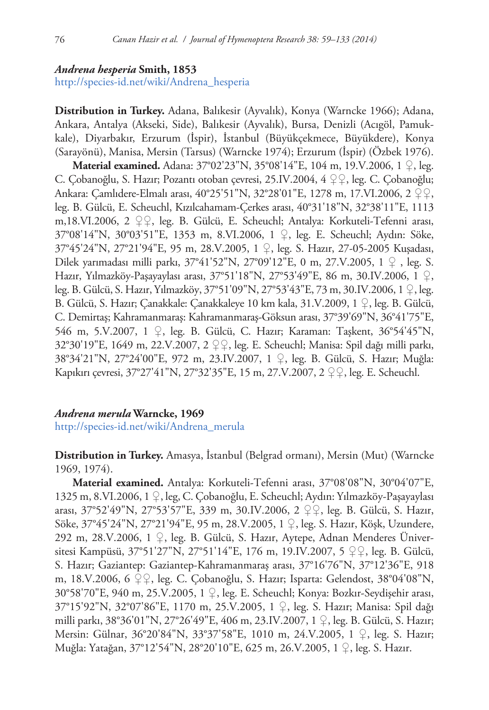## *Andrena hesperia* **Smith, 1853**

[http://species-id.net/wiki/Andrena\\_hesperia](http://species-id.net/wiki/Andrena_hesperia)

**Distribution in Turkey.** Adana, Balıkesir (Ayvalık), Konya (Warncke 1966); Adana, Ankara, Antalya (Akseki, Side), Balıkesir (Ayvalık), Bursa, Denizli (Acıgöl, Pamukkale), Diyarbakır, Erzurum (İspir), İstanbul (Büyükçekmece, Büyükdere), Konya (Sarayönü), Manisa, Mersin (Tarsus) (Warncke 1974); Erzurum (İspir) (Özbek 1976). **Material examined.** Adana: 37°02'23"N, 35°08'14"E, 104 m, 19.V.2006, 1 ♀, leg. C. Çobanoğlu, S. Hazır; Pozantı otoban çevresi, 25.IV.2004, 4 ♀♀, leg. C. Çobanoğlu; Ankara: Çamlıdere-Elmalı arası, 40°25'51"N, 32°28'01"E, 1278 m, 17.VI.2006, 2 ♀♀, leg. B. Gülcü, E. Scheuchl, Kızılcahamam-Çerkes arası, 40°31'18"N, 32°38'11"E, 1113 m,18.VI.2006, 2 ♀♀, leg. B. Gülcü, E. Scheuchl; Antalya: Korkuteli-Tefenni arası, 37°08'14"N, 30°03'51"E, 1353 m, 8.VI.2006, 1 ♀, leg. E. Scheuchl; Aydın: Söke, 37°45'24"N, 27°21'94"E, 95 m, 28.V.2005, 1 ♀, leg. S. Hazır, 27-05-2005 Kuşadası, Dilek yarımadası milli parkı, 37°41'52"N, 27°09'12"E, 0 m, 27.V.2005, 1 ♀ , leg. S. Hazır, Yılmazköy-Paşayaylası arası, 37°51'18"N, 27°53'49"E, 86 m, 30.IV.2006, 1 ♀, leg. B. Gülcü, S. Hazır, Yılmazköy, 37°51'09"N, 27°53'43"E, 73 m, 30.IV.2006, 1 ♀, leg. B. Gülcü, S. Hazır; Çanakkale: Çanakkaleye 10 km kala, 31.V.2009, 1 ♀, leg. B. Gülcü, C. Demirtaş; Kahramanmaraş: Kahramanmaraş-Göksun arası, 37°39'69"N, 36°41'75"E, 546 m, 5.V.2007, 1 ♀, leg. B. Gülcü, C. Hazır; Karaman: Taşkent, 36°54'45"N, 32°30'19"E, 1649 m, 22.V.2007, 2 ♀♀, leg. E. Scheuchl; Manisa: Spil dağı milli parkı, 38°34'21"N, 27°24'00"E, 972 m, 23.IV.2007, 1 ♀, leg. B. Gülcü, S. Hazır; Muğla: Kapıkırı çevresi, 37°27'41"N, 27°32'35"E, 15 m, 27.V.2007, 2 ♀♀, leg. E. Scheuchl.

## *Andrena merula* **Warncke, 1969**

[http://species-id.net/wiki/Andrena\\_merula](http://species-id.net/wiki/Andrena_merula)

**Distribution in Turkey.** Amasya, İstanbul (Belgrad ormanı), Mersin (Mut) (Warncke 1969, 1974).

**Material examined.** Antalya: Korkuteli-Tefenni arası, 37°08'08"N, 30°04'07"E, 1325 m, 8.VI.2006, 1 ♀, leg, C. Çobanoğlu, E. Scheuchl; Aydın: Yılmazköy-Paşayaylası arası, 37°52'49"N, 27°53'57"E, 339 m, 30.IV.2006, 2 ♀♀, leg. B. Gülcü, S. Hazır, Söke, 37°45'24"N, 27°21'94"E, 95 m, 28.V.2005, 1 ♀, leg. S. Hazır, Köşk, Uzundere, 292 m, 28.V.2006, 1 ♀, leg. B. Gülcü, S. Hazır, Aytepe, Adnan Menderes Üniversitesi Kampüsü, 37°51'27"N, 27°51'14"E, 176 m, 19.IV.2007, 5 ♀♀, leg. B. Gülcü, S. Hazır; Gaziantep: Gaziantep-Kahramanmaraş arası, 37°16'76"N, 37°12'36"E, 918 m, 18.V.2006, 6 ♀♀, leg. C. Çobanoğlu, S. Hazır; Isparta: Gelendost, 38°04'08"N, 30°58'70"E, 940 m, 25.V.2005, 1 ♀, leg. E. Scheuchl; Konya: Bozkır-Seydişehir arası, 37°15'92"N, 32°07'86"E, 1170 m, 25.V.2005, 1 ♀, leg. S. Hazır; Manisa: Spil dağı milli parkı, 38°36'01"N, 27°26'49"E, 406 m, 23.IV.2007, 1 ♀, leg. B. Gülcü, S. Hazır; Mersin: Gülnar, 36°20'84"N, 33°37'58"E, 1010 m, 24.V.2005, 1 ♀, leg. S. Hazır; Muğla: Yatağan, 37°12'54"N, 28°20'10"E, 625 m, 26.V.2005, 1 ♀, leg. S. Hazır.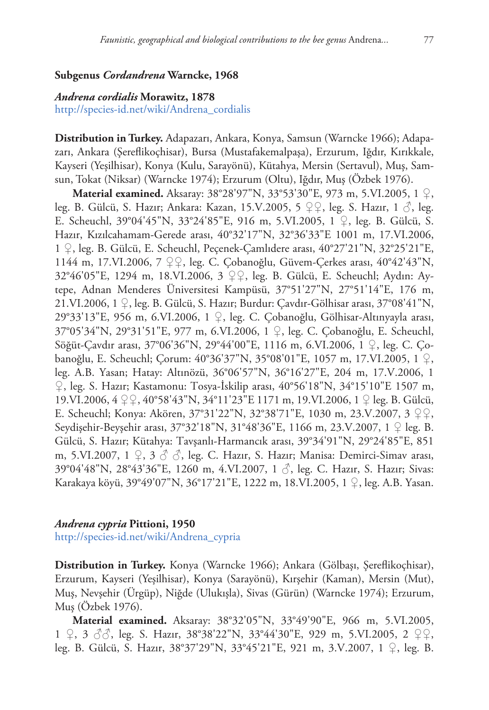## **Subgenus** *Cordandrena* **Warncke, 1968**

## *Andrena cordialis* **Morawitz, 1878**

[http://species-id.net/wiki/Andrena\\_cordialis](http://species-id.net/wiki/Andrena_cordialis)

**Distribution in Turkey.** Adapazarı, Ankara, Konya, Samsun (Warncke 1966); Adapazarı, Ankara (Şereflikoçhisar), Bursa (Mustafakemalpaşa), Erzurum, Iğdır, Kırıkkale, Kayseri (Yeşilhisar), Konya (Kulu, Sarayönü), Kütahya, Mersin (Sertavul), Muş, Samsun, Tokat (Niksar) (Warncke 1974); Erzurum (Oltu), Iğdır, Muş (Özbek 1976).

**Material examined.** Aksaray: 38°28'97"N, 33°53'30"E, 973 m, 5.VI.2005, 1 ♀, leg. B. Gülcü, S. Hazır; Ankara: Kazan, 15.V.2005, 5 ♀♀, leg. S. Hazır, 1 ♂, leg. E. Scheuchl, 39°04'45"N, 33°24'85"E, 916 m, 5.VI.2005, 1 ♀, leg. B. Gülcü, S. Hazır, Kızılcahamam-Gerede arası, 40°32'17"N, 32°36'33"E 1001 m, 17.VI.2006, 1 ♀, leg. B. Gülcü, E. Scheuchl, Peçenek-Çamlıdere arası, 40°27'21"N, 32°25'21"E, 1144 m, 17.VI.2006, 7 ♀♀, leg. C. Çobanoğlu, Güvem-Çerkes arası, 40°42'43"N, 32°46'05"E, 1294 m, 18.VI.2006, 3 ♀♀, leg. B. Gülcü, E. Scheuchl; Aydın: Aytepe, Adnan Menderes Üniversitesi Kampüsü, 37°51'27"N, 27°51'14"E, 176 m, 21.VI.2006, 1  $\varphi$ , leg. B. Gülcü, S. Hazır; Burdur: Cavdır-Gölhisar arası, 37°08'41"N, 29°33'13"E, 956 m, 6.VI.2006, 1 ♀, leg. C. Çobanoğlu, Gölhisar-Altınyayla arası, 37°05'34"N, 29°31'51"E, 977 m, 6.VI.2006, 1 ♀, leg. C. Çobanoğlu, E. Scheuchl, Söğüt-Çavdır arası, 37°06'36"N, 29°44'00"E, 1116 m, 6.VI.2006, 1 ♀, leg. C. Çobanoğlu, E. Scheuchl; Çorum: 40°36'37"N, 35°08'01"E, 1057 m, 17.VI.2005, 1 ♀, leg. A.B. Yasan; Hatay: Altınözü, 36°06'57"N, 36°16'27"E, 204 m, 17.V.2006, 1 ♀, leg. S. Hazır; Kastamonu: Tosya-İskilip arası, 40°56'18"N, 34°15'10"E 1507 m, 19.VI.2006, 4 ♀♀, 40°58'43"N, 34°11'23"E 1171 m, 19.VI.2006, 1 ♀ leg. B. Gülcü, E. Scheuchl; Konya: Akören, 37°31'22"N, 32°38'71"E, 1030 m, 23.V.2007, 3 ♀♀, Seydişehir-Beyşehir arası, 37°32'18"N, 31°48'36"E, 1166 m, 23.V.2007, 1 ♀ leg. B. Gülcü, S. Hazır; Kütahya: Tavşanlı-Harmancık arası, 39°34'91"N, 29°24'85"E, 851 m, 5.VI.2007, 1  $\varphi$ , 3  $\varphi$   $\varphi$ , leg. C. Hazır, S. Hazır; Manisa: Demirci-Simav arası, 39°04'48"N, 28°43'36"E, 1260 m, 4.VI.2007, 1 ♂, leg. C. Hazır, S. Hazır; Sivas: Karakaya köyü, 39°49'07"N, 36°17'21"E, 1222 m, 18.VI.2005, 1 ♀, leg. A.B. Yasan.

#### *Andrena cypria* **Pittioni, 1950**

[http://species-id.net/wiki/Andrena\\_cypria](http://species-id.net/wiki/Andrena_cypria)

**Distribution in Turkey.** Konya (Warncke 1966); Ankara (Gölbaşı, Şereflikoçhisar), Erzurum, Kayseri (Yeşilhisar), Konya (Sarayönü), Kırşehir (Kaman), Mersin (Mut), Muş, Nevşehir (Ürgüp), Niğde (Ulukışla), Sivas (Gürün) (Warncke 1974); Erzurum, Muş (Özbek 1976).

**Material examined.** Aksaray: 38°32'05"N, 33°49'90"E, 966 m, 5.VI.2005, 1 ♀, 3 ♂♂, leg. S. Hazır, 38°38'22"N, 33°44'30"E, 929 m, 5.VI.2005, 2 ♀♀, leg. B. Gülcü, S. Hazır, 38°37'29"N, 33°45'21"E, 921 m, 3.V.2007, 1 ♀, leg. B.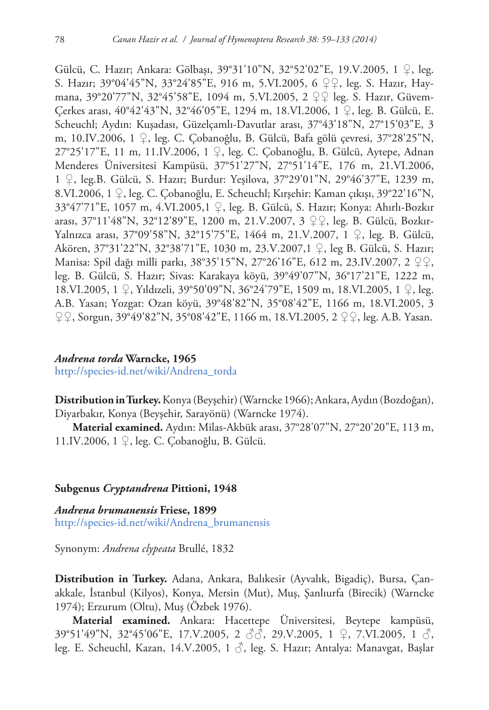Gülcü, C. Hazır; Ankara: Gölbaşı, 39°31'10"N, 32°52'02"E, 19.V.2005, 1 ♀, leg. S. Hazır; 39°04'45"N, 33°24'85"E, 916 m, 5.VI.2005, 6 ♀♀, leg. S. Hazır, Haymana, 39°20'77"N, 32°45'58"E, 1094 m, 5.VI.2005, 2 ♀♀ leg. S. Hazır, Güvem-Çerkes arası, 40°42'43"N, 32°46'05"E, 1294 m, 18.VI.2006, 1 ♀, leg. B. Gülcü, E. Scheuchl; Aydın: Kuşadası, Güzelçamlı-Davutlar arası, 37°43'18"N, 27°15'03"E, 3 m, 10.IV.2006, 1 ♀, leg. C. Çobanoğlu, B. Gülcü, Bafa gölü çevresi, 37°28'25"N, 27°25'17"E, 11 m, 11.IV.2006, 1 ♀, leg. C. Çobanoğlu, B. Gülcü, Aytepe, Adnan Menderes Üniversitesi Kampüsü, 37°51'27"N, 27°51'14"E, 176 m, 21.VI.2006, 1 ♀, leg.B. Gülcü, S. Hazır; Burdur: Yeşilova, 37°29'01"N, 29°46'37"E, 1239 m, 8.VI.2006, 1 ♀, leg. C. Çobanoğlu, E. Scheuchl; Kırşehir: Kaman çıkışı, 39°22'16"N, 33°47'71"E, 1057 m, 4.VI.2005,1 ♀, leg. B. Gülcü, S. Hazır; Konya: Ahırlı-Bozkır arası, 37°11'48"N, 32°12'89"E, 1200 m, 21.V.2007, 3 ♀♀, leg. B. Gülcü, Bozkır-Yalnızca arası, 37°09'58"N, 32°15'75"E, 1464 m, 21.V.2007, 1 ♀, leg. B. Gülcü, Akören, 37°31'22"N, 32°38'71"E, 1030 m, 23.V.2007,1 ♀, leg B. Gülcü, S. Hazır; Manisa: Spil dağı milli parkı, 38°35'15"N, 27°26'16"E, 612 m, 23.IV.2007, 2 ♀♀, leg. B. Gülcü, S. Hazır; Sivas: Karakaya köyü, 39°49'07"N, 36°17'21"E, 1222 m, 18.VI.2005, 1 ♀, Yıldızeli, 39°50'09"N, 36°24'79"E, 1509 m, 18.VI.2005, 1 ♀, leg. A.B. Yasan; Yozgat: Ozan köyü, 39°48'82"N, 35°08'42"E, 1166 m, 18.VI.2005, 3 ♀♀, Sorgun, 39°49'82"N, 35°08'42"E, 1166 m, 18.VI.2005, 2 ♀♀, leg. A.B. Yasan.

#### *Andrena torda* **Warncke, 1965**

[http://species-id.net/wiki/Andrena\\_torda](http://species-id.net/wiki/Andrena_torda)

**Distribution in Turkey.** Konya (Beyşehir) (Warncke 1966); Ankara, Aydın (Bozdoğan), Diyarbakır, Konya (Beyşehir, Sarayönü) (Warncke 1974).

**Material examined.** Aydın: Milas-Akbük arası, 37°28'07"N, 27°20'20"E, 113 m, 11.IV.2006, 1 ♀, leg. C. Çobanoğlu, B. Gülcü.

## **Subgenus** *Cryptandrena* **Pittioni, 1948**

*Andrena brumanensis* **Friese, 1899** [http://species-id.net/wiki/Andrena\\_brumanensis](http://species-id.net/wiki/Andrena_brumanensis)

Synonym: *Andrena clypeata* Brullé, 1832

**Distribution in Turkey.** Adana, Ankara, Balıkesir (Ayvalık, Bigadiç), Bursa, Çanakkale, İstanbul (Kilyos), Konya, Mersin (Mut), Muş, Şanlıurfa (Birecik) (Warncke 1974); Erzurum (Oltu), Muş (Özbek 1976).

**Material examined.** Ankara: Hacettepe Üniversitesi, Beytepe kampüsü, 39°51'49"N, 32°45'06"E, 17.V.2005, 2 ♂♂, 29.V.2005, 1 ♀, 7.VI.2005, 1 ♂, leg. E. Scheuchl, Kazan, 14.V.2005, 1 ♂, leg. S. Hazır; Antalya: Manavgat, Başlar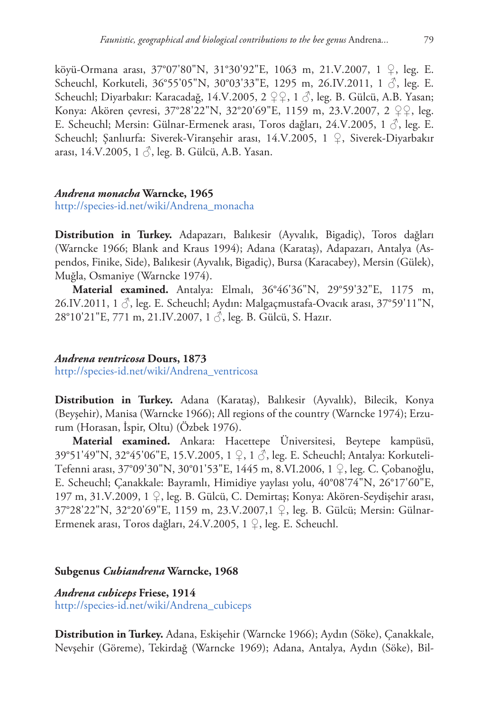köyü-Ormana arası, 37°07'80"N, 31°30'92"E, 1063 m, 21.V.2007, 1 ♀, leg. E. Scheuchl, Korkuteli, 36°55'05"N, 30°03'33"E, 1295 m, 26.IV.2011, 1  $\delta$ , leg. E. Scheuchl; Diyarbakır: Karacadağ, 14.V.2005, 2 ♀♀, 1 ♂, leg. B. Gülcü, A.B. Yasan; Konya: Akören çevresi, 37°28'22"N, 32°20'69"E, 1159 m, 23.V.2007, 2 ♀♀, leg. E. Scheuchl; Mersin: Gülnar-Ermenek arası, Toros dağları, 24.V.2005, 1  $\Diamond$ , leg. E. Scheuchl; Şanlıurfa: Siverek-Viranşehir arası, 14.V.2005, 1 ♀, Siverek-Diyarbakır arası, 14.V.2005, 1 $\Diamond$ , leg. B. Gülcü, A.B. Yasan.

## *Andrena monacha* **Warncke, 1965**

[http://species-id.net/wiki/Andrena\\_monacha](http://species-id.net/wiki/Andrena_monacha)

**Distribution in Turkey.** Adapazarı, Balıkesir (Ayvalık, Bigadiç), Toros dağları (Warncke 1966; Blank and Kraus 1994); Adana (Karataş), Adapazarı, Antalya (Aspendos, Finike, Side), Balıkesir (Ayvalık, Bigadiç), Bursa (Karacabey), Mersin (Gülek), Muğla, Osmaniye (Warncke 1974).

**Material examined.** Antalya: Elmalı, 36°46'36"N, 29°59'32"E, 1175 m, 26.IV.2011, 1 $\beta$ , leg. E. Scheuchl; Aydın: Malgaçmustafa-Ovacık arası, 37°59'11"N, 28°10'21"E, 771 m, 21.IV.2007, 1 3, leg. B. Gülcü, S. Hazır.

## *Andrena ventricosa* **Dours, 1873**

[http://species-id.net/wiki/Andrena\\_ventricosa](http://species-id.net/wiki/Andrena_ventricosa)

**Distribution in Turkey.** Adana (Karataş), Balıkesir (Ayvalık), Bilecik, Konya (Beyşehir), Manisa (Warncke 1966); All regions of the country (Warncke 1974); Erzurum (Horasan, İspir, Oltu) (Özbek 1976).

**Material examined.** Ankara: Hacettepe Üniversitesi, Beytepe kampüsü, 39°51'49"N, 32°45'06"E, 15.V.2005, 1 ♀, 1 ♂, leg. E. Scheuchl; Antalya: Korkuteli-Tefenni arası, 37°09'30"N, 30°01'53"E, 1445 m, 8.VI.2006, 1 ♀, leg. C. Çobanoğlu, E. Scheuchl; Çanakkale: Bayramlı, Himidiye yaylası yolu, 40°08'74"N, 26°17'60"E, 197 m, 31.V.2009, 1 ♀, leg. B. Gülcü, C. Demirtaş; Konya: Akören-Seydişehir arası, 37°28'22"N, 32°20'69"E, 1159 m, 23.V.2007,1 ♀, leg. B. Gülcü; Mersin: Gülnar-Ermenek arası, Toros dağları, 24.V.2005, 1 ♀, leg. E. Scheuchl.

## **Subgenus** *Cubiandrena* **Warncke, 1968**

*Andrena cubiceps* **Friese, 1914** [http://species-id.net/wiki/Andrena\\_cubiceps](http://species-id.net/wiki/Andrena_cubiceps)

**Distribution in Turkey.** Adana, Eskişehir (Warncke 1966); Aydın (Söke), Çanakkale, Nevşehir (Göreme), Tekirdağ (Warncke 1969); Adana, Antalya, Aydın (Söke), Bil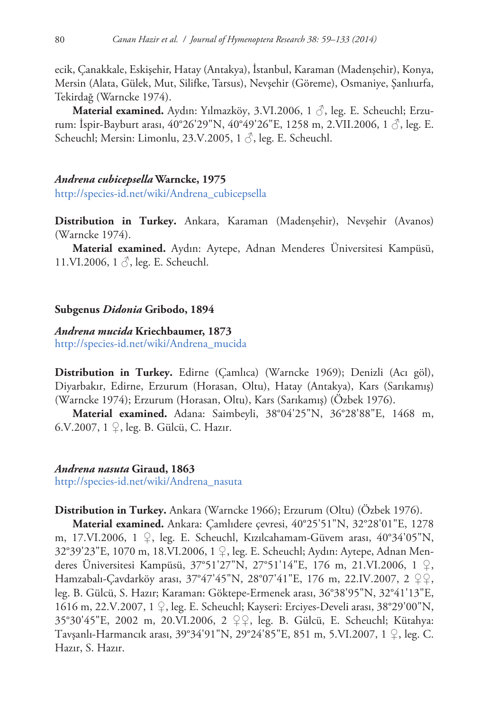ecik, Çanakkale, Eskişehir, Hatay (Antakya), İstanbul, Karaman (Madenşehir), Konya, Mersin (Alata, Gülek, Mut, Silifke, Tarsus), Nevşehir (Göreme), Osmaniye, Şanlıurfa, Tekirdağ (Warncke 1974).

**Material examined.** Aydın: Yılmazköy, 3.VI.2006, 1 ♂, leg. E. Scheuchl; Erzurum: İspir-Bayburt arası, 40°26'29"N, 40°49'26"E, 1258 m, 2.VII.2006, 1  $\circ$ , leg. E. Scheuchl; Mersin: Limonlu, 23.V.2005, 1 $\beta$ , leg. E. Scheuchl.

#### *Andrena cubicepsella* **Warncke, 1975**

[http://species-id.net/wiki/Andrena\\_cubicepsella](http://species-id.net/wiki/Andrena_cubicepsella)

**Distribution in Turkey.** Ankara, Karaman (Madenşehir), Nevşehir (Avanos) (Warncke 1974).

**Material examined.** Aydın: Aytepe, Adnan Menderes Üniversitesi Kampüsü, 11.VI.2006,  $1 \circ$ , leg. E. Scheuchl.

## **Subgenus** *Didonia* **Gribodo, 1894**

## *Andrena mucida* **Kriechbaumer, 1873**

[http://species-id.net/wiki/Andrena\\_mucida](http://species-id.net/wiki/Andrena_mucida)

**Distribution in Turkey.** Edirne (Çamlıca) (Warncke 1969); Denizli (Acı göl), Diyarbakır, Edirne, Erzurum (Horasan, Oltu), Hatay (Antakya), Kars (Sarıkamış) (Warncke 1974); Erzurum (Horasan, Oltu), Kars (Sarıkamış) (Özbek 1976).

**Material examined.** Adana: Saimbeyli, 38°04'25"N, 36°28'88"E, 1468 m, 6.V.2007, 1 ♀, leg. B. Gülcü, C. Hazır.

## *Andrena nasuta* **Giraud, 1863**

[http://species-id.net/wiki/Andrena\\_nasuta](http://species-id.net/wiki/Andrena_nasuta)

**Distribution in Turkey.** Ankara (Warncke 1966); Erzurum (Oltu) (Özbek 1976).

**Material examined.** Ankara: Çamlıdere çevresi, 40°25'51"N, 32°28'01"E, 1278 m, 17.VI.2006, 1  $\varphi$ , leg. E. Scheuchl, Kızılcahamam-Güvem arası, 40°34'05"N, 32°39'23"E, 1070 m, 18.VI.2006, 1 ♀, leg. E. Scheuchl; Aydın: Aytepe, Adnan Menderes Üniversitesi Kampüsü, 37°51'27"N, 27°51'14"E, 176 m, 21.VI.2006, 1 ♀, Hamzabalı-Çavdarköy arası, 37°47'45"N, 28°07'41"E, 176 m, 22.IV.2007, 2 ♀♀, leg. B. Gülcü, S. Hazır; Karaman: Göktepe-Ermenek arası, 36°38'95"N, 32°41'13"E, 1616 m, 22.V.2007, 1 ♀, leg. E. Scheuchl; Kayseri: Erciyes-Develi arası, 38°29'00"N, 35°30'45"E, 2002 m, 20.VI.2006, 2 ♀♀, leg. B. Gülcü, E. Scheuchl; Kütahya: Tavşanlı-Harmancık arası, 39°34'91"N, 29°24'85"E, 851 m, 5.VI.2007, 1 ♀, leg. C. Hazır, S. Hazır.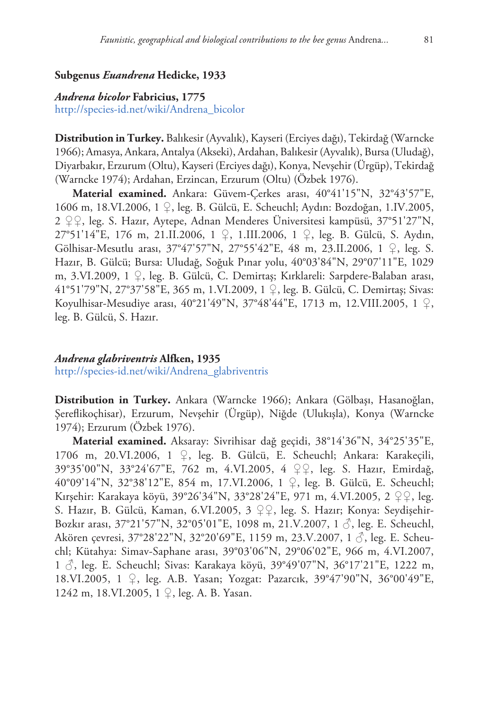## **Subgenus** *Euandrena* **Hedicke, 1933**

## *Andrena bicolor* **Fabricius, 1775**

[http://species-id.net/wiki/Andrena\\_bicolor](http://species-id.net/wiki/Andrena_bicolor)

**Distribution in Turkey.** Balıkesir (Ayvalık), Kayseri (Erciyes dağı), Tekirdağ (Warncke 1966); Amasya, Ankara, Antalya (Akseki), Ardahan, Balıkesir (Ayvalık), Bursa (Uludağ), Diyarbakır, Erzurum (Oltu), Kayseri (Erciyes dağı), Konya, Nevşehir (Ürgüp), Tekirdağ (Warncke 1974); Ardahan, Erzincan, Erzurum (Oltu) (Özbek 1976).

**Material examined.** Ankara: Güvem-Çerkes arası, 40°41'15"N, 32°43'57"E, 1606 m, 18.VI.2006, 1 ♀, leg. B. Gülcü, E. Scheuchl; Aydın: Bozdoğan, 1.IV.2005, 2 ♀♀, leg. S. Hazır, Aytepe, Adnan Menderes Üniversitesi kampüsü, 37°51'27"N, 27°51'14"E, 176 m, 21.II.2006, 1 ♀, 1.III.2006, 1 ♀, leg. B. Gülcü, S. Aydın, Gölhisar-Mesutlu arası, 37°47'57"N, 27°55'42"E, 48 m, 23.II.2006, 1 ♀, leg. S. Hazır, B. Gülcü; Bursa: Uludağ, Soğuk Pınar yolu, 40°03'84"N, 29°07'11"E, 1029 m, 3.VI.2009, 1 ♀, leg. B. Gülcü, C. Demirtaş; Kırklareli: Sarpdere-Balaban arası, 41°51'79"N, 27°37'58"E, 365 m, 1.VI.2009, 1 ♀, leg. B. Gülcü, C. Demirtaş; Sivas: Koyulhisar-Mesudiye arası, 40°21'49"N, 37°48'44"E, 1713 m, 12.VIII.2005, 1 ♀, leg. B. Gülcü, S. Hazır.

## *Andrena glabriventris* **Alfken, 1935**

[http://species-id.net/wiki/Andrena\\_glabriventris](http://species-id.net/wiki/Andrena_glabriventris)

**Distribution in Turkey.** Ankara (Warncke 1966); Ankara (Gölbaşı, Hasanoğlan, Şereflikoçhisar), Erzurum, Nevşehir (Ürgüp), Niğde (Ulukışla), Konya (Warncke 1974); Erzurum (Özbek 1976).

**Material examined.** Aksaray: Sivrihisar dağ geçidi, 38°14'36"N, 34°25'35"E, 1706 m, 20.VI.2006, 1 ♀, leg. B. Gülcü, E. Scheuchl; Ankara: Karakeçili, 39°35'00"N, 33°24'67"E, 762 m, 4.VI.2005, 4 ♀♀, leg. S. Hazır, Emirdağ, 40°09'14"N, 32°38'12"E, 854 m, 17.VI.2006, 1 ♀, leg. B. Gülcü, E. Scheuchl; Kırşehir: Karakaya köyü, 39°26'34"N, 33°28'24"E, 971 m, 4.VI.2005, 2 ♀♀, leg. S. Hazır, B. Gülcü, Kaman, 6.VI.2005, 3 ♀♀, leg. S. Hazır; Konya: Seydişehir-Bozkır arası, 37°21'57"N, 32°05'01"E, 1098 m, 21.V.2007, 1 ♂, leg. E. Scheuchl, Akören çevresi, 37°28'22"N, 32°20'69"E, 1159 m, 23.V.2007, 1  $\Diamond$ , leg. E. Scheuchl; Kütahya: Simav-Saphane arası, 39°03'06"N, 29°06'02"E, 966 m, 4.VI.2007, 1 ♂, leg. E. Scheuchl; Sivas: Karakaya köyü, 39°49'07"N, 36°17'21"E, 1222 m, 18.VI.2005, 1 ♀, leg. A.B. Yasan; Yozgat: Pazarcık, 39°47'90"N, 36°00'49"E, 1242 m, 18.VI.2005, 1 ♀, leg. A. B. Yasan.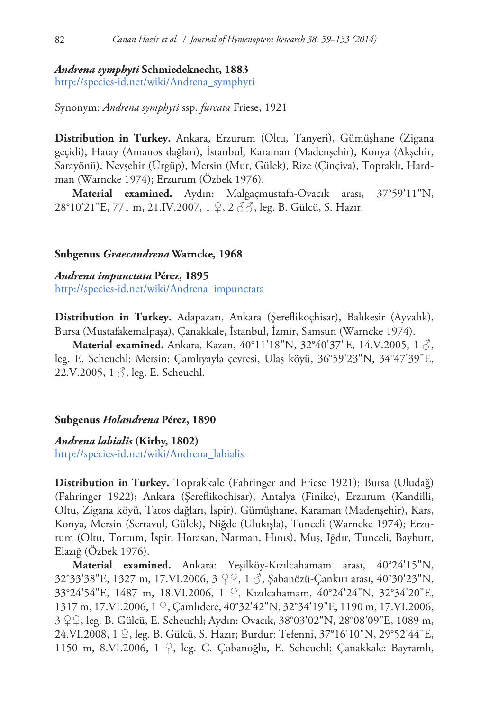# *Andrena symphyti* **Schmiedeknecht, 1883**

[http://species-id.net/wiki/Andrena\\_symphyti](http://species-id.net/wiki/Andrena_symphyti)

Synonym: *Andrena symphyti* ssp. *furcata* Friese, 1921

**Distribution in Turkey.** Ankara, Erzurum (Oltu, Tanyeri), Gümüşhane (Zigana geçidi), Hatay (Amanos dağları), İstanbul, Karaman (Madenşehir), Konya (Akşehir, Sarayönü), Nevşehir (Ürgüp), Mersin (Mut, Gülek), Rize (Çinçiva), Topraklı, Hardman (Warncke 1974); Erzurum (Özbek 1976).

**Material examined.** Aydın: Malgaçmustafa-Ovacık arası, 37°59'11"N, 28°10'21"E, 771 m, 21.IV.2007, 1 ♀, 2 o3, leg. B. Gülcü, S. Hazır.

## **Subgenus** *Graecandrena* **Warncke, 1968**

*Andrena impunctata* **Pérez, 1895** [http://species-id.net/wiki/Andrena\\_impunctata](http://species-id.net/wiki/Andrena_impunctata)

**Distribution in Turkey.** Adapazarı, Ankara (Şereflikoçhisar), Balıkesir (Ayvalık), Bursa (Mustafakemalpaşa), Çanakkale, İstanbul, İzmir, Samsun (Warncke 1974).

**Material examined.** Ankara, Kazan, 40°11'18"N, 32°40'37"E, 14.V.2005, 1  $\Diamond$ , leg. E. Scheuchl; Mersin: Çamlıyayla çevresi, Ulaş köyü, 36°59'23"N, 34°47'39"E, 22.V.2005, 1 ♂, leg. E. Scheuchl.

## **Subgenus** *Holandrena* **Pérez, 1890**

## *Andrena labialis* **(Kirby, 1802)**

[http://species-id.net/wiki/Andrena\\_labialis](http://species-id.net/wiki/Andrena_labialis)

**Distribution in Turkey.** Toprakkale (Fahringer and Friese 1921); Bursa (Uludağ) (Fahringer 1922); Ankara (Şereflikoçhisar), Antalya (Finike), Erzurum (Kandilli, Oltu, Zigana köyü, Tatos dağları, İspir), Gümüşhane, Karaman (Madenşehir), Kars, Konya, Mersin (Sertavul, Gülek), Niğde (Ulukışla), Tunceli (Warncke 1974); Erzurum (Oltu, Tortum, İspir, Horasan, Narman, Hınıs), Muş, Iğdır, Tunceli, Bayburt, Elazığ (Özbek 1976).

**Material examined.** Ankara: Yeşilköy-Kızılcahamam arası, 40°24'15"N, 32°33'38"E, 1327 m, 17.VI.2006, 3 ♀♀, 1 ♂, Şabanözü-Çankırı arası, 40°30'23"N, 33°24'54"E, 1487 m, 18.VI.2006, 1 ♀, Kızılcahamam, 40°24'24"N, 32°34'20"E, 1317 m, 17.VI.2006, 1 ♀, Çamlıdere, 40°32'42"N, 32°34'19"E, 1190 m, 17.VI.2006, 3 ♀♀, leg. B. Gülcü, E. Scheuchl; Aydın: Ovacık, 38°03'02"N, 28°08'09"E, 1089 m, 24.VI.2008, 1 ♀, leg. B. Gülcü, S. Hazır; Burdur: Tefenni, 37°16'10"N, 29°52'44"E, 1150 m, 8.VI.2006, 1 ♀, leg. C. Çobanoğlu, E. Scheuchl; Çanakkale: Bayramlı,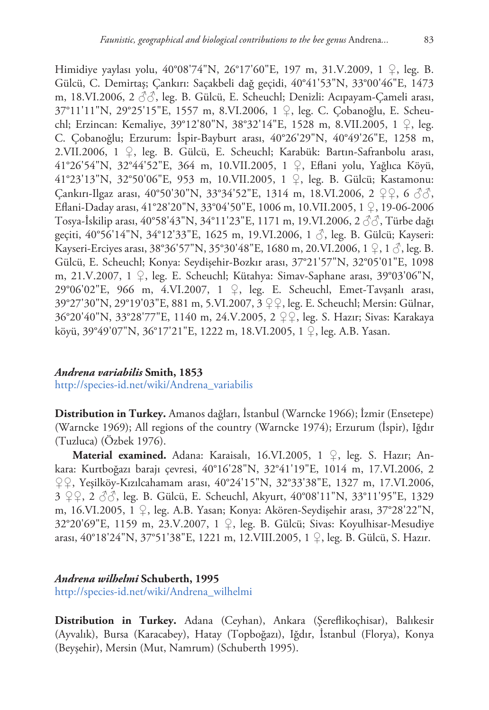Himidiye yaylası yolu, 40°08'74"N, 26°17'60"E, 197 m, 31.V.2009, 1 ♀, leg. B. Gülcü, C. Demirtaş; Çankırı: Saçakbeli dağ geçidi, 40°41'53"N, 33°00'46"E, 1473 m, 18.VI.2006, 2  $\Im$ , leg. B. Gülcü, E. Scheuchl; Denizli: Acıpayam-Cameli arası, 37°11'11"N, 29°25'15"E, 1557 m, 8.VI.2006, 1 ♀, leg. C. Çobanoğlu, E. Scheuchl; Erzincan: Kemaliye, 39°12'80"N, 38°32'14"E, 1528 m, 8.VII.2005, 1 ♀, leg. C. Çobanoğlu; Erzurum: İspir-Bayburt arası, 40°26'29"N, 40°49'26"E, 1258 m, 2.VII.2006, 1 ♀, leg. B. Gülcü, E. Scheuchl; Karabük: Bartın-Safranbolu arası, 41°26'54"N, 32°44'52"E, 364 m, 10.VII.2005, 1 ♀, Eflani yolu, Yağlıca Köyü, 41°23'13"N, 32°50'06"E, 953 m, 10.VII.2005, 1 ♀, leg. B. Gülcü; Kastamonu: Çankırı-Ilgaz arası, 40°50'30"N, 33°34'52"E, 1314 m, 18.VI.2006, 2 ♀♀, 6 ♂♂, Eflani-Daday arası, 41°28'20"N, 33°04'50"E, 1006 m, 10.VII.2005, 1 ♀, 19-06-2006 Tosya-İskilip arası, 40°58'43"N, 34°11'23"E, 1171 m, 19.VI.2006, 2 ♂♂, Türbe dağı geçiti, 40°56'14"N, 34°12'33"E, 1625 m, 19.VI.2006, 1 3, leg. B. Gülcü; Kayseri: Kayseri-Erciyes arası, 38°36'57"N, 35°30'48"E, 1680 m, 20.VI.2006, 1 ♀, 1 ♂, leg. B. Gülcü, E. Scheuchl; Konya: Seydişehir-Bozkır arası, 37°21'57"N, 32°05'01"E, 1098 m, 21.V.2007, 1 ♀, leg. E. Scheuchl; Kütahya: Simav-Saphane arası, 39°03'06"N, 29°06'02"E, 966 m, 4.VI.2007, 1 ♀, leg. E. Scheuchl, Emet-Tavşanlı arası, 39°27'30"N, 29°19'03"E, 881 m, 5.VI.2007, 3 ♀♀, leg. E. Scheuchl; Mersin: Gülnar, 36°20'40"N, 33°28'77"E, 1140 m, 24.V.2005, 2 ♀♀, leg. S. Hazır; Sivas: Karakaya köyü, 39°49'07"N, 36°17'21"E, 1222 m, 18.VI.2005, 1 ♀, leg. A.B. Yasan.

## *Andrena variabilis* **Smith, 1853**

[http://species-id.net/wiki/Andrena\\_variabilis](http://species-id.net/wiki/Andrena_variabilis)

**Distribution in Turkey.** Amanos dağları, İstanbul (Warncke 1966); İzmir (Ensetepe) (Warncke 1969); All regions of the country (Warncke 1974); Erzurum (İspir), Iğdır (Tuzluca) (Özbek 1976).

**Material examined.** Adana: Karaisalı, 16.VI.2005, 1 ♀, leg. S. Hazır; Ankara: Kurtboğazı barajı çevresi, 40°16'28"N, 32°41'19"E, 1014 m, 17.VI.2006, 2 ♀♀, Yeşilköy-Kızılcahamam arası, 40°24'15"N, 32°33'38"E, 1327 m, 17.VI.2006, 3 ♀♀, 2 ♂♂, leg. B. Gülcü, E. Scheuchl, Akyurt, 40°08'11"N, 33°11'95"E, 1329 m, 16.VI.2005, 1 ♀, leg. A.B. Yasan; Konya: Akören-Seydişehir arası, 37°28'22"N, 32°20'69"E, 1159 m, 23.V.2007, 1 ♀, leg. B. Gülcü; Sivas: Koyulhisar-Mesudiye arası, 40°18'24"N, 37°51'38"E, 1221 m, 12.VIII.2005, 1 ♀, leg. B. Gülcü, S. Hazır.

# *Andrena wilhelmi* **Schuberth, 1995**

[http://species-id.net/wiki/Andrena\\_wilhelmi](http://species-id.net/wiki/Andrena_wilhelmi)

**Distribution in Turkey.** Adana (Ceyhan), Ankara (Şereflikoçhisar), Balıkesir (Ayvalık), Bursa (Karacabey), Hatay (Topboğazı), Iğdır, İstanbul (Florya), Konya (Beyşehir), Mersin (Mut, Namrum) (Schuberth 1995).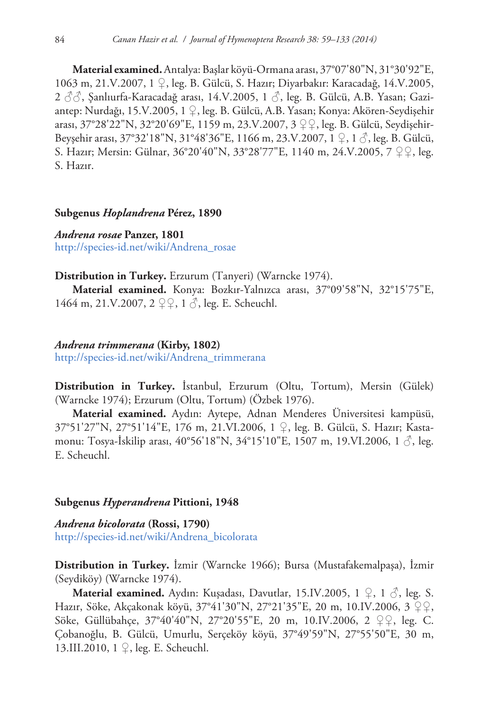**Material examined.**Antalya:Başlar köyü-Ormana arası, 37°07'80"N, 31°30'92"E, 1063 m, 21.V.2007, 1 ♀, leg. B. Gülcü, S. Hazır; Diyarbakır: Karacadağ, 14.V.2005, 2 33, Şanlıurfa-Karacadağ arası, 14.V.2005, 1 3, leg. B. Gülcü, A.B. Yasan; Gaziantep: Nurdağı, 15.V.2005, 1 ♀, leg. B. Gülcü, A.B. Yasan; Konya: Akören-Seydişehir arası, 37°28'22"N, 32°20'69"E, 1159 m, 23.V.2007, 3 ♀♀, leg. B. Gülcü, Seydişehir-Beyşehir arası, 37°32'18"N, 31°48'36"E, 1166 m, 23.V.2007, 1 ♀, 1 ♂, leg. B. Gülcü, S. Hazır; Mersin: Gülnar, 36°20'40"N, 33°28'77"E, 1140 m, 24.V.2005, 7 ♀♀, leg. S. Hazır.

#### **Subgenus** *Hoplandrena* **Pérez, 1890**

*Andrena rosae* **Panzer, 1801** [http://species-id.net/wiki/Andrena\\_rosae](http://species-id.net/wiki/Andrena_rosae)

#### **Distribution in Turkey.** Erzurum (Tanyeri) (Warncke 1974).

**Material examined.** Konya: Bozkır-Yalnızca arası, 37°09'58"N, 32°15'75"E, 1464 m, 21.V.2007,  $2 \nsubseteq \{1, 6\}$ , leg. E. Scheuchl.

## *Andrena trimmerana* **(Kirby, 1802)** [http://species-id.net/wiki/Andrena\\_trimmerana](http://species-id.net/wiki/Andrena_trimmerana)

**Distribution in Turkey.** İstanbul, Erzurum (Oltu, Tortum), Mersin (Gülek) (Warncke 1974); Erzurum (Oltu, Tortum) (Özbek 1976).

**Material examined.** Aydın: Aytepe, Adnan Menderes Üniversitesi kampüsü, 37°51'27"N, 27°51'14"E, 176 m, 21.VI.2006, 1 ♀, leg. B. Gülcü, S. Hazır; Kastamonu: Tosya-İskilip arası, 40°56'18"N, 34°15'10"E, 1507 m, 19.VI.2006, 1 $\zeta$ , leg. E. Scheuchl.

## **Subgenus** *Hyperandrena* **Pittioni, 1948**

*Andrena bicolorata* **(Rossi, 1790)** [http://species-id.net/wiki/Andrena\\_bicolorata](http://species-id.net/wiki/Andrena_bicolorata)

**Distribution in Turkey.** İzmir (Warncke 1966); Bursa (Mustafakemalpaşa), İzmir (Seydiköy) (Warncke 1974).

**Material examined.** Aydın: Kuşadası, Davutlar, 15.IV.2005, 1 ♀, 1 ♂, leg. S. Hazır, Söke, Akçakonak köyü, 37°41'30"N, 27°21'35"E, 20 m, 10.IV.2006, 3 ♀♀, Söke, Güllübahçe, 37°40'40"N, 27°20'55"E, 20 m, 10.IV.2006, 2 ♀♀, leg. C. Çobanoğlu, B. Gülcü, Umurlu, Serçeköy köyü, 37°49'59"N, 27°55'50"E, 30 m, 13.III.2010, 1 ♀, leg. E. Scheuchl.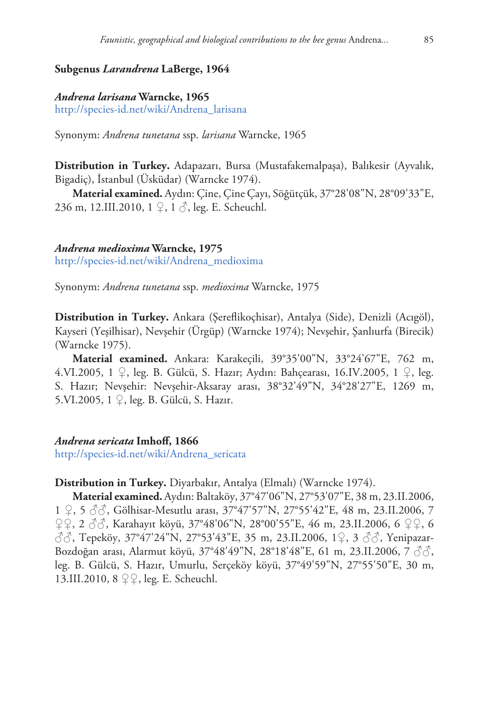## **Subgenus** *Larandrena* **LaBerge, 1964**

#### *Andrena larisana* **Warncke, 1965**

[http://species-id.net/wiki/Andrena\\_larisana](http://species-id.net/wiki/Andrena_larisana)

Synonym: *Andrena tunetana* ssp. *larisana* Warncke, 1965

**Distribution in Turkey.** Adapazarı, Bursa (Mustafakemalpaşa), Balıkesir (Ayvalık, Bigadiç), İstanbul (Üsküdar) (Warncke 1974).

**Material examined.** Aydın: Çine, Çine Çayı, Söğütçük, 37°28'08"N, 28°09'33"E, 236 m, 12.III.2010, 1 ♀, 1 ♂, leg. E. Scheuchl.

#### *Andrena medioxima* **Warncke, 1975**

[http://species-id.net/wiki/Andrena\\_medioxima](http://species-id.net/wiki/Andrena_medioxima)

Synonym: *Andrena tunetana* ssp. *medioxima* Warncke, 1975

**Distribution in Turkey.** Ankara (Şereflikoçhisar), Antalya (Side), Denizli (Acıgöl), Kayseri (Yeşilhisar), Nevşehir (Ürgüp) (Warncke 1974); Nevşehir, Şanlıurfa (Birecik) (Warncke 1975).

**Material examined.** Ankara: Karakeçili, 39°35'00"N, 33°24'67"E, 762 m, 4.VI.2005, 1 ♀, leg. B. Gülcü, S. Hazır; Aydın: Bahçearası, 16.IV.2005, 1 ♀, leg. S. Hazır; Nevşehir: Nevşehir-Aksaray arası, 38°32'49"N, 34°28'27"E, 1269 m, 5.VI.2005, 1 ♀, leg. B. Gülcü, S. Hazır.

*Andrena sericata* **Imhoff, 1866**

[http://species-id.net/wiki/Andrena\\_sericata](http://species-id.net/wiki/Andrena_sericata)

## **Distribution in Turkey.** Diyarbakır, Antalya (Elmalı) (Warncke 1974).

**Material examined.** Aydın: Baltaköy, 37°47'06"N, 27°53'07"E, 38 m, 23.II.2006, 1 ♀, 5 ♂♂, Gölhisar-Mesutlu arası, 37°47'57"N, 27°55'42"E, 48 m, 23.II.2006, 7 ♀♀, 2 ♂♂, Karahayıt köyü, 37°48'06"N, 28°00'55"E, 46 m, 23.II.2006, 6 ♀♀, 6 ♂♂, Tepeköy, 37°47'24"N, 27°53'43"E, 35 m, 23.II.2006, 1♀, 3 ♂♂, Yenipazar-Bozdoğan arası, Alarmut köyü, 37°48'49"N, 28°18'48"E, 61 m, 23.II.2006, 7 ♂♂, leg. B. Gülcü, S. Hazır, Umurlu, Serçeköy köyü, 37°49'59"N, 27°55'50"E, 30 m, 13.III.2010, 8 ♀♀, leg. E. Scheuchl.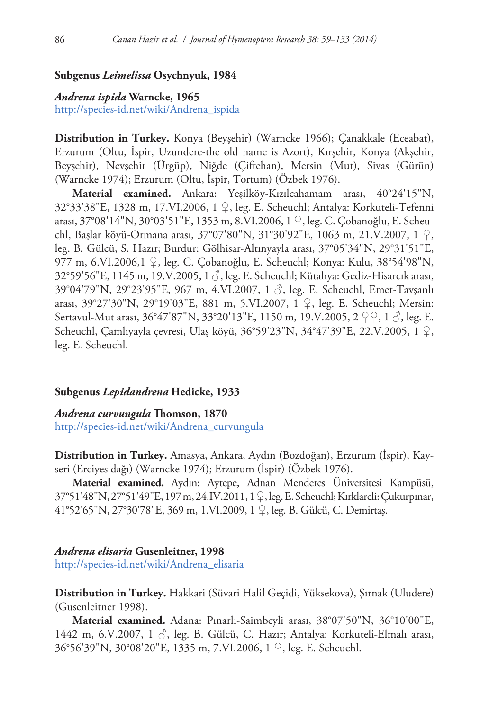## **Subgenus** *Leimelissa* **Osychnyuk, 1984**

## *Andrena ispida* **Warncke, 1965**

[http://species-id.net/wiki/Andrena\\_ispida](http://species-id.net/wiki/Andrena_ispida)

**Distribution in Turkey.** Konya (Beyşehir) (Warncke 1966); Çanakkale (Eceabat), Erzurum (Oltu, İspir, Uzundere-the old name is Azort), Kırşehir, Konya (Akşehir, Beyşehir), Nevşehir (Ürgüp), Niğde (Çiftehan), Mersin (Mut), Sivas (Gürün) (Warncke 1974); Erzurum (Oltu, İspir, Tortum) (Özbek 1976).

**Material examined.** Ankara: Yeşilköy-Kızılcahamam arası, 40°24'15"N, 32°33'38"E, 1328 m, 17.VI.2006, 1 ♀, leg. E. Scheuchl; Antalya: Korkuteli-Tefenni arası, 37°08'14"N, 30°03'51"E, 1353 m, 8.VI.2006, 1 ♀, leg. C. Çobanoğlu, E. Scheuchl, Başlar köyü-Ormana arası, 37°07'80"N, 31°30'92"E, 1063 m, 21.V.2007, 1 ♀, leg. B. Gülcü, S. Hazır; Burdur: Gölhisar-Altınyayla arası, 37°05'34"N, 29°31'51"E, 977 m, 6.VI.2006,1 ♀, leg. C. Çobanoğlu, E. Scheuchl; Konya: Kulu, 38°54'98"N, 32°59'56"E, 1145 m, 19.V.2005, 1 ♂, leg. E. Scheuchl; Kütahya: Gediz-Hisarcık arası, 39°04'79"N, 29°23'95"E, 967 m, 4.VI.2007, 1 ♂, leg. E. Scheuchl, Emet-Tavşanlı arası, 39°27'30"N, 29°19'03"E, 881 m, 5.VI.2007, 1 ♀, leg. E. Scheuchl; Mersin: Sertavul-Mut arası, 36°47'87"N, 33°20'13"E, 1150 m, 19.V.2005, 2 ♀♀, 1 √, leg. E. Scheuchl, Çamlıyayla çevresi, Ulaş köyü, 36°59'23"N, 34°47'39"E, 22.V.2005, 1 ♀, leg. E. Scheuchl.

#### **Subgenus** *Lepidandrena* **Hedicke, 1933**

*Andrena curvungula* **Thomson, 1870** [http://species-id.net/wiki/Andrena\\_curvungula](http://species-id.net/wiki/Andrena_curvungula)

**Distribution in Turkey.** Amasya, Ankara, Aydın (Bozdoğan), Erzurum (İspir), Kayseri (Erciyes dağı) (Warncke 1974); Erzurum (İspir) (Özbek 1976).

**Material examined.** Aydın: Aytepe, Adnan Menderes Üniversitesi Kampüsü, 37°51'48"N, 27°51'49"E, 197 m, 24.IV.2011, 1 ♀, leg. E. Scheuchl; Kırklareli: Çukurpınar, 41°52'65"N, 27°30'78"E, 369 m, 1.VI.2009, 1 ♀, leg. B. Gülcü, C. Demirtaş.

#### *Andrena elisaria* **Gusenleitner, 1998**

[http://species-id.net/wiki/Andrena\\_elisaria](http://species-id.net/wiki/Andrena_elisaria)

**Distribution in Turkey.** Hakkari (Süvari Halil Geçidi, Yüksekova), Şırnak (Uludere) (Gusenleitner 1998).

**Material examined.** Adana: Pınarlı-Saimbeyli arası, 38°07'50"N, 36°10'00"E, 1442 m, 6.V.2007, 1 ♂, leg. B. Gülcü, C. Hazır; Antalya: Korkuteli-Elmalı arası, 36°56'39"N, 30°08'20"E, 1335 m, 7.VI.2006, 1 ♀, leg. E. Scheuchl.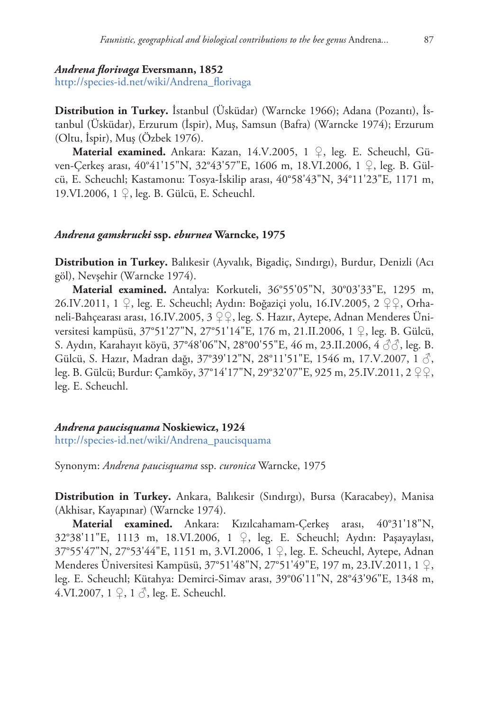#### *Andrena florivaga* **Eversmann, 1852**

[http://species-id.net/wiki/Andrena\\_florivaga](http://species-id.net/wiki/Andrena_florivaga)

**Distribution in Turkey.** İstanbul (Üsküdar) (Warncke 1966); Adana (Pozantı), İstanbul (Üsküdar), Erzurum (İspir), Muş, Samsun (Bafra) (Warncke 1974); Erzurum (Oltu, İspir), Muş (Özbek 1976).

**Material examined.** Ankara: Kazan, 14.V.2005, 1 ♀, leg. E. Scheuchl, Güven-Çerkeş arası, 40°41'15"N, 32°43'57"E, 1606 m, 18.VI.2006, 1 ♀, leg. B. Gülcü, E. Scheuchl; Kastamonu: Tosya-İskilip arası, 40°58'43"N, 34°11'23"E, 1171 m, 19.VI.2006, 1 ♀, leg. B. Gülcü, E. Scheuchl.

#### *Andrena gamskrucki* **ssp.** *eburnea* **Warncke, 1975**

**Distribution in Turkey.** Balıkesir (Ayvalık, Bigadiç, Sındırgı), Burdur, Denizli (Acı göl), Nevşehir (Warncke 1974).

**Material examined.** Antalya: Korkuteli, 36°55'05"N, 30°03'33"E, 1295 m, 26.IV.2011, 1 ♀, leg. E. Scheuchl; Aydın: Boğaziçi yolu, 16.IV.2005, 2 ♀♀, Orhaneli-Bahçearası arası, 16.IV.2005, 3 ♀♀, leg. S. Hazır, Aytepe, Adnan Menderes Üniversitesi kampüsü, 37°51'27"N, 27°51'14"E, 176 m, 21.II.2006, 1 ♀, leg. B. Gülcü, S. Aydın, Karahayıt köyü, 37°48'06"N, 28°00'55"E, 46 m, 23.II.2006, 4 ♂♂, leg. B. Gülcü, S. Hazır, Madran dağı, 37°39'12"N, 28°11'51"E, 1546 m, 17.V.2007, 1 ♂, leg. B. Gülcü; Burdur: Çamköy, 37°14'17"N, 29°32'07"E, 925 m, 25.IV.2011, 2 ♀♀, leg. E. Scheuchl.

#### *Andrena paucisquama* **Noskiewicz, 1924**

[http://species-id.net/wiki/Andrena\\_paucisquama](http://species-id.net/wiki/Andrena_paucisquama)

Synonym: *Andrena paucisquama* ssp. *curonica* Warncke, 1975

**Distribution in Turkey.** Ankara, Balıkesir (Sındırgı), Bursa (Karacabey), Manisa (Akhisar, Kayapınar) (Warncke 1974).

**Material examined.** Ankara: Kızılcahamam-Çerkeş arası, 40°31'18"N, 32°38'11"E, 1113 m, 18.VI.2006, 1 ♀, leg. E. Scheuchl; Aydın: Paşayaylası, 37°55'47"N, 27°53'44"E, 1151 m, 3.VI.2006, 1 ♀, leg. E. Scheuchl, Aytepe, Adnan Menderes Üniversitesi Kampüsü, 37°51'48"N, 27°51'49"E, 197 m, 23.IV.2011, 1 ♀, leg. E. Scheuchl; Kütahya: Demirci-Simav arası, 39°06'11"N, 28°43'96"E, 1348 m, 4.VI.2007,  $1 \nsubseteq$ ,  $1 \nless$ , leg. E. Scheuchl.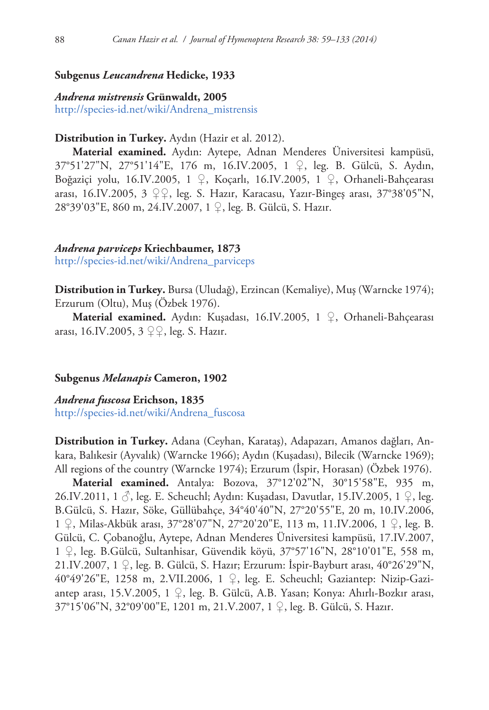## **Subgenus** *Leucandrena* **Hedicke, 1933**

#### *Andrena mistrensis* **Grünwaldt, 2005**

[http://species-id.net/wiki/Andrena\\_mistrensis](http://species-id.net/wiki/Andrena_mistrensis)

## **Distribution in Turkey.** Aydın (Hazir et al. 2012).

**Material examined.** Aydın: Aytepe, Adnan Menderes Üniversitesi kampüsü, 37°51'27"N, 27°51'14"E, 176 m, 16.IV.2005, 1 ♀, leg. B. Gülcü, S. Aydın, Boğaziçi yolu, 16.IV.2005, 1 ♀, Koçarlı, 16.IV.2005, 1 ♀, Orhaneli-Bahçearası arası, 16.IV.2005, 3 ♀♀, leg. S. Hazır, Karacasu, Yazır-Bingeş arası, 37°38'05"N, 28°39'03"E, 860 m, 24.IV.2007, 1 ♀, leg. B. Gülcü, S. Hazır.

#### *Andrena parviceps* **Kriechbaumer, 1873**

[http://species-id.net/wiki/Andrena\\_parviceps](http://species-id.net/wiki/Andrena_parviceps)

**Distribution in Turkey.** Bursa (Uludağ), Erzincan (Kemaliye), Muş (Warncke 1974); Erzurum (Oltu), Muş (Özbek 1976).

**Material examined.** Aydın: Kuşadası, 16.IV.2005, 1 ♀, Orhaneli-Bahçearası arası, 16.IV.2005, 3 ♀♀, leg. S. Hazır.

## **Subgenus** *Melanapis* **Cameron, 1902**

*Andrena fuscosa* **Erichson, 1835** [http://species-id.net/wiki/Andrena\\_fuscosa](http://species-id.net/wiki/Andrena_fuscosa)

**Distribution in Turkey.** Adana (Ceyhan, Karataş), Adapazarı, Amanos dağları, Ankara, Balıkesir (Ayvalık) (Warncke 1966); Aydın (Kuşadası), Bilecik (Warncke 1969); All regions of the country (Warncke 1974); Erzurum (İspir, Horasan) (Özbek 1976).

**Material examined.** Antalya: Bozova, 37°12'02"N, 30°15'58"E, 935 m, 26.IV.2011, 1 ♂, leg. E. Scheuchl; Aydın: Kuşadası, Davutlar, 15.IV.2005, 1 ♀, leg. B.Gülcü, S. Hazır, Söke, Güllübahçe, 34°40'40"N, 27°20'55"E, 20 m, 10.IV.2006, 1 ♀, Milas-Akbük arası, 37°28'07"N, 27°20'20"E, 113 m, 11.IV.2006, 1 ♀, leg. B. Gülcü, C. Çobanoğlu, Aytepe, Adnan Menderes Üniversitesi kampüsü, 17.IV.2007, 1 ♀, leg. B.Gülcü, Sultanhisar, Güvendik köyü, 37°57'16"N, 28°10'01"E, 558 m, 21.IV.2007, 1 ♀, leg. B. Gülcü, S. Hazır; Erzurum: İspir-Bayburt arası, 40°26'29"N, 40°49'26"E, 1258 m, 2.VII.2006, 1 ♀, leg. E. Scheuchl; Gaziantep: Nizip-Gaziantep arası, 15.V.2005, 1 ♀, leg. B. Gülcü, A.B. Yasan; Konya: Ahırlı-Bozkır arası, 37°15'06"N, 32°09'00"E, 1201 m, 21.V.2007, 1 ♀, leg. B. Gülcü, S. Hazır.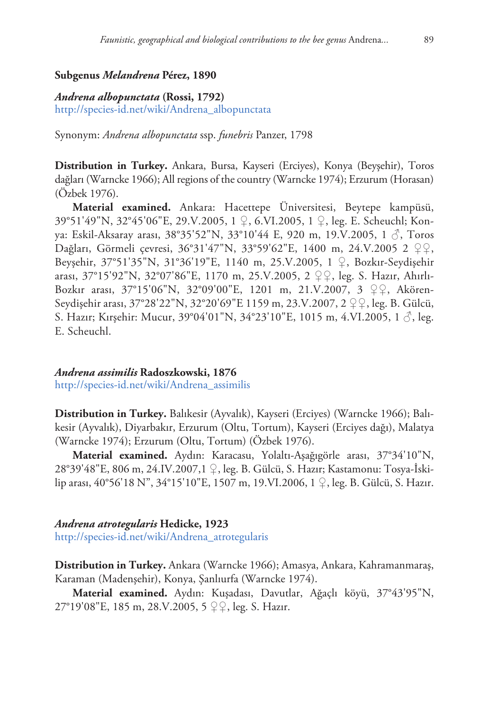## **Subgenus** *Melandrena* **Pérez, 1890**

#### *Andrena albopunctata* **(Rossi, 1792)**

[http://species-id.net/wiki/Andrena\\_albopunctata](http://species-id.net/wiki/Andrena_albopunctata)

Synonym: *Andrena albopunctata* ssp. *funebris* Panzer, 1798

**Distribution in Turkey.** Ankara, Bursa, Kayseri (Erciyes), Konya (Beyşehir), Toros dağları (Warncke 1966); All regions of the country (Warncke 1974); Erzurum (Horasan) (Özbek 1976).

**Material examined.** Ankara: Hacettepe Üniversitesi, Beytepe kampüsü, 39°51'49"N, 32°45'06"E, 29.V.2005, 1 ♀, 6.VI.2005, 1 ♀, leg. E. Scheuchl; Konya: Eskil-Aksaray arası, 38°35'52"N, 33°10'44 E, 920 m, 19.V.2005, 1 ♂, Toros Dağları, Görmeli çevresi, 36°31'47"N, 33°59'62"E, 1400 m, 24.V.2005 2 ♀♀, Beyşehir, 37°51'35"N, 31°36'19"E, 1140 m, 25.V.2005, 1 ♀, Bozkır-Seydişehir arası, 37°15'92"N, 32°07'86"E, 1170 m, 25.V.2005, 2 ♀♀, leg. S. Hazır, Ahırlı-Bozkır arası, 37°15'06"N, 32°09'00"E, 1201 m, 21.V.2007, 3 ♀♀, Akören-Seydişehir arası, 37°28'22"N, 32°20'69"E 1159 m, 23.V.2007, 2 ♀♀, leg. B. Gülcü, S. Hazır; Kırşehir: Mucur, 39°04'01"N, 34°23'10"E, 1015 m, 4.VI.2005, 1 √, leg. E. Scheuchl.

*Andrena assimilis* **Radoszkowski, 1876** [http://species-id.net/wiki/Andrena\\_assimilis](http://species-id.net/wiki/Andrena_assimilis)

**Distribution in Turkey.** Balıkesir (Ayvalık), Kayseri (Erciyes) (Warncke 1966); Balıkesir (Ayvalık), Diyarbakır, Erzurum (Oltu, Tortum), Kayseri (Erciyes dağı), Malatya (Warncke 1974); Erzurum (Oltu, Tortum) (Özbek 1976).

**Material examined.** Aydın: Karacasu, Yolaltı-Aşağıgörle arası, 37°34'10"N, 28°39'48"E, 806 m, 24.IV.2007,1 ♀, leg. B. Gülcü, S. Hazır; Kastamonu: Tosya-İskilip arası, 40°56'18 N", 34°15'10"E, 1507 m, 19.VI.2006, 1 ♀, leg. B. Gülcü, S. Hazır.

#### *Andrena atrotegularis* **Hedicke, 1923**

[http://species-id.net/wiki/Andrena\\_atrotegularis](http://species-id.net/wiki/Andrena_atrotegularis)

**Distribution in Turkey.** Ankara (Warncke 1966); Amasya, Ankara, Kahramanmaraş, Karaman (Madenşehir), Konya, Şanlıurfa (Warncke 1974).

**Material examined.** Aydın: Kuşadası, Davutlar, Ağaçlı köyü, 37°43'95"N, 27°19'08"E, 185 m, 28.V.2005, 5 ♀♀, leg. S. Hazır.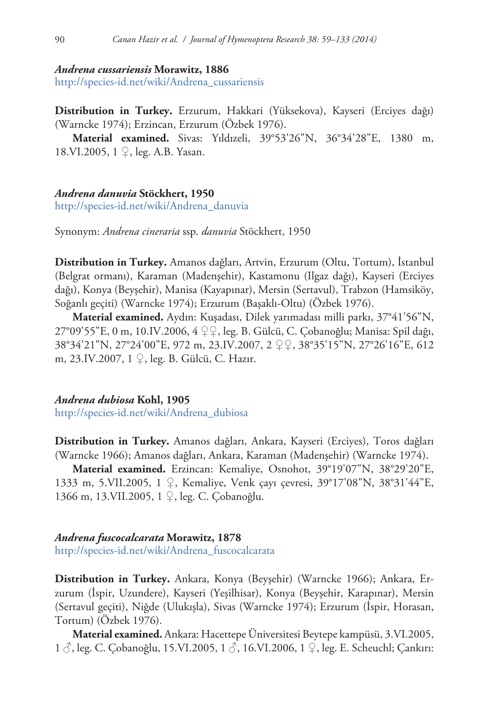#### *Andrena cussariensis* **Morawitz, 1886**

[http://species-id.net/wiki/Andrena\\_cussariensis](http://species-id.net/wiki/Andrena_cussariensis)

**Distribution in Turkey.** Erzurum, Hakkari (Yüksekova), Kayseri (Erciyes dağı) (Warncke 1974); Erzincan, Erzurum (Özbek 1976).

**Material examined.** Sivas: Yıldızeli, 39°53'26"N, 36°34'28"E, 1380 m, 18.VI.2005, 1 ♀, leg. A.B. Yasan.

#### *Andrena danuvia* **Stöckhert, 1950**

[http://species-id.net/wiki/Andrena\\_danuvia](http://species-id.net/wiki/Andrena_danuvia)

Synonym: *Andrena cineraria* ssp. *danuvia* Stöckhert, 1950

**Distribution in Turkey.** Amanos dağları, Artvin, Erzurum (Oltu, Tortum), İstanbul (Belgrat ormanı), Karaman (Madenşehir), Kastamonu (Ilgaz dağı), Kayseri (Erciyes dağı), Konya (Beyşehir), Manisa (Kayapınar), Mersin (Sertavul), Trabzon (Hamsiköy, Soğanlı geçiti) (Warncke 1974); Erzurum (Başaklı-Oltu) (Özbek 1976).

**Material examined.** Aydın: Kuşadası, Dilek yarımadası milli parkı, 37°41'56"N, 27°09'55"E, 0 m, 10.IV.2006, 4 ♀♀, leg. B. Gülcü, C. Çobanoğlu; Manisa: Spil dağı, 38°34'21"N, 27°24'00"E, 972 m, 23.IV.2007, 2 ♀♀, 38°35'15"N, 27°26'16"E, 612 m, 23.IV.2007, 1 ♀, leg. B. Gülcü, C. Hazır.

## *Andrena dubiosa* **Kohl, 1905**

[http://species-id.net/wiki/Andrena\\_dubiosa](http://species-id.net/wiki/Andrena_dubiosa)

**Distribution in Turkey.** Amanos dağları, Ankara, Kayseri (Erciyes), Toros dağları (Warncke 1966); Amanos dağları, Ankara, Karaman (Madenşehir) (Warncke 1974).

**Material examined.** Erzincan: Kemaliye, Osnohot, 39°19'07"N, 38°29'20"E, 1333 m, 5.VII.2005, 1 ♀, Kemaliye, Venk çayı çevresi, 39°17'08"N, 38°31'44"E, 1366 m, 13.VII.2005, 1 ♀, leg. C. Çobanoğlu.

## *Andrena fuscocalcarata* **Morawitz, 1878**

[http://species-id.net/wiki/Andrena\\_fuscocalcarata](http://species-id.net/wiki/Andrena_fuscocalcarata)

**Distribution in Turkey.** Ankara, Konya (Beyşehir) (Warncke 1966); Ankara, Erzurum (İspir, Uzundere), Kayseri (Yeşilhisar), Konya (Beyşehir, Karapınar), Mersin (Sertavul geçiti), Niğde (Ulukışla), Sivas (Warncke 1974); Erzurum (İspir, Horasan, Tortum) (Özbek 1976).

**Material examined.** Ankara: Hacettepe Üniversitesi Beytepe kampüsü, 3.VI.2005, 1 ♂, leg. C. Çobanoğlu, 15.VI.2005, 1 ♂, 16.VI.2006, 1 ♀, leg. E. Scheuchl; Çankırı: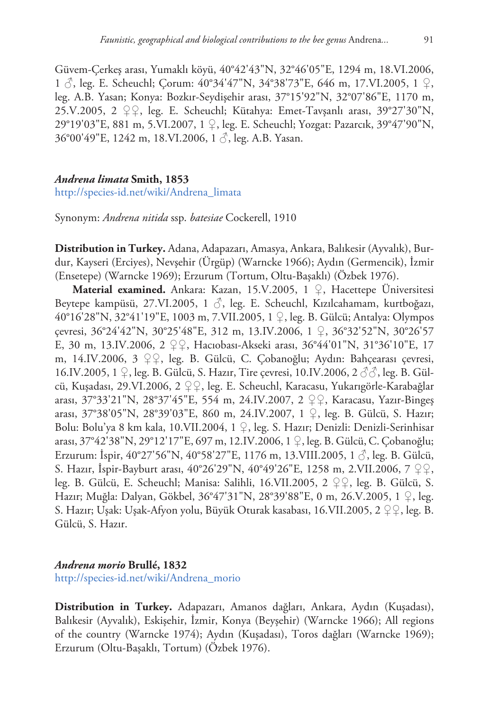Güvem-Çerkeş arası, Yumaklı köyü, 40°42'43"N, 32°46'05"E, 1294 m, 18.VI.2006, 1 ♂, leg. E. Scheuchl; Çorum: 40°34'47"N, 34°38'73"E, 646 m, 17.VI.2005, 1 ♀, leg. A.B. Yasan; Konya: Bozkır-Seydişehir arası, 37°15'92"N, 32°07'86"E, 1170 m, 25.V.2005, 2 ♀♀, leg. E. Scheuchl; Kütahya: Emet-Tavşanlı arası, 39°27'30"N, 29°19'03"E, 881 m, 5.VI.2007, 1 ♀, leg. E. Scheuchl; Yozgat: Pazarcık, 39°47'90"N, 36°00'49"E, 1242 m, 18.VI.2006, 1 ♂, leg. A.B. Yasan.

#### *Andrena limata* **Smith, 1853**

[http://species-id.net/wiki/Andrena\\_limata](http://species-id.net/wiki/Andrena_limata)

Synonym: *Andrena nitida* ssp. *batesiae* Cockerell, 1910

**Distribution in Turkey.** Adana, Adapazarı, Amasya, Ankara, Balıkesir (Ayvalık), Burdur, Kayseri (Erciyes), Nevşehir (Ürgüp) (Warncke 1966); Aydın (Germencik), İzmir (Ensetepe) (Warncke 1969); Erzurum (Tortum, Oltu-Başaklı) (Özbek 1976).

**Material examined.** Ankara: Kazan, 15.V.2005, 1 ♀, Hacettepe Üniversitesi Beytepe kampüsü, 27.VI.2005, 1 ♂, leg. E. Scheuchl, Kızılcahamam, kurtboğazı, 40°16'28"N, 32°41'19"E, 1003 m, 7.VII.2005, 1 ♀, leg. B. Gülcü; Antalya: Olympos çevresi, 36°24'42"N, 30°25'48"E, 312 m, 13.IV.2006, 1 ♀, 36°32'52"N, 30°26'57 E, 30 m, 13.IV.2006, 2 ♀♀, Hacıobası-Akseki arası, 36°44'01"N, 31°36'10"E, 17 m, 14.IV.2006, 3 ♀♀, leg. B. Gülcü, C. Çobanoğlu; Aydın: Bahçearası çevresi, 16.IV.2005, 1 ♀, leg. B. Gülcü, S. Hazır, Tire çevresi, 10.IV.2006, 2 3 3, leg. B. Gülcü, Kuşadası, 29.VI.2006, 2 ♀♀, leg. E. Scheuchl, Karacasu, Yukarıgörle-Karabağlar arası, 37°33'21"N, 28°37'45"E, 554 m, 24.IV.2007, 2 ♀♀, Karacasu, Yazır-Bingeş arası, 37°38'05"N, 28°39'03"E, 860 m, 24.IV.2007, 1 ♀, leg. B. Gülcü, S. Hazır; Bolu: Bolu'ya 8 km kala, 10.VII.2004, 1 ♀, leg. S. Hazır; Denizli: Denizli-Serinhisar arası, 37°42'38"N, 29°12'17"E, 697 m, 12.IV.2006, 1 ♀, leg. B. Gülcü, C. Çobanoğlu; Erzurum: İspir,  $40^{\circ}27'56''N$ ,  $40^{\circ}58'27''E$ , 1176 m, 13.VIII.2005, 1 $\Diamond$ , leg. B. Gülcü, S. Hazır, İspir-Bayburt arası, 40°26'29"N, 40°49'26"E, 1258 m, 2.VII.2006, 7 ♀♀, leg. B. Gülcü, E. Scheuchl; Manisa: Salihli, 16.VII.2005, 2 ♀♀, leg. B. Gülcü, S. Hazır; Muğla: Dalyan, Gökbel, 36°47'31"N, 28°39'88"E, 0 m, 26.V.2005, 1 ♀, leg. S. Hazır; Uşak: Uşak-Afyon yolu, Büyük Oturak kasabası, 16.VII.2005, 2 ♀♀, leg. B. Gülcü, S. Hazır.

## *Andrena morio* **Brullé, 1832**

[http://species-id.net/wiki/Andrena\\_morio](http://species-id.net/wiki/Andrena_morio)

**Distribution in Turkey.** Adapazarı, Amanos dağları, Ankara, Aydın (Kuşadası), Balıkesir (Ayvalık), Eskişehir, İzmir, Konya (Beyşehir) (Warncke 1966); All regions of the country (Warncke 1974); Aydın (Kuşadası), Toros dağları (Warncke 1969); Erzurum (Oltu-Başaklı, Tortum) (Özbek 1976).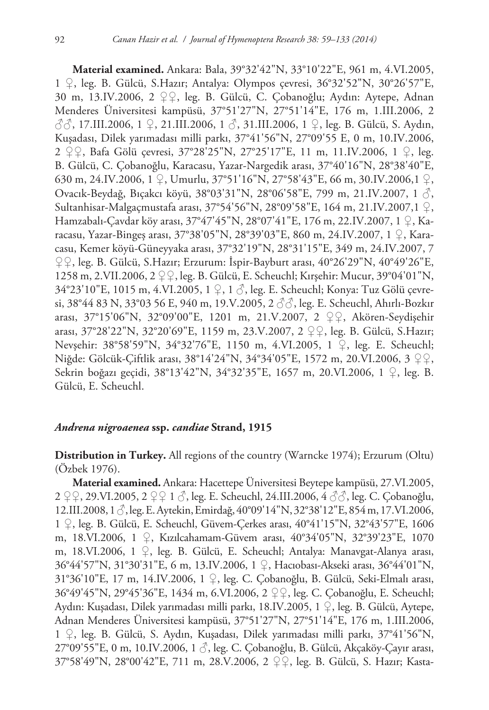**Material examined.** Ankara: Bala, 39°32'42"N, 33°10'22"E, 961 m, 4.VI.2005, 1 ♀, leg. B. Gülcü, S.Hazır; Antalya: Olympos çevresi, 36°32'52"N, 30°26'57"E, 30 m, 13.IV.2006, 2 ♀♀, leg. B. Gülcü, C. Çobanoğlu; Aydın: Aytepe, Adnan Menderes Üniversitesi kampüsü, 37°51'27"N, 27°51'14"E, 176 m, 1.III.2006, 2 ♂♂, 17.III.2006, 1 ♀, 21.III.2006, 1 ♂, 31.III.2006, 1 ♀, leg. B. Gülcü, S. Aydın, Kuşadası, Dilek yarımadası milli parkı, 37°41'56"N, 27°09'55 E, 0 m, 10.IV.2006, 2 ♀♀, Bafa Gölü çevresi, 37°28'25"N, 27°25'17"E, 11 m, 11.IV.2006, 1 ♀, leg. B. Gülcü, C. Çobanoğlu, Karacasu, Yazar-Nargedik arası, 37°40'16"N, 28°38'40"E, 630 m, 24.IV.2006, 1 ♀, Umurlu, 37°51'16"N, 27°58'43"E, 66 m, 30.IV.2006,1 ♀, Ovacık-Beydağ, Bıçakcı köyü, 38°03'31"N, 28°06'58"E, 799 m, 21.IV.2007, 1 ♂, Sultanhisar-Malgaçmustafa arası, 37°54'56"N, 28°09'58"E, 164 m, 21.IV.2007,1 ♀, Hamzabalı-Çavdar köy arası, 37°47'45"N, 28°07'41"E, 176 m, 22.IV.2007, 1 ♀, Karacasu, Yazar-Bingeş arası, 37°38'05"N, 28°39'03"E, 860 m, 24.IV.2007, 1 ♀, Karacasu, Kemer köyü-Güneyyaka arası, 37°32'19"N, 28°31'15"E, 349 m, 24.IV.2007, 7 ♀♀, leg. B. Gülcü, S.Hazır; Erzurum: İspir-Bayburt arası, 40°26'29"N, 40°49'26"E, 1258 m, 2.VII.2006, 2 ♀♀, leg. B. Gülcü, E. Scheuchl; Kırşehir: Mucur, 39°04'01"N, 34°23'10"E, 1015 m, 4.VI.2005, 1 ♀, 1 ♂, leg. E. Scheuchl; Konya: Tuz Gölü çevresi, 38°44 83 N, 33°03 56 E, 940 m, 19.V.2005, 2 $\beta \hat{\beta}$ , leg. E. Scheuchl, Ahırlı-Bozkır arası, 37°15'06"N, 32°09'00"E, 1201 m, 21.V.2007, 2 ♀♀, Akören-Seydişehir arası, 37°28'22"N, 32°20'69"E, 1159 m, 23.V.2007, 2 ♀♀, leg. B. Gülcü, S.Hazır; Nevşehir: 38°58'59"N, 34°32'76"E, 1150 m, 4.VI.2005, 1 ♀, leg. E. Scheuchl; Niğde: Gölcük-Çiftlik arası, 38°14'24"N, 34°34'05"E, 1572 m, 20.VI.2006, 3 ♀♀, Sekrin boğazı geçidi, 38°13'42"N, 34°32'35"E, 1657 m, 20.VI.2006, 1 ♀, leg. B. Gülcü, E. Scheuchl.

## *Andrena nigroaenea* **ssp.** *candiae* **Strand, 1915**

**Distribution in Turkey.** All regions of the country (Warncke 1974); Erzurum (Oltu) (Özbek 1976).

**Material examined.** Ankara: Hacettepe Üniversitesi Beytepe kampüsü, 27.VI.2005, 2 ♀♀, 29.VI.2005, 2 ♀♀ 1 ♂, leg. E. Scheuchl, 24.III.2006, 4 ♂♂, leg. C. Çobanoğlu, 12.III.2008, 1 ♂, leg. E. Aytekin, Emirdağ, 40°09'14"N, 32°38'12"E, 854 m, 17.VI.2006, 1 ♀, leg. B. Gülcü, E. Scheuchl, Güvem-Çerkes arası, 40°41'15"N, 32°43'57"E, 1606 m, 18.VI.2006, 1 ♀, Kızılcahamam-Güvem arası, 40°34'05"N, 32°39'23"E, 1070 m, 18.VI.2006, 1 ♀, leg. B. Gülcü, E. Scheuchl; Antalya: Manavgat-Alanya arası, 36°44'57"N, 31°30'31"E, 6 m, 13.IV.2006, 1 ♀, Hacıobası-Akseki arası, 36°44'01"N, 31°36'10"E, 17 m, 14.IV.2006, 1 ♀, leg. C. Çobanoğlu, B. Gülcü, Seki-Elmalı arası, 36°49'45"N, 29°45'36"E, 1434 m, 6.VI.2006, 2 ♀♀, leg. C. Çobanoğlu, E. Scheuchl; Aydın: Kuşadası, Dilek yarımadası milli parkı, 18.IV.2005, 1 ♀, leg. B. Gülcü, Aytepe, Adnan Menderes Üniversitesi kampüsü, 37°51'27"N, 27°51'14"E, 176 m, 1.III.2006, 1 ♀, leg. B. Gülcü, S. Aydın, Kuşadası, Dilek yarımadası milli parkı, 37°41'56"N, 27°09'55"E, 0 m, 10.IV.2006, 1 ♂, leg. C. Çobanoğlu, B. Gülcü, Akçaköy-Çayır arası, 37°58'49"N, 28°00'42"E, 711 m, 28.V.2006, 2 ♀♀, leg. B. Gülcü, S. Hazır; Kasta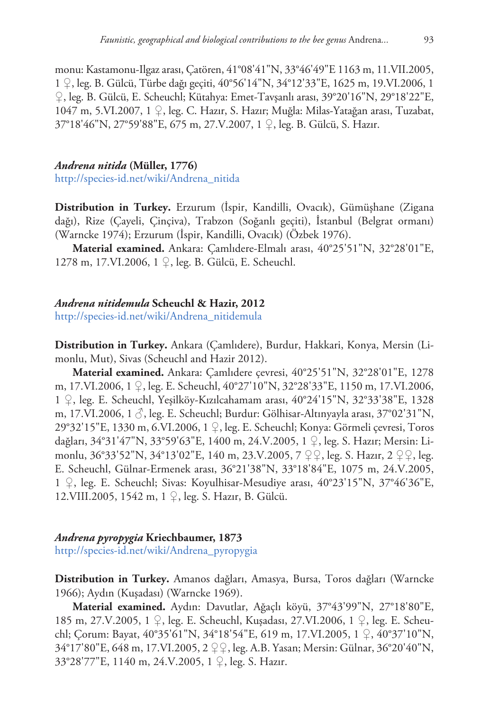monu: Kastamonu-Ilgaz arası, Çatören, 41°08'41"N, 33°46'49"E 1163 m, 11.VII.2005, 1 ♀, leg. B. Gülcü, Türbe dağı geçiti, 40°56'14"N, 34°12'33"E, 1625 m, 19.VI.2006, 1 ♀, leg. B. Gülcü, E. Scheuchl; Kütahya: Emet-Tavşanlı arası, 39°20'16"N, 29°18'22"E, 1047 m, 5.VI.2007, 1 ♀, leg. C. Hazır, S. Hazır; Muğla: Milas-Yatağan arası, Tuzabat, 37°18'46"N, 27°59'88"E, 675 m, 27.V.2007, 1 ♀, leg. B. Gülcü, S. Hazır.

## *Andrena nitida* **(Müller, 1776)**

[http://species-id.net/wiki/Andrena\\_nitida](http://species-id.net/wiki/Andrena_nitida)

**Distribution in Turkey.** Erzurum (İspir, Kandilli, Ovacık), Gümüşhane (Zigana dağı), Rize (Çayeli, Çinçiva), Trabzon (Soğanlı geçiti), İstanbul (Belgrat ormanı) (Warncke 1974); Erzurum (İspir, Kandilli, Ovacık) (Özbek 1976).

**Material examined.** Ankara: Çamlıdere-Elmalı arası, 40°25'51"N, 32°28'01"E, 1278 m, 17.VI.2006, 1 ♀, leg. B. Gülcü, E. Scheuchl.

## *Andrena nitidemula* **Scheuchl & Hazir, 2012**

[http://species-id.net/wiki/Andrena\\_nitidemula](http://species-id.net/wiki/Andrena_nitidemula)

**Distribution in Turkey.** Ankara (Çamlıdere), Burdur, Hakkari, Konya, Mersin (Limonlu, Mut), Sivas (Scheuchl and Hazir 2012).

**Material examined.** Ankara: Çamlıdere çevresi, 40°25'51"N, 32°28'01"E, 1278 m, 17.VI.2006, 1 ♀, leg. E. Scheuchl, 40°27'10"N, 32°28'33"E, 1150 m, 17.VI.2006, 1 ♀, leg. E. Scheuchl, Yeşilköy-Kızılcahamam arası, 40°24'15"N, 32°33'38"E, 1328 m, 17.VI.2006, 1 $\Diamond$ , leg. E. Scheuchl; Burdur: Gölhisar-Altınyayla arası, 37°02'31"N, 29°32'15"E, 1330 m, 6.VI.2006, 1 ♀, leg. E. Scheuchl; Konya: Görmeli çevresi, Toros dağları, 34°31'47"N, 33°59'63"E, 1400 m, 24.V.2005, 1 ♀, leg. S. Hazır; Mersin: Limonlu, 36°33'52"N, 34°13'02"E, 140 m, 23.V.2005, 7 ♀♀, leg. S. Hazır, 2 ♀♀, leg. E. Scheuchl, Gülnar-Ermenek arası, 36°21'38"N, 33°18'84"E, 1075 m, 24.V.2005, 1 ♀, leg. E. Scheuchl; Sivas: Koyulhisar-Mesudiye arası, 40°23'15"N, 37°46'36"E, 12.VIII.2005, 1542 m, 1 ♀, leg. S. Hazır, B. Gülcü.

## *Andrena pyropygia* **Kriechbaumer, 1873**

[http://species-id.net/wiki/Andrena\\_pyropygia](http://species-id.net/wiki/Andrena_pyropygia)

**Distribution in Turkey.** Amanos dağları, Amasya, Bursa, Toros dağları (Warncke 1966); Aydın (Kuşadası) (Warncke 1969).

**Material examined.** Aydın: Davutlar, Ağaçlı köyü, 37°43'99"N, 27°18'80"E, 185 m, 27.V.2005, 1 ♀, leg. E. Scheuchl, Kuşadası, 27.VI.2006, 1 ♀, leg. E. Scheuchl; Çorum: Bayat, 40°35'61"N, 34°18'54"E, 619 m, 17.VI.2005, 1 ♀, 40°37'10"N, 34°17'80"E, 648 m, 17.VI.2005, 2 ♀♀, leg. A.B. Yasan; Mersin: Gülnar, 36°20'40"N, 33°28'77"E, 1140 m, 24.V.2005, 1 ♀, leg. S. Hazır.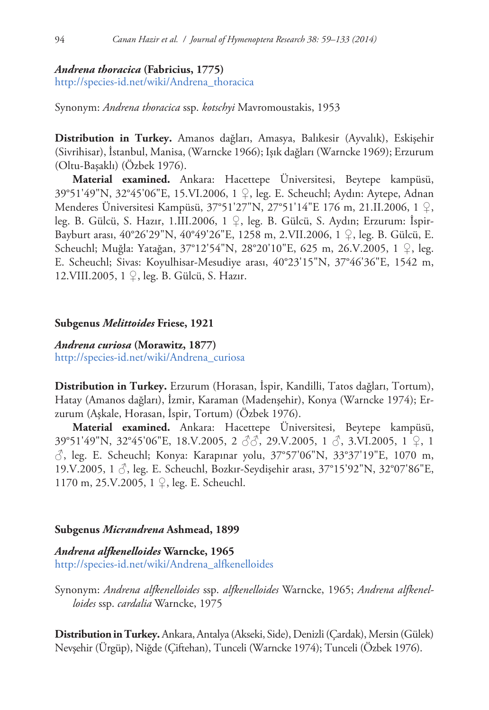## *Andrena thoracica* **(Fabricius, 1775)**

[http://species-id.net/wiki/Andrena\\_thoracica](http://species-id.net/wiki/Andrena_thoracica)

Synonym: *Andrena thoracica* ssp. *kotschyi* Mavromoustakis, 1953

**Distribution in Turkey.** Amanos dağları, Amasya, Balıkesir (Ayvalık), Eskişehir (Sivrihisar), İstanbul, Manisa, (Warncke 1966); Işık dağları (Warncke 1969); Erzurum (Oltu-Başaklı) (Özbek 1976).

**Material examined.** Ankara: Hacettepe Üniversitesi, Beytepe kampüsü, 39°51'49"N, 32°45'06"E, 15.VI.2006, 1 ♀, leg. E. Scheuchl; Aydın: Aytepe, Adnan Menderes Üniversitesi Kampüsü, 37°51'27"N, 27°51'14"E 176 m, 21.II.2006, 1 ♀, leg. B. Gülcü, S. Hazır, 1.III.2006, 1 ♀, leg. B. Gülcü, S. Aydın; Erzurum: İspir-Bayburt arası, 40°26'29"N, 40°49'26"E, 1258 m, 2.VII.2006, 1 ♀, leg. B. Gülcü, E. Scheuchl; Muğla: Yatağan, 37°12'54"N, 28°20'10"E, 625 m, 26.V.2005, 1 ♀, leg. E. Scheuchl; Sivas: Koyulhisar-Mesudiye arası, 40°23'15"N, 37°46'36"E, 1542 m, 12.VIII.2005, 1 ♀, leg. B. Gülcü, S. Hazır.

## **Subgenus** *Melittoides* **Friese, 1921**

*Andrena curiosa* **(Morawitz, 1877)** [http://species-id.net/wiki/Andrena\\_curiosa](http://species-id.net/wiki/Andrena_curiosa)

**Distribution in Turkey.** Erzurum (Horasan, İspir, Kandilli, Tatos dağları, Tortum), Hatay (Amanos dağları), İzmir, Karaman (Madenşehir), Konya (Warncke 1974); Erzurum (Aşkale, Horasan, İspir, Tortum) (Özbek 1976).

**Material examined.** Ankara: Hacettepe Üniversitesi, Beytepe kampüsü, 39°51'49"N, 32°45'06"E, 18.V.2005, 2 ♂♂, 29.V.2005, 1 ♂, 3.VI.2005, 1 ♀, 1 ♂, leg. E. Scheuchl; Konya: Karapınar yolu, 37°57'06"N, 33°37'19"E, 1070 m, 19.V.2005, 1 ♂, leg. E. Scheuchl, Bozkır-Seydişehir arası, 37°15'92"N, 32°07'86"E, 1170 m, 25.V.2005, 1 ♀, leg. E. Scheuchl.

# **Subgenus** *Micrandrena* **Ashmead, 1899**

*Andrena alfkenelloides* **Warncke, 1965** [http://species-id.net/wiki/Andrena\\_alfkenelloides](http://species-id.net/wiki/Andrena_alfkenelloides)

Synonym: *Andrena alfkenelloides* ssp. *alfkenelloides* Warncke, 1965; *Andrena alfkenelloides* ssp. *cardalia* Warncke, 1975

**Distribution in Turkey.** Ankara, Antalya (Akseki, Side), Denizli (Çardak), Mersin (Gülek) Nevşehir (Ürgüp), Niğde (Çiftehan), Tunceli (Warncke 1974); Tunceli (Özbek 1976).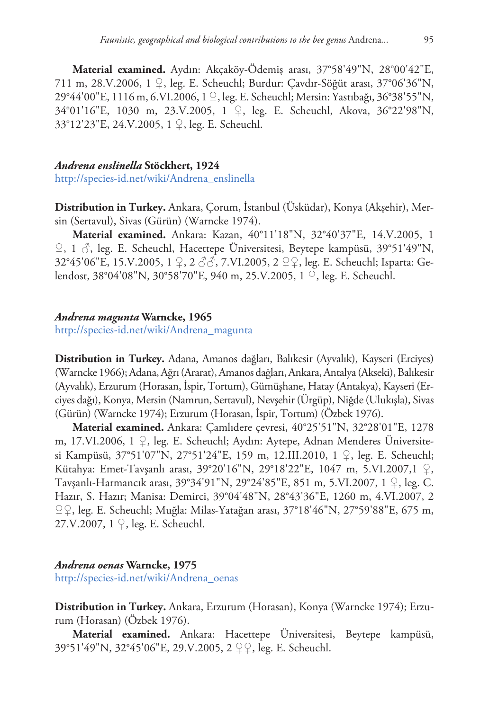**Material examined.** Aydın: Akçaköy-Ödemiş arası, 37°58'49"N, 28°00'42"E, 711 m, 28.V.2006, 1 ♀, leg. E. Scheuchl; Burdur: Çavdır-Söğüt arası, 37°06'36"N, 29°44'00"E, 1116 m, 6.VI.2006, 1 ♀, leg. E. Scheuchl; Mersin: Yastıbağı, 36°38'55"N, 34°01'16"E, 1030 m, 23.V.2005, 1 ♀, leg. E. Scheuchl, Akova, 36°22'98"N, 33°12'23"E, 24.V.2005, 1 ♀, leg. E. Scheuchl.

#### *Andrena enslinella* **Stöckhert, 1924**

[http://species-id.net/wiki/Andrena\\_enslinella](http://species-id.net/wiki/Andrena_enslinella)

**Distribution in Turkey.** Ankara, Çorum, İstanbul (Üsküdar), Konya (Akşehir), Mersin (Sertavul), Sivas (Gürün) (Warncke 1974).

**Material examined.** Ankara: Kazan, 40°11'18"N, 32°40'37"E, 14.V.2005, 1  $\varphi$ , 1  $\mathcal{S}$ , leg. E. Scheuchl, Hacettepe Üniversitesi, Beytepe kampüsü, 39°51'49"N, 32°45'06"E, 15.V.2005, 1 ♀, 2 ♂♂, 7.VI.2005, 2 ♀♀, leg. E. Scheuchl; Isparta: Gelendost, 38°04'08"N, 30°58'70"E, 940 m, 25.V.2005, 1 ♀, leg. E. Scheuchl.

#### *Andrena magunta* **Warncke, 1965**

[http://species-id.net/wiki/Andrena\\_magunta](http://species-id.net/wiki/Andrena_magunta)

**Distribution in Turkey.** Adana, Amanos dağları, Balıkesir (Ayvalık), Kayseri (Erciyes) (Warncke 1966); Adana, Ağrı (Ararat), Amanos dağları, Ankara, Antalya (Akseki), Balıkesir (Ayvalık), Erzurum (Horasan, İspir, Tortum), Gümüşhane, Hatay (Antakya), Kayseri (Erciyes dağı), Konya, Mersin (Namrun, Sertavul), Nevşehir (Ürgüp), Niğde (Ulukışla), Sivas (Gürün) (Warncke 1974); Erzurum (Horasan, İspir, Tortum) (Özbek 1976).

**Material examined.** Ankara: Çamlıdere çevresi, 40°25'51"N, 32°28'01"E, 1278 m, 17.VI.2006, 1 ♀, leg. E. Scheuchl; Aydın: Aytepe, Adnan Menderes Üniversitesi Kampüsü, 37°51'07"N, 27°51'24"E, 159 m, 12.III.2010, 1 ♀, leg. E. Scheuchl; Kütahya: Emet-Tavşanlı arası, 39°20'16"N, 29°18'22"E, 1047 m, 5.VI.2007,1 ♀, Tavşanlı-Harmancık arası, 39°34'91"N, 29°24'85"E, 851 m, 5.VI.2007, 1 ♀, leg. C. Hazır, S. Hazır; Manisa: Demirci, 39°04'48"N, 28°43'36"E, 1260 m, 4.VI.2007, 2 ♀♀, leg. E. Scheuchl; Muğla: Milas-Yatağan arası, 37°18'46"N, 27°59'88"E, 675 m, 27.V.2007, 1 ♀, leg. E. Scheuchl.

# *Andrena oenas* **Warncke, 1975**

[http://species-id.net/wiki/Andrena\\_oenas](http://species-id.net/wiki/Andrena_oenas)

**Distribution in Turkey.** Ankara, Erzurum (Horasan), Konya (Warncke 1974); Erzurum (Horasan) (Özbek 1976).

**Material examined.** Ankara: Hacettepe Üniversitesi, Beytepe kampüsü, 39°51'49"N, 32°45'06"E, 29.V.2005, 2 ♀♀, leg. E. Scheuchl.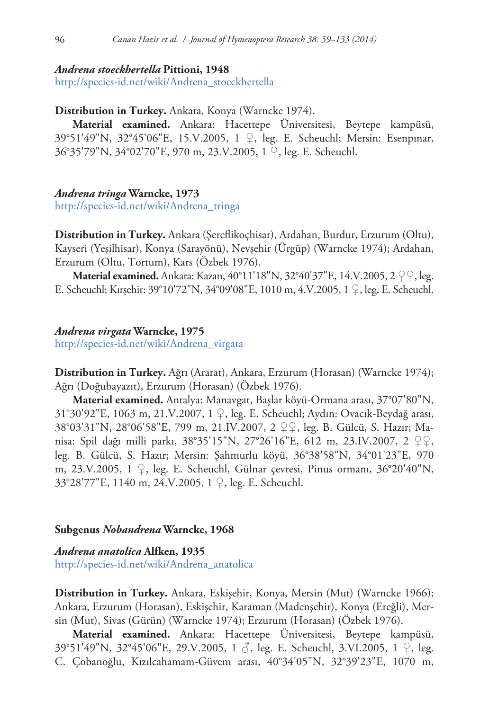#### *Andrena stoeckhertella* **Pittioni, 1948**

[http://species-id.net/wiki/Andrena\\_stoeckhertella](http://species-id.net/wiki/Andrena_stoeckhertella)

#### **Distribution in Turkey.** Ankara, Konya (Warncke 1974).

**Material examined.** Ankara: Hacettepe Üniversitesi, Beytepe kampüsü, 39°51'49"N, 32°45'06"E, 15.V.2005, 1 ♀, leg. E. Scheuchl; Mersin: Esenpınar, 36°35'79"N, 34°02'70"E, 970 m, 23.V.2005, 1 ♀, leg. E. Scheuchl.

#### *Andrena tringa* **Warncke, 1973**

[http://species-id.net/wiki/Andrena\\_tringa](http://species-id.net/wiki/Andrena_tringa)

**Distribution in Turkey.** Ankara (Şereflikoçhisar), Ardahan, Burdur, Erzurum (Oltu), Kayseri (Yeşilhisar), Konya (Sarayönü), Nevşehir (Ürgüp) (Warncke 1974); Ardahan, Erzurum (Oltu, Tortum), Kars (Özbek 1976).

**Material examined.** Ankara: Kazan, 40°11'18"N, 32°40'37"E, 14.V.2005, 2 ♀♀, leg. E. Scheuchl; Kırşehir: 39°10'72"N, 34°09'08"E, 1010 m, 4.V.2005, 1 ♀, leg. E. Scheuchl.

#### *Andrena virgata* **Warncke, 1975**

[http://species-id.net/wiki/Andrena\\_virgata](http://species-id.net/wiki/Andrena_virgata)

**Distribution in Turkey.** Ağrı (Ararat), Ankara, Erzurum (Horasan) (Warncke 1974); Ağrı (Doğubayazıt), Erzurum (Horasan) (Özbek 1976).

**Material examined.** Antalya: Manavgat, Başlar köyü-Ormana arası, 37°07'80"N, 31°30'92"E, 1063 m, 21.V.2007, 1 ♀, leg. E. Scheuchl; Aydın: Ovacık-Beydağ arası, 38°03'31"N, 28°06'58"E, 799 m, 21.IV.2007, 2 ♀♀, leg. B. Gülcü, S. Hazır; Manisa: Spil dağı milli parkı, 38°35'15"N, 27°26'16"E, 612 m, 23.IV.2007, 2 ♀♀, leg. B. Gülcü, S. Hazır; Mersin: Şahmurlu köyü, 36°38'58"N, 34°01'23"E, 970 m, 23.V.2005, 1 ♀, leg. E. Scheuchl, Gülnar çevresi, Pinus ormanı, 36°20'40"N, 33°28'77"E, 1140 m, 24.V.2005, 1 ♀, leg. E. Scheuchl.

#### **Subgenus** *Nobandrena* **Warncke, 1968**

# *Andrena anatolica* **Alfken, 1935** [http://species-id.net/wiki/Andrena\\_anatolica](http://species-id.net/wiki/Andrena_anatolica)

**Distribution in Turkey.** Ankara, Eskişehir, Konya, Mersin (Mut) (Warncke 1966); Ankara, Erzurum (Horasan), Eskişehir, Karaman (Madenşehir), Konya (Ereğli), Mersin (Mut), Sivas (Gürün) (Warncke 1974); Erzurum (Horasan) (Özbek 1976).

**Material examined.** Ankara: Hacettepe Üniversitesi, Beytepe kampüsü, 39°51'49"N, 32°45'06"E, 29.V.2005, 1 ♂, leg. E. Scheuchl, 3.VI.2005, 1 ♀, leg. C. Çobanoğlu, Kızılcahamam-Güvem arası, 40°34'05"N, 32°39'23"E, 1070 m,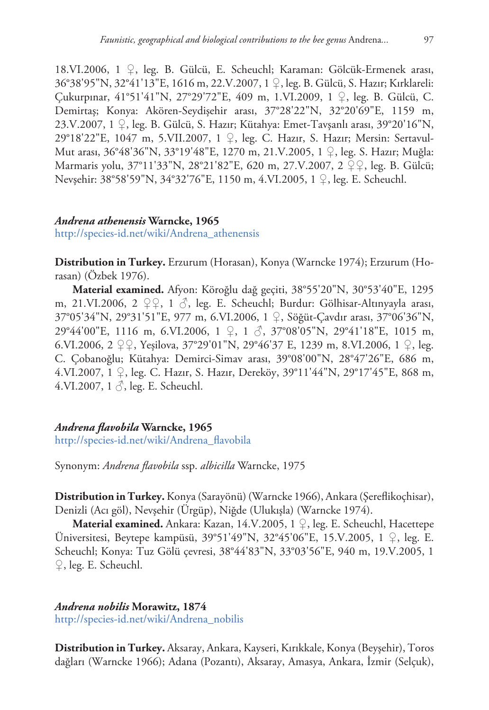18.VI.2006, 1 ♀, leg. B. Gülcü, E. Scheuchl; Karaman: Gölcük-Ermenek arası, 36°38'95"N, 32°41'13"E, 1616 m, 22.V.2007, 1 ♀, leg. B. Gülcü, S. Hazır; Kırklareli: Çukurpınar, 41°51'41"N, 27°29'72"E, 409 m, 1.VI.2009, 1 ♀, leg. B. Gülcü, C. Demirtaş; Konya: Akören-Seydişehir arası, 37°28'22"N, 32°20'69"E, 1159 m, 23.V.2007, 1 ♀, leg. B. Gülcü, S. Hazır; Kütahya: Emet-Tavşanlı arası, 39°20'16"N, 29°18'22"E, 1047 m, 5.VII.2007, 1 ♀, leg. C. Hazır, S. Hazır; Mersin: Sertavul-Mut arası, 36°48'36"N, 33°19'48"E, 1270 m, 21.V.2005, 1 ♀, leg. S. Hazır; Muğla: Marmaris yolu, 37°11'33"N, 28°21'82"E, 620 m, 27.V.2007, 2 ♀♀, leg. B. Gülcü; Nevşehir: 38°58'59"N, 34°32'76"E, 1150 m, 4.VI.2005, 1 ♀, leg. E. Scheuchl.

# *Andrena athenensis* **Warncke, 1965**

[http://species-id.net/wiki/Andrena\\_athenensis](http://species-id.net/wiki/Andrena_athenensis)

**Distribution in Turkey.** Erzurum (Horasan), Konya (Warncke 1974); Erzurum (Horasan) (Özbek 1976).

**Material examined.** Afyon: Köroğlu dağ geçiti, 38°55'20"N, 30°53'40"E, 1295 m, 21.VI.2006, 2  $\varphi$ , 1  $\varphi$ , leg. E. Scheuchl; Burdur: Gölhisar-Altınyayla arası, 37°05'34"N, 29°31'51"E, 977 m, 6.VI.2006, 1 ♀, Söğüt-Çavdır arası, 37°06'36"N, 29°44'00"E, 1116 m, 6.VI.2006, 1 ♀, 1 ♂, 37°08'05"N, 29°41'18"E, 1015 m, 6.VI.2006, 2 ♀♀, Yeşilova, 37°29'01"N, 29°46'37 E, 1239 m, 8.VI.2006, 1 ♀, leg. C. Çobanoğlu; Kütahya: Demirci-Simav arası, 39°08'00"N, 28°47'26"E, 686 m, 4.VI.2007, 1 ♀, leg. C. Hazır, S. Hazır, Dereköy, 39°11'44"N, 29°17'45"E, 868 m, 4.VI.2007,  $1 \circ$ , leg. E. Scheuchl.

# *Andrena flavobila* **Warncke, 1965**

[http://species-id.net/wiki/Andrena\\_flavobila](http://species-id.net/wiki/Andrena_flavobila)

Synonym: *Andrena flavobila* ssp. *albicilla* Warncke, 1975

**Distribution in Turkey.** Konya (Sarayönü) (Warncke 1966), Ankara (Şereflikoçhisar), Denizli (Acı göl), Nevşehir (Ürgüp), Niğde (Ulukışla) (Warncke 1974).

**Material examined.** Ankara: Kazan, 14.V.2005, 1 ♀, leg. E. Scheuchl, Hacettepe Üniversitesi, Beytepe kampüsü, 39°51'49"N, 32°45'06"E, 15.V.2005, 1 ♀, leg. E. Scheuchl; Konya: Tuz Gölü çevresi, 38°44'83"N, 33°03'56"E, 940 m, 19.V.2005, 1 ♀, leg. E. Scheuchl.

# *Andrena nobilis* **Morawitz, 1874**

[http://species-id.net/wiki/Andrena\\_nobilis](http://species-id.net/wiki/Andrena_nobilis)

**Distribution in Turkey.** Aksaray, Ankara, Kayseri, Kırıkkale, Konya (Beyşehir), Toros dağları (Warncke 1966); Adana (Pozantı), Aksaray, Amasya, Ankara, İzmir (Selçuk),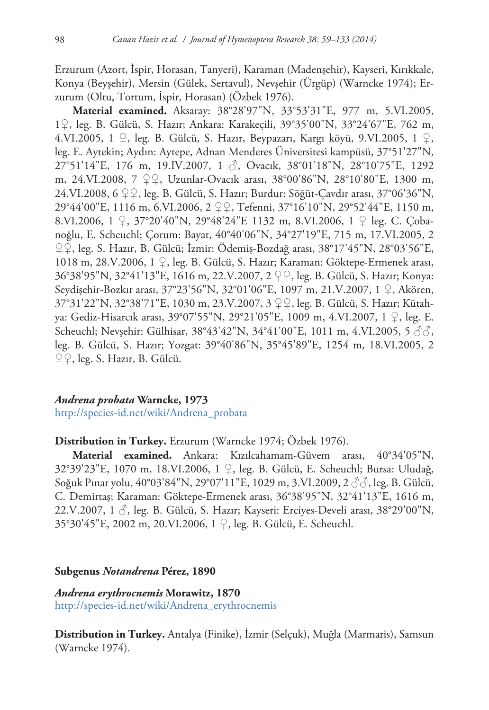Erzurum (Azort, İspir, Horasan, Tanyeri), Karaman (Madenşehir), Kayseri, Kırıkkale, Konya (Beyşehir), Mersin (Gülek, Sertavul), Nevşehir (Ürgüp) (Warncke 1974); Erzurum (Oltu, Tortum, İspir, Horasan) (Özbek 1976).

**Material examined.** Aksaray: 38°28'97"N, 33°53'31"E, 977 m, 5.VI.2005, 1♀, leg. B. Gülcü, S. Hazır; Ankara: Karakeçili, 39°35'00"N, 33°24'67"E, 762 m, 4.VI.2005, 1 ♀, leg. B. Gülcü, S. Hazır, Beypazarı, Kargı köyü, 9.VI.2005, 1 ♀, leg. E. Aytekin; Aydın: Aytepe, Adnan Menderes Üniversitesi kampüsü, 37°51'27"N, 27°51'14"E, 176 m, 19.IV.2007, 1 ♂, Ovacık, 38°01'18"N, 28°10'75"E, 1292 m, 24.VI.2008, 7 ♀♀, Uzunlar-Ovacık arası, 38°00'86"N, 28°10'80"E, 1300 m, 24.VI.2008, 6 ♀♀, leg. B. Gülcü, S. Hazır; Burdur: Söğüt-Çavdır arası, 37°06'36"N, 29°44'00"E, 1116 m, 6.VI.2006, 2 ♀♀, Tefenni, 37°16'10"N, 29°52'44"E, 1150 m, 8.VI.2006, 1 ♀, 37°20'40"N, 29°48'24"E 1132 m, 8.VI.2006, 1 ♀ leg. C. Çobanoğlu, E. Scheuchl; Çorum: Bayat, 40°40'06"N, 34°27'19"E, 715 m, 17.VI.2005, 2 ♀♀, leg. S. Hazır, B. Gülcü; İzmir: Ödemiş-Bozdağ arası, 38°17'45"N, 28°03'56"E, 1018 m, 28.V.2006, 1 ♀, leg. B. Gülcü, S. Hazır; Karaman: Göktepe-Ermenek arası, 36°38'95"N, 32°41'13"E, 1616 m, 22.V.2007, 2 ♀♀, leg. B. Gülcü, S. Hazır; Konya: Seydişehir-Bozkır arası, 37°23'56"N, 32°01'06"E, 1097 m, 21.V.2007, 1 ♀, Akören, 37°31'22"N, 32°38'71"E, 1030 m, 23.V.2007, 3 ♀♀, leg. B. Gülcü, S. Hazır; Kütahya: Gediz-Hisarcık arası, 39°07'55"N, 29°21'05"E, 1009 m, 4.VI.2007, 1 ♀, leg. E. Scheuchl; Nevşehir: Gülhisar, 38°43'42"N, 34°41'00"E, 1011 m, 4.VI.2005, 5  $\Im$  $\Im$ , leg. B. Gülcü, S. Hazır; Yozgat: 39°40'86"N, 35°45'89"E, 1254 m, 18.VI.2005, 2 ♀♀, leg. S. Hazır, B. Gülcü.

## *Andrena probata* **Warncke, 1973**

[http://species-id.net/wiki/Andrena\\_probata](http://species-id.net/wiki/Andrena_probata)

#### **Distribution in Turkey.** Erzurum (Warncke 1974; Özbek 1976).

**Material examined.** Ankara: Kızılcahamam-Güvem arası, 40°34'05"N, 32°39'23"E, 1070 m, 18.VI.2006, 1 ♀, leg. B. Gülcü, E. Scheuchl; Bursa: Uludağ, Soğuk Pınar yolu, 40°03'84"N, 29°07'11"E, 1029 m, 3.VI.2009, 2 ♂♂, leg. B. Gülcü, C. Demirtaş; Karaman: Göktepe-Ermenek arası, 36°38'95"N, 32°41'13"E, 1616 m, 22.V.2007, 1  $\Diamond$ , leg. B. Gülcü, S. Hazır; Kayseri: Erciyes-Develi arası, 38°29'00"N, 35°30'45"E, 2002 m, 20.VI.2006, 1 ♀, leg. B. Gülcü, E. Scheuchl.

#### **Subgenus** *Notandrena* **Pérez, 1890**

*Andrena erythrocnemis* **Morawitz, 1870** [http://species-id.net/wiki/Andrena\\_erythrocnemis](http://species-id.net/wiki/Andrena_erythrocnemis)

**Distribution in Turkey.** Antalya (Finike), İzmir (Selçuk), Muğla (Marmaris), Samsun (Warncke 1974).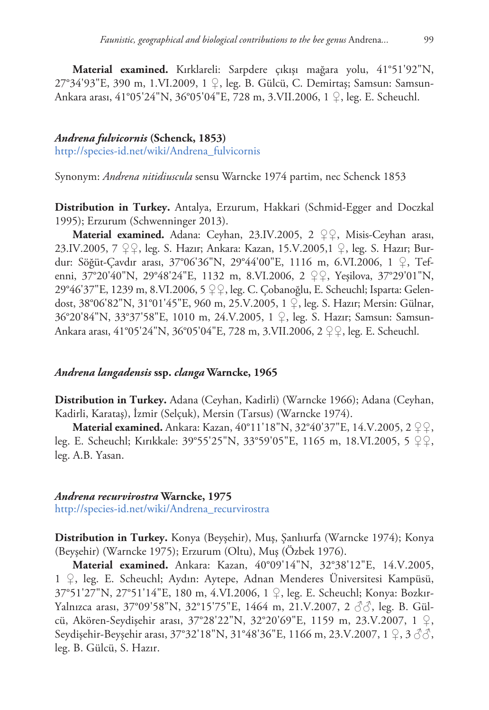**Material examined.** Kırklareli: Sarpdere çıkışı mağara yolu, 41°51'92"N, 27°34'93"E, 390 m, 1.VI.2009, 1 ♀, leg. B. Gülcü, C. Demirtaş; Samsun: Samsun-Ankara arası, 41°05'24"N, 36°05'04"E, 728 m, 3.VII.2006, 1 ♀, leg. E. Scheuchl.

#### *Andrena fulvicornis* **(Schenck, 1853)**

[http://species-id.net/wiki/Andrena\\_fulvicornis](http://species-id.net/wiki/Andrena_fulvicornis)

Synonym: *Andrena nitidiuscula* sensu Warncke 1974 partim, nec Schenck 1853

**Distribution in Turkey.** Antalya, Erzurum, Hakkari (Schmid-Egger and Doczkal 1995); Erzurum (Schwenninger 2013).

**Material examined.** Adana: Ceyhan, 23.IV.2005, 2 ♀♀, Misis-Ceyhan arası, 23.IV.2005, 7 ♀♀, leg. S. Hazır; Ankara: Kazan, 15.V.2005,1 ♀, leg. S. Hazır; Burdur: Söğüt-Çavdır arası, 37°06'36"N, 29°44'00"E, 1116 m, 6.VI.2006, 1 ♀, Tefenni, 37°20'40"N, 29°48'24"E, 1132 m, 8.VI.2006, 2 ♀♀, Yeşilova, 37°29'01"N, 29°46'37"E, 1239 m, 8.VI.2006, 5 ♀♀, leg. C. Çobanoğlu, E. Scheuchl; Isparta: Gelendost, 38°06'82"N, 31°01'45"E, 960 m, 25.V.2005, 1 ♀, leg. S. Hazır; Mersin: Gülnar, 36°20'84"N, 33°37'58"E, 1010 m, 24.V.2005, 1 ♀, leg. S. Hazır; Samsun: Samsun-Ankara arası, 41°05'24"N, 36°05'04"E, 728 m, 3.VII.2006, 2 ♀♀, leg. E. Scheuchl.

## *Andrena langadensis* **ssp.** *clanga* **Warncke, 1965**

**Distribution in Turkey.** Adana (Ceyhan, Kadirli) (Warncke 1966); Adana (Ceyhan, Kadirli, Karataş), İzmir (Selçuk), Mersin (Tarsus) (Warncke 1974).

**Material examined.** Ankara: Kazan, 40°11'18"N, 32°40'37"E, 14.V.2005, 2 ♀♀, leg. E. Scheuchl; Kırıkkale: 39°55'25"N, 33°59'05"E, 1165 m, 18.VI.2005, 5 ♀♀, leg. A.B. Yasan.

#### *Andrena recurvirostra* **Warncke, 1975**

[http://species-id.net/wiki/Andrena\\_recurvirostra](http://species-id.net/wiki/Andrena_recurvirostra)

**Distribution in Turkey.** Konya (Beyşehir), Muş, Şanlıurfa (Warncke 1974); Konya (Beyşehir) (Warncke 1975); Erzurum (Oltu), Muş (Özbek 1976).

**Material examined.** Ankara: Kazan, 40°09'14"N, 32°38'12"E, 14.V.2005, 1 ♀, leg. E. Scheuchl; Aydın: Aytepe, Adnan Menderes Üniversitesi Kampüsü, 37°51'27"N, 27°51'14"E, 180 m, 4.VI.2006, 1 ♀, leg. E. Scheuchl; Konya: Bozkır-Yalnızca arası, 37°09'58"N, 32°15'75"E, 1464 m, 21.V.2007, 2 ♂♂, leg. B. Gülcü, Akören-Seydişehir arası, 37°28'22"N, 32°20'69"E, 1159 m, 23.V.2007, 1 ♀, Seydişehir-Beyşehir arası, 37°32'18"N, 31°48'36"E, 1166 m, 23.V.2007, 1  $\varphi$ , 3  $\Im$   $\Im$ , leg. B. Gülcü, S. Hazır.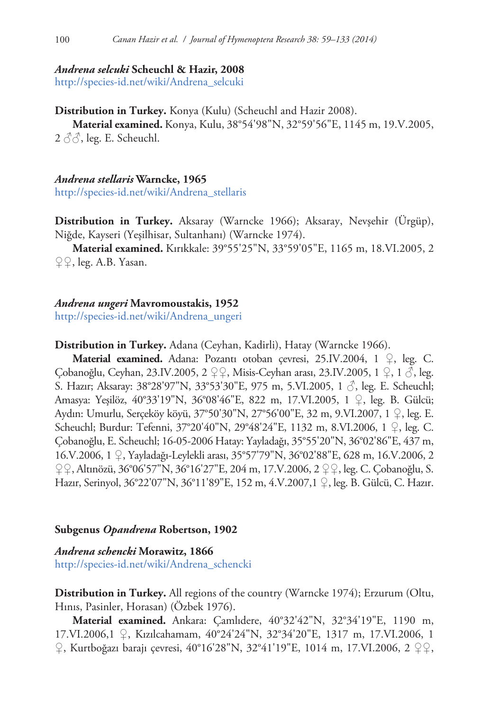#### *Andrena selcuki* **Scheuchl & Hazir, 2008**

[http://species-id.net/wiki/Andrena\\_selcuki](http://species-id.net/wiki/Andrena_selcuki)

**Distribution in Turkey.** Konya (Kulu) (Scheuchl and Hazir 2008).

**Material examined.** Konya, Kulu, 38°54'98"N, 32°59'56"E, 1145 m, 19.V.2005,  $2 \land \land$ , leg. E. Scheuchl.

*Andrena stellaris* **Warncke, 1965** [http://species-id.net/wiki/Andrena\\_stellaris](http://species-id.net/wiki/Andrena_stellaris)

**Distribution in Turkey.** Aksaray (Warncke 1966); Aksaray, Nevşehir (Ürgüp), Niğde, Kayseri (Yeşilhisar, Sultanhanı) (Warncke 1974).

**Material examined.** Kırıkkale: 39°55'25"N, 33°59'05"E, 1165 m, 18.VI.2005, 2 ♀♀, leg. A.B. Yasan.

#### *Andrena ungeri* **Mavromoustakis, 1952**

[http://species-id.net/wiki/Andrena\\_ungeri](http://species-id.net/wiki/Andrena_ungeri)

**Distribution in Turkey.** Adana (Ceyhan, Kadirli), Hatay (Warncke 1966).

**Material examined.** Adana: Pozantı otoban çevresi, 25.IV.2004, 1 ♀, leg. C. Çobanoğlu, Ceyhan, 23.IV.2005, 2 ♀♀, Misis-Ceyhan arası, 23.IV.2005, 1 ♀, 1 ♂, leg. S. Hazır; Aksaray: 38°28'97"N, 33°53'30"E, 975 m, 5.VI.2005, 1  $\Im$ , leg. E. Scheuchl; Amasya: Yeşilöz, 40°33'19"N, 36°08'46"E, 822 m, 17.VI.2005, 1 ♀, leg. B. Gülcü; Aydın: Umurlu, Serçeköy köyü, 37°50'30"N, 27°56'00"E, 32 m, 9.VI.2007, 1 ♀, leg. E. Scheuchl; Burdur: Tefenni, 37°20'40"N, 29°48'24"E, 1132 m, 8.VI.2006, 1 ♀, leg. C. Çobanoğlu, E. Scheuchl; 16-05-2006 Hatay: Yayladağı, 35°55'20"N, 36°02'86"E, 437 m, 16.V.2006, 1 ♀, Yayladağı-Leylekli arası, 35°57'79"N, 36°02'88"E, 628 m, 16.V.2006, 2 ♀♀, Altınözü, 36°06'57"N, 36°16'27"E, 204 m, 17.V.2006, 2 ♀♀, leg. C. Çobanoğlu, S. Hazır, Serinyol, 36°22'07"N, 36°11'89"E, 152 m, 4.V.2007,1 ♀, leg. B. Gülcü, C. Hazır.

#### **Subgenus** *Opandrena* **Robertson, 1902**

*Andrena schencki* **Morawitz, 1866** [http://species-id.net/wiki/Andrena\\_schencki](http://species-id.net/wiki/Andrena_schencki)

**Distribution in Turkey.** All regions of the country (Warncke 1974); Erzurum (Oltu, Hınıs, Pasinler, Horasan) (Özbek 1976).

**Material examined.** Ankara: Çamlıdere, 40°32'42"N, 32°34'19"E, 1190 m, 17.VI.2006,1 ♀, Kızılcahamam, 40°24'24"N, 32°34'20"E, 1317 m, 17.VI.2006, 1 ♀, Kurtboğazı barajı çevresi, 40°16'28"N, 32°41'19"E, 1014 m, 17.VI.2006, 2 ♀♀,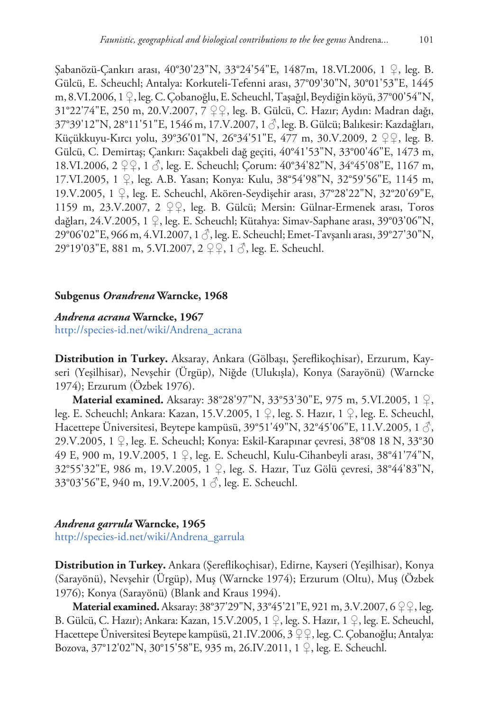Şabanözü-Çankırı arası, 40°30'23"N, 33°24'54"E, 1487m, 18.VI.2006, 1 ♀, leg. B. Gülcü, E. Scheuchl; Antalya: Korkuteli-Tefenni arası, 37°09'30"N, 30°01'53"E, 1445 m, 8.VI.2006, 1 ♀, leg. C. Çobanoğlu, E. Scheuchl, Taşağıl, Beydiğin köyü, 37°00'54"N, 31°22'74"E, 250 m, 20.V.2007, 7 ♀♀, leg. B. Gülcü, C. Hazır; Aydın: Madran dağı, 37°39'12"N, 28°11'51"E, 1546 m, 17.V.2007, 1 ♂, leg. B. Gülcü; Balıkesir: Kazdağları, Küçükkuyu-Kırcı yolu, 39°36'01"N, 26°34'51"E, 477 m, 30.V.2009, 2 ♀♀, leg. B. Gülcü, C. Demirtaş; Çankırı: Saçakbeli dağ geçiti, 40°41'53"N, 33°00'46"E, 1473 m, 18.VI.2006, 2 ♀♀, 1 ♂, leg. E. Scheuchl; Çorum: 40°34'82"N, 34°45'08"E, 1167 m, 17.VI.2005, 1 ♀, leg. A.B. Yasan; Konya: Kulu, 38°54'98"N, 32°59'56"E, 1145 m, 19.V.2005, 1 ♀, leg. E. Scheuchl, Akören-Seydişehir arası, 37°28'22"N, 32°20'69"E, 1159 m, 23.V.2007, 2 ♀♀, leg. B. Gülcü; Mersin: Gülnar-Ermenek arası, Toros dağları, 24.V.2005, 1 ♀, leg. E. Scheuchl; Kütahya: Simav-Saphane arası, 39°03'06"N, 29°06'02"E, 966 m, 4.VI.2007, 1 ♂, leg. E. Scheuchl; Emet-Tavşanlı arası, 39°27'30"N, 29°19'03"E, 881 m, 5.VI.2007, 2 ♀♀, 1 ♂, leg. E. Scheuchl.

#### **Subgenus** *Orandrena* **Warncke, 1968**

#### *Andrena acrana* **Warncke, 1967**

[http://species-id.net/wiki/Andrena\\_acrana](http://species-id.net/wiki/Andrena_acrana)

**Distribution in Turkey.** Aksaray, Ankara (Gölbaşı, Şereflikoçhisar), Erzurum, Kayseri (Yeşilhisar), Nevşehir (Ürgüp), Niğde (Ulukışla), Konya (Sarayönü) (Warncke 1974); Erzurum (Özbek 1976).

**Material examined.** Aksaray: 38°28'97"N, 33°53'30"E, 975 m, 5.VI.2005, 1 ♀, leg. E. Scheuchl; Ankara: Kazan, 15.V.2005, 1 ♀, leg. S. Hazır, 1 ♀, leg. E. Scheuchl, Hacettepe Üniversitesi, Beytepe kampüsü, 39°51'49"N, 32°45'06"E, 11.V.2005, 1 $\beta$ , 29.V.2005, 1 ♀, leg. E. Scheuchl; Konya: Eskil-Karapınar çevresi, 38°08 18 N, 33°30 49 E, 900 m, 19.V.2005, 1 ♀, leg. E. Scheuchl, Kulu-Cihanbeyli arası, 38°41'74"N, 32°55'32"E, 986 m, 19.V.2005, 1 ♀, leg. S. Hazır, Tuz Gölü çevresi, 38°44'83"N, 33°03'56"E, 940 m, 19.V.2005, 1 ♂, leg. E. Scheuchl.

## *Andrena garrula* **Warncke, 1965**

[http://species-id.net/wiki/Andrena\\_garrula](http://species-id.net/wiki/Andrena_garrula)

**Distribution in Turkey.** Ankara (Şereflikoçhisar), Edirne, Kayseri (Yeşilhisar), Konya (Sarayönü), Nevşehir (Ürgüp), Muş (Warncke 1974); Erzurum (Oltu), Muş (Özbek 1976); Konya (Sarayönü) (Blank and Kraus 1994).

**Material examined.** Aksaray: 38°37′29″N, 33°45′21″E, 921 m, 3.V.2007, 6 ♀♀, leg. B. Gülcü, C. Hazır); Ankara: Kazan, 15.V.2005, 1 ♀, leg. S. Hazır, 1 ♀, leg. E. Scheuchl, Hacettepe Üniversitesi Beytepe kampüsü, 21.IV.2006, 3  $\mathcal{Q} \mathcal{Q}$ , leg. C. Çobanoğlu; Antalya: Bozova, 37°12'02"N, 30°15'58"E, 935 m, 26.IV.2011, 1 ♀, leg. E. Scheuchl.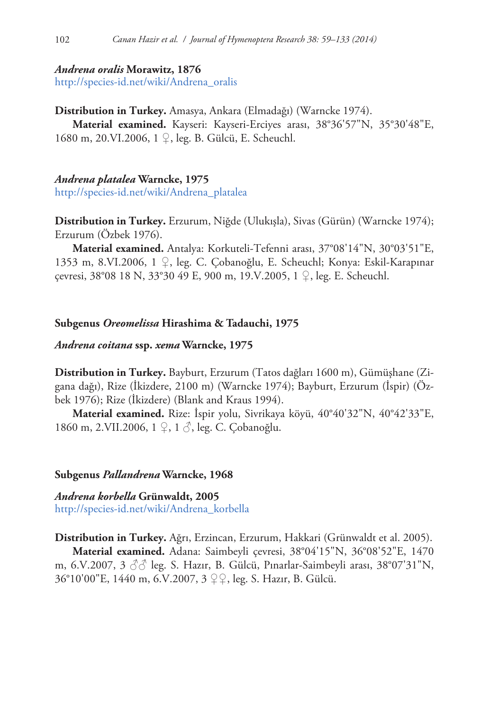#### *Andrena oralis* **Morawitz, 1876**

[http://species-id.net/wiki/Andrena\\_oralis](http://species-id.net/wiki/Andrena_oralis)

**Distribution in Turkey.** Amasya, Ankara (Elmadağı) (Warncke 1974).

**Material examined.** Kayseri: Kayseri-Erciyes arası, 38°36'57"N, 35°30'48"E, 1680 m, 20.VI.2006, 1 ♀, leg. B. Gülcü, E. Scheuchl.

# *Andrena platalea* **Warncke, 1975**

[http://species-id.net/wiki/Andrena\\_platalea](http://species-id.net/wiki/Andrena_platalea)

**Distribution in Turkey.** Erzurum, Niğde (Ulukışla), Sivas (Gürün) (Warncke 1974); Erzurum (Özbek 1976).

**Material examined.** Antalya: Korkuteli-Tefenni arası, 37°08'14"N, 30°03'51"E, 1353 m, 8.VI.2006, 1 ♀, leg. C. Çobanoğlu, E. Scheuchl; Konya: Eskil-Karapınar çevresi, 38°08 18 N, 33°30 49 E, 900 m, 19.V.2005, 1 ♀, leg. E. Scheuchl.

## **Subgenus** *Oreomelissa* **Hirashima & Tadauchi, 1975**

#### *Andrena coitana* **ssp.** *xema* **Warncke, 1975**

**Distribution in Turkey.** Bayburt, Erzurum (Tatos dağları 1600 m), Gümüşhane (Zigana dağı), Rize (İkizdere, 2100 m) (Warncke 1974); Bayburt, Erzurum (İspir) (Özbek 1976); Rize (İkizdere) (Blank and Kraus 1994).

**Material examined.** Rize: İspir yolu, Sivrikaya köyü, 40°40'32"N, 40°42'33"E, 1860 m, 2.VII.2006, 1 ♀, 1 ♂, leg. C. Çobanoğlu.

## **Subgenus** *Pallandrena* **Warncke, 1968**

# *Andrena korbella* **Grünwaldt, 2005** [http://species-id.net/wiki/Andrena\\_korbella](http://species-id.net/wiki/Andrena_korbella)

**Distribution in Turkey.** Ağrı, Erzincan, Erzurum, Hakkari (Grünwaldt et al. 2005). **Material examined.** Adana: Saimbeyli çevresi, 38°04'15"N, 36°08'52"E, 1470 m, 6.V.2007, 3  $\Im$  leg. S. Hazır, B. Gülcü, Pınarlar-Saimbeyli arası, 38°07'31"N, 36°10'00"E, 1440 m, 6.V.2007, 3 ♀♀, leg. S. Hazır, B. Gülcü.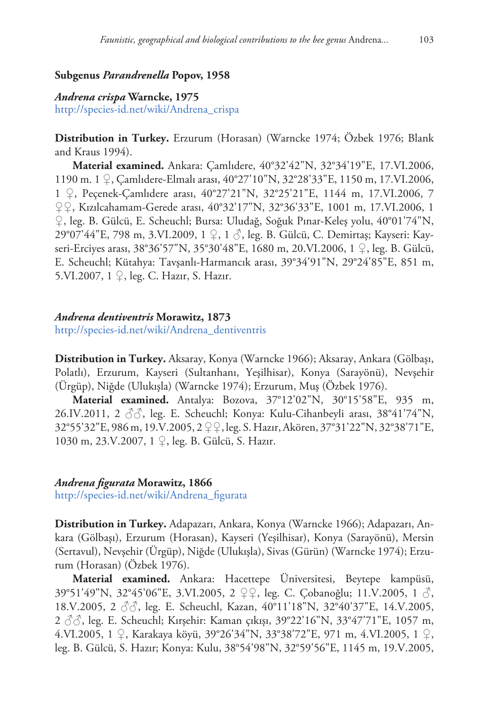# **Subgenus** *Parandrenella* **Popov, 1958**

## *Andrena crispa* **Warncke, 1975**

[http://species-id.net/wiki/Andrena\\_crispa](http://species-id.net/wiki/Andrena_crispa)

**Distribution in Turkey.** Erzurum (Horasan) (Warncke 1974; Özbek 1976; Blank and Kraus 1994).

**Material examined.** Ankara: Çamlıdere, 40°32'42"N, 32°34'19"E, 17.VI.2006, 1190 m. 1 ♀, Çamlıdere-Elmalı arası, 40°27'10"N, 32°28'33"E, 1150 m, 17.VI.2006, 1 ♀, Peçenek-Çamlıdere arası, 40°27'21"N, 32°25'21"E, 1144 m, 17.VI.2006, 7 ♀♀, Kızılcahamam-Gerede arası, 40°32'17"N, 32°36'33"E, 1001 m, 17.VI.2006, 1 ♀, leg. B. Gülcü, E. Scheuchl; Bursa: Uludağ, Soğuk Pınar-Keleş yolu, 40°01'74"N, 29°07'44"E, 798 m, 3.VI.2009, 1 ♀, 1 ♂, leg. B. Gülcü, C. Demirtaş; Kayseri: Kayseri-Erciyes arası, 38°36'57"N, 35°30'48"E, 1680 m, 20.VI.2006, 1 ♀, leg. B. Gülcü, E. Scheuchl; Kütahya: Tavşanlı-Harmancık arası, 39°34'91"N, 29°24'85"E, 851 m, 5.VI.2007, 1 ♀, leg. C. Hazır, S. Hazır.

#### *Andrena dentiventris* **Morawitz, 1873**

[http://species-id.net/wiki/Andrena\\_dentiventris](http://species-id.net/wiki/Andrena_dentiventris)

**Distribution in Turkey.** Aksaray, Konya (Warncke 1966); Aksaray, Ankara (Gölbaşı, Polatlı), Erzurum, Kayseri (Sultanhanı, Yeşilhisar), Konya (Sarayönü), Nevşehir (Ürgüp), Niğde (Ulukışla) (Warncke 1974); Erzurum, Muş (Özbek 1976).

**Material examined.** Antalya: Bozova, 37°12'02"N, 30°15'58"E, 935 m, 26.IV.2011, 2  $\Im$ , leg. E. Scheuchl; Konya: Kulu-Cihanbeyli arası, 38°41'74"N, 32°55'32"E, 986 m, 19.V.2005, 2 ♀♀, leg. S. Hazır, Akören, 37°31'22"N, 32°38'71"E, 1030 m, 23.V.2007, 1 ♀, leg. B. Gülcü, S. Hazır.

# *Andrena figurata* **Morawitz, 1866**

[http://species-id.net/wiki/Andrena\\_figurata](http://species-id.net/wiki/Andrena_figurata)

**Distribution in Turkey.** Adapazarı, Ankara, Konya (Warncke 1966); Adapazarı, Ankara (Gölbaşı), Erzurum (Horasan), Kayseri (Yeşilhisar), Konya (Sarayönü), Mersin (Sertavul), Nevşehir (Ürgüp), Niğde (Ulukışla), Sivas (Gürün) (Warncke 1974); Erzurum (Horasan) (Özbek 1976).

**Material examined.** Ankara: Hacettepe Üniversitesi, Beytepe kampüsü, 39°51'49"N, 32°45'06"E, 3.VI.2005, 2 ♀♀, leg. C. Çobanoğlu; 11.V.2005, 1 ♂, 18.V.2005, 2 ♂♂, leg. E. Scheuchl, Kazan, 40°11'18"N, 32°40'37"E, 14.V.2005,  $2 \text{ }\partial\phi$ , leg. E. Scheuchl; Kırşehir: Kaman çıkışı, 39°22'16"N, 33°47'71"E, 1057 m, 4.VI.2005, 1 ♀, Karakaya köyü, 39°26'34"N, 33°38'72"E, 971 m, 4.VI.2005, 1 ♀, leg. B. Gülcü, S. Hazır; Konya: Kulu, 38°54'98"N, 32°59'56"E, 1145 m, 19.V.2005,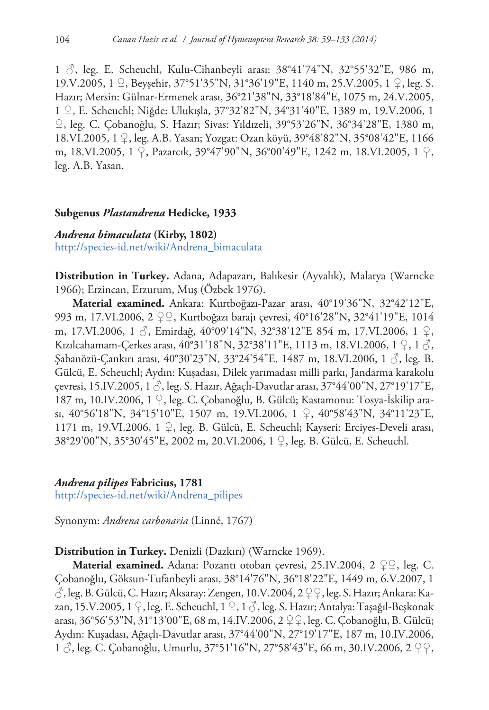1 ♂, leg. E. Scheuchl, Kulu-Cihanbeyli arası: 38°41'74"N, 32°55'32"E, 986 m, 19.V.2005, 1 ♀, Beyşehir, 37°51'35"N, 31°36'19"E, 1140 m, 25.V.2005, 1 ♀, leg. S. Hazır; Mersin: Gülnar-Ermenek arası, 36°21'38"N, 33°18'84"E, 1075 m, 24.V.2005, 1 ♀, E. Scheuchl; Niğde: Ulukışla, 37°32'82"N, 34°31'40"E, 1389 m, 19.V.2006, 1 ♀, leg. C. Çobanoğlu, S. Hazır; Sivas: Yıldızeli, 39°53'26"N, 36°34'28"E, 1380 m, 18.VI.2005, 1 ♀, leg. A.B. Yasan; Yozgat: Ozan köyü, 39°48'82"N, 35°08'42"E, 1166 m, 18.VI.2005, 1 ♀, Pazarcık, 39°47'90"N, 36°00'49"E, 1242 m, 18.VI.2005, 1 ♀, leg. A.B. Yasan.

#### **Subgenus** *Plastandrena* **Hedicke, 1933**

# *Andrena bimaculata* **(Kirby, 1802)**

[http://species-id.net/wiki/Andrena\\_bimaculata](http://species-id.net/wiki/Andrena_bimaculata)

**Distribution in Turkey.** Adana, Adapazarı, Balıkesir (Ayvalık), Malatya (Warncke 1966); Erzincan, Erzurum, Muş (Özbek 1976).

**Material examined.** Ankara: Kurtboğazı-Pazar arası, 40°19'36"N, 32°42'12"E, 993 m, 17.VI.2006, 2 ♀♀, Kurtboğazı barajı çevresi, 40°16'28"N, 32°41'19"E, 1014 m, 17.VI.2006, 1 ♂, Emirdağ, 40°09'14"N, 32°38'12"E 854 m, 17.VI.2006, 1 ♀, Kızılcahamam-Çerkes arası, 40°31'18"N, 32°38'11"E, 1113 m, 18.VI.2006, 1 ♀, 1 ♂, Şabanözü-Çankırı arası, 40°30'23"N, 33°24'54"E, 1487 m, 18.VI.2006, 1 ♂, leg. B. Gülcü, E. Scheuchl; Aydın: Kuşadası, Dilek yarımadası milli parkı, Jandarma karakolu çevresi, 15.IV.2005, 1 ♂, leg. S. Hazır, Ağaçlı-Davutlar arası, 37°44'00"N, 27°19'17"E, 187 m, 10.IV.2006, 1 ♀, leg. C. Çobanoğlu, B. Gülcü; Kastamonu: Tosya-İskilip arası, 40°56'18"N, 34°15'10"E, 1507 m, 19.VI.2006, 1 ♀, 40°58'43"N, 34°11'23"E, 1171 m, 19.VI.2006, 1  $\varphi$ , leg. B. Gülcü, E. Scheuchl; Kayseri: Erciyes-Develi arası, 38°29'00"N, 35°30'45"E, 2002 m, 20.VI.2006, 1 ♀, leg. B. Gülcü, E. Scheuchl.

## *Andrena pilipes* **Fabricius, 1781**

[http://species-id.net/wiki/Andrena\\_pilipes](http://species-id.net/wiki/Andrena_pilipes)

Synonym: *Andrena carbonaria* (Linné, 1767)

## **Distribution in Turkey.** Denizli (Dazkırı) (Warncke 1969).

**Material examined.** Adana: Pozantı otoban çevresi, 25.IV.2004, 2 ♀♀, leg. C. Çobanoğlu, Göksun-Tufanbeyli arası, 38°14'76"N, 36°18'22"E, 1449 m, 6.V.2007, 1  $\circ$ , leg. B. Gülcü, C. Hazır; Aksaray: Zengen, 10.V.2004, 2  $\circ$  Q., leg. S. Hazır; Ankara: Kazan, 15.V.2005, 1  $\varphi$ , leg. E. Scheuchl, 1  $\varphi$ , 1  $\Diamond$ , leg. S. Hazır; Antalya: Taşağıl-Beşkonak arası, 36°56'53"N, 31°13'00"E, 68 m, 14.IV.2006, 2 ♀♀, leg. C. Çobanoğlu, B. Gülcü; Aydın: Kuşadası, Ağaçlı-Davutlar arası, 37°44'00"N, 27°19'17"E, 187 m, 10.IV.2006, 1 ♂, leg. C. Çobanoğlu, Umurlu, 37°51'16"N, 27°58'43"E, 66 m, 30.IV.2006, 2 ♀♀,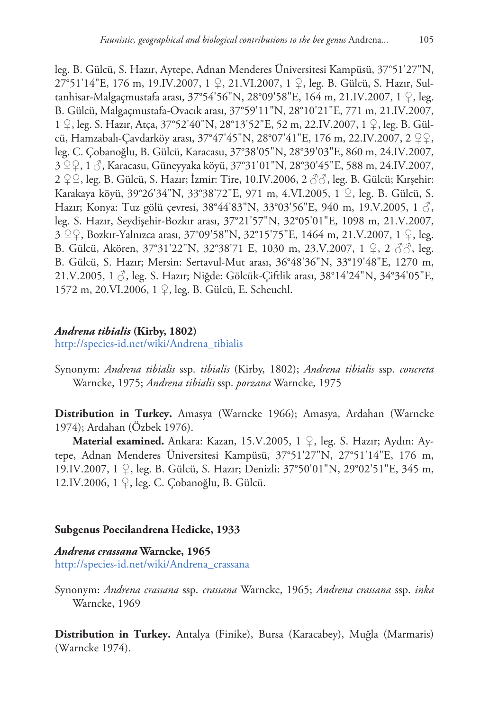leg. B. Gülcü, S. Hazır, Aytepe, Adnan Menderes Üniversitesi Kampüsü, 37°51'27"N, 27°51'14"E, 176 m, 19.IV.2007, 1 ♀, 21.VI.2007, 1 ♀, leg. B. Gülcü, S. Hazır, Sultanhisar-Malgaçmustafa arası, 37°54'56"N, 28°09'58"E, 164 m, 21.IV.2007, 1 ♀, leg. B. Gülcü, Malgaçmustafa-Ovacık arası, 37°59'11"N, 28°10'21"E, 771 m, 21.IV.2007, 1 ♀, leg. S. Hazır, Atça, 37°52'40"N, 28°13'52"E, 52 m, 22.IV.2007, 1 ♀, leg. B. Gülcü, Hamzabalı-Çavdarköy arası, 37°47'45"N, 28°07'41"E, 176 m, 22.IV.2007, 2 ♀♀, leg. C. Çobanoğlu, B. Gülcü, Karacasu, 37°38'05"N, 28°39'03"E, 860 m, 24.IV.2007, 3 ♀♀, 1 ♂, Karacasu, Güneyyaka köyü, 37°31'01"N, 28°30'45"E, 588 m, 24.IV.2007, 2 ♀♀, leg. B. Gülcü, S. Hazır; İzmir: Tire, 10.IV.2006, 2 3 3, leg. B. Gülcü; Kırşehir: Karakaya köyü, 39°26'34"N, 33°38'72"E, 971 m, 4.VI.2005, 1 ♀, leg. B. Gülcü, S. Hazır; Konya: Tuz gölü çevresi, 38°44'83"N, 33°03'56"E, 940 m, 19.V.2005, 1  $\Diamond$ , leg. S. Hazır, Seydişehir-Bozkır arası, 37°21'57"N, 32°05'01"E, 1098 m, 21.V.2007, 3 ♀♀, Bozkır-Yalnızca arası, 37°09'58"N, 32°15'75"E, 1464 m, 21.V.2007, 1 ♀, leg. B. Gülcü, Akören, 37°31'22"N, 32°38'71 E, 1030 m, 23.V.2007, 1 ♀, 2 ♂♂, leg. B. Gülcü, S. Hazır; Mersin: Sertavul-Mut arası, 36°48'36"N, 33°19'48"E, 1270 m, 21.V.2005, 1  $\circ$ , leg. S. Hazır; Niğde: Gölcük-Çiftlik arası, 38°14'24"N, 34°34'05"E, 1572 m, 20.VI.2006, 1 ♀, leg. B. Gülcü, E. Scheuchl.

## *Andrena tibialis* **(Kirby, 1802)**

[http://species-id.net/wiki/Andrena\\_tibialis](http://species-id.net/wiki/Andrena_tibialis)

Synonym: *Andrena tibialis* ssp. *tibialis* (Kirby, 1802); *Andrena tibialis* ssp. *concreta* Warncke, 1975; *Andrena tibialis* ssp. *porzana* Warncke, 1975

**Distribution in Turkey.** Amasya (Warncke 1966); Amasya, Ardahan (Warncke 1974); Ardahan (Özbek 1976).

**Material examined.** Ankara: Kazan, 15.V.2005, 1 ♀, leg. S. Hazır; Aydın: Aytepe, Adnan Menderes Üniversitesi Kampüsü, 37°51'27"N, 27°51'14"E, 176 m, 19.IV.2007, 1 ♀, leg. B. Gülcü, S. Hazır; Denizli: 37°50'01"N, 29°02'51"E, 345 m, 12.IV.2006, 1 ♀, leg. C. Çobanoğlu, B. Gülcü.

#### **Subgenus Poecilandrena Hedicke, 1933**

*Andrena crassana* **Warncke, 1965** [http://species-id.net/wiki/Andrena\\_crassana](http://species-id.net/wiki/Andrena_crassana)

Synonym: *Andrena crassana* ssp. *crassana* Warncke, 1965; *Andrena crassana* ssp. *inka* Warncke, 1969

**Distribution in Turkey.** Antalya (Finike), Bursa (Karacabey), Muğla (Marmaris) (Warncke 1974).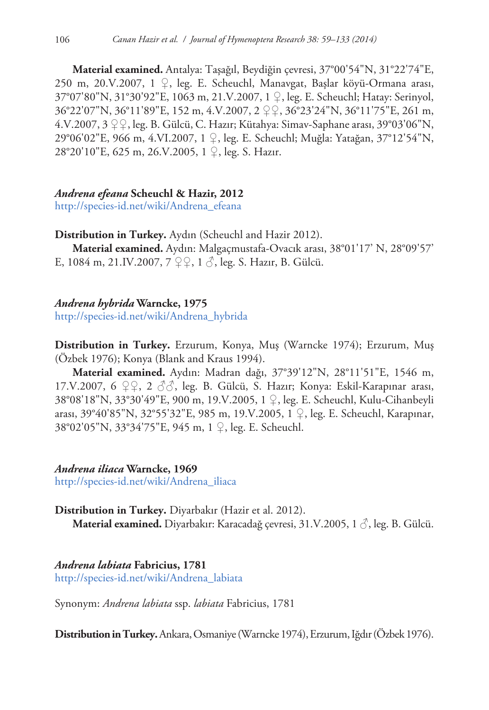**Material examined.** Antalya: Taşağıl, Beydiğin çevresi, 37°00'54"N, 31°22'74"E, 250 m, 20.V.2007, 1 ♀, leg. E. Scheuchl, Manavgat, Başlar köyü-Ormana arası, 37°07'80"N, 31°30'92"E, 1063 m, 21.V.2007, 1 ♀, leg. E. Scheuchl; Hatay: Serinyol, 36°22'07"N, 36°11'89"E, 152 m, 4.V.2007, 2 ♀♀, 36°23'24"N, 36°11'75"E, 261 m, 4.V.2007, 3 ♀♀, leg. B. Gülcü, C. Hazır; Kütahya: Simav-Saphane arası, 39°03'06"N, 29°06'02"E, 966 m, 4.VI.2007, 1 ♀, leg. E. Scheuchl; Muğla: Yatağan, 37°12'54"N, 28°20'10"E, 625 m, 26.V.2005, 1 ♀, leg. S. Hazır.

# *Andrena efeana* **Scheuchl & Hazir, 2012**

[http://species-id.net/wiki/Andrena\\_efeana](http://species-id.net/wiki/Andrena_efeana)

# **Distribution in Turkey.** Aydın (Scheuchl and Hazir 2012).

**Material examined.** Aydın: Malgaçmustafa-Ovacık arası, 38°01'17' N, 28°09'57' E, 1084 m, 21.IV.2007, 7 ♀♀, 1 ♂, leg. S. Hazır, B. Gülcü.

# *Andrena hybrida* **Warncke, 1975**

[http://species-id.net/wiki/Andrena\\_hybrida](http://species-id.net/wiki/Andrena_hybrida)

**Distribution in Turkey.** Erzurum, Konya, Muş (Warncke 1974); Erzurum, Muş (Özbek 1976); Konya (Blank and Kraus 1994).

**Material examined.** Aydın: Madran dağı, 37°39'12"N, 28°11'51"E, 1546 m, 17.V.2007, 6  $\varphi$   $\varphi$ , 2  $\varphi$  $\varphi$ , leg. B. Gülcü, S. Hazır; Konya: Eskil-Karapınar arası, 38°08'18"N, 33°30'49"E, 900 m, 19.V.2005, 1 ♀, leg. E. Scheuchl, Kulu-Cihanbeyli arası, 39°40'85"N, 32°55'32"E, 985 m, 19.V.2005, 1 ♀, leg. E. Scheuchl, Karapınar, 38°02'05"N, 33°34'75"E, 945 m, 1 ♀, leg. E. Scheuchl.

# *Andrena iliaca* **Warncke, 1969**

[http://species-id.net/wiki/Andrena\\_iliaca](http://species-id.net/wiki/Andrena_iliaca)

# **Distribution in Turkey.** Diyarbakır (Hazir et al. 2012). **Material examined.** Diyarbakır: Karacadağ çevresi, 31.V.2005, 1 ♂, leg. B. Gülcü.

# *Andrena labiata* **Fabricius, 1781**

[http://species-id.net/wiki/Andrena\\_labiata](http://species-id.net/wiki/Andrena_labiata)

Synonym: *Andrena labiata* ssp. *labiata* Fabricius, 1781

**Distribution in Turkey.** Ankara, Osmaniye (Warncke 1974), Erzurum, Iğdır (Özbek 1976).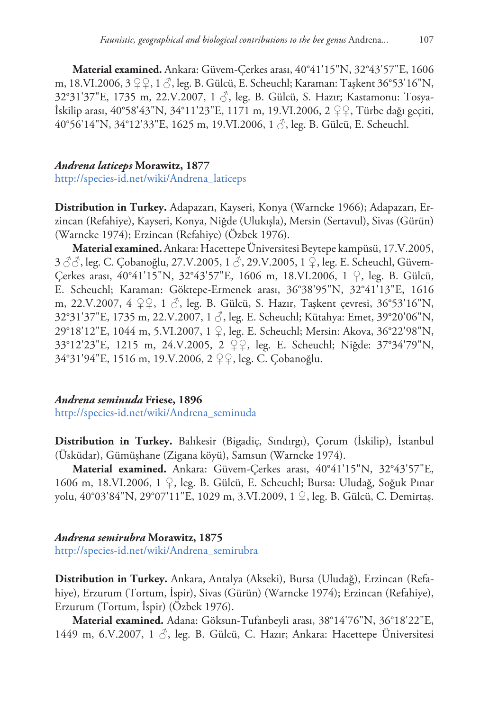**Material examined.** Ankara: Güvem-Çerkes arası, 40°41'15"N, 32°43'57"E, 1606 m, 18.VI.2006, 3 ♀♀, 1 ♂, leg. B. Gülcü, E. Scheuchl; Karaman: Taşkent 36°53'16"N, 32°31'37"E, 1735 m, 22.V.2007, 1 3, leg. B. Gülcü, S. Hazır; Kastamonu: Tosya-İskilip arası, 40°58'43"N, 34°11'23"E, 1171 m, 19.VI.2006, 2 ♀♀, Türbe dağı geçiti, 40°56'14"N, 34°12'33"E, 1625 m, 19.VI.2006, 1 ♂, leg. B. Gülcü, E. Scheuchl.

#### *Andrena laticeps* **Morawitz, 1877**

[http://species-id.net/wiki/Andrena\\_laticeps](http://species-id.net/wiki/Andrena_laticeps)

**Distribution in Turkey.** Adapazarı, Kayseri, Konya (Warncke 1966); Adapazarı, Erzincan (Refahiye), Kayseri, Konya, Niğde (Ulukışla), Mersin (Sertavul), Sivas (Gürün) (Warncke 1974); Erzincan (Refahiye) (Özbek 1976).

**Material examined.**Ankara: Hacettepe Üniversitesi Beytepe kampüsü, 17.V.2005, 3 ♂%, leg. C. Çobanoğlu, 27.V.2005, 1 3, 29.V.2005, 1 ♀, leg. E. Scheuchl, Güvem-Çerkes arası, 40°41'15"N, 32°43'57"E, 1606 m, 18.VI.2006, 1 ♀, leg. B. Gülcü, E. Scheuchl; Karaman: Göktepe-Ermenek arası, 36°38'95"N, 32°41'13"E, 1616 m, 22.V.2007, 4 ♀♀, 1 ♂, leg. B. Gülcü, S. Hazır, Taşkent çevresi, 36°53'16"N, 32°31'37"E, 1735 m, 22.V.2007, 1 ♂, leg. E. Scheuchl; Kütahya: Emet, 39°20'06"N, 29°18'12"E, 1044 m, 5.VI.2007, 1 ♀, leg. E. Scheuchl; Mersin: Akova, 36°22'98"N, 33°12'23"E, 1215 m, 24.V.2005, 2 ♀♀, leg. E. Scheuchl; Niğde: 37°34'79"N, 34°31'94"E, 1516 m, 19.V.2006, 2 ♀♀, leg. C. Çobanoğlu.

# *Andrena seminuda* **Friese, 1896**

[http://species-id.net/wiki/Andrena\\_seminuda](http://species-id.net/wiki/Andrena_seminuda)

**Distribution in Turkey.** Balıkesir (Bigadiç, Sındırgı), Çorum (İskilip), İstanbul (Üsküdar), Gümüşhane (Zigana köyü), Samsun (Warncke 1974).

**Material examined.** Ankara: Güvem-Çerkes arası, 40°41'15"N, 32°43'57"E, 1606 m, 18.VI.2006, 1 ♀, leg. B. Gülcü, E. Scheuchl; Bursa: Uludağ, Soğuk Pınar yolu, 40°03'84"N, 29°07'11"E, 1029 m, 3.VI.2009, 1 ♀, leg. B. Gülcü, C. Demirtaş.

#### *Andrena semirubra* **Morawitz, 1875**

[http://species-id.net/wiki/Andrena\\_semirubra](http://species-id.net/wiki/Andrena_semirubra)

**Distribution in Turkey.** Ankara, Antalya (Akseki), Bursa (Uludağ), Erzincan (Refahiye), Erzurum (Tortum, İspir), Sivas (Gürün) (Warncke 1974); Erzincan (Refahiye), Erzurum (Tortum, İspir) (Özbek 1976).

**Material examined.** Adana: Göksun-Tufanbeyli arası, 38°14'76"N, 36°18'22"E, 1449 m, 6.V.2007, 1 ♂, leg. B. Gülcü, C. Hazır; Ankara: Hacettepe Üniversitesi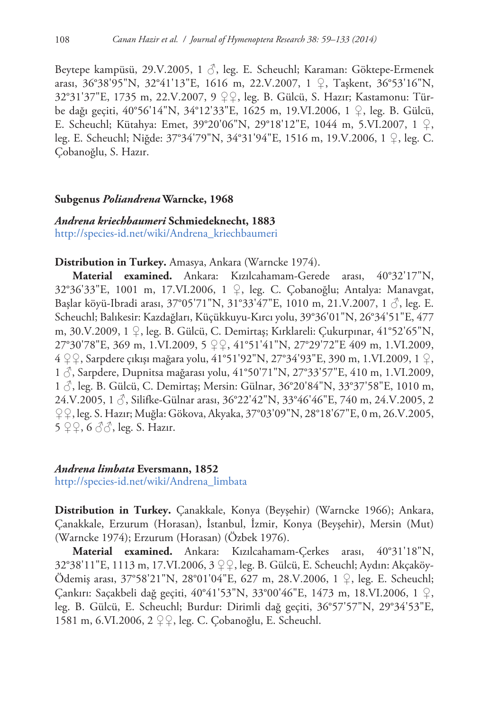Beytepe kampüsü, 29.V.2005, 1 ♂, leg. E. Scheuchl; Karaman: Göktepe-Ermenek arası, 36°38'95"N, 32°41'13"E, 1616 m, 22.V.2007, 1 ♀, Taşkent, 36°53'16"N, 32°31'37"E, 1735 m, 22.V.2007, 9 ♀♀, leg. B. Gülcü, S. Hazır; Kastamonu: Türbe dağı geçiti, 40°56'14"N, 34°12'33"E, 1625 m, 19.VI.2006, 1 ♀, leg. B. Gülcü, E. Scheuchl; Kütahya: Emet, 39°20'06"N, 29°18'12"E, 1044 m, 5.VI.2007, 1 ♀, leg. E. Scheuchl; Niğde: 37°34'79"N, 34°31'94"E, 1516 m, 19.V.2006, 1 ♀, leg. C. Çobanoğlu, S. Hazır.

#### **Subgenus** *Poliandrena* **Warncke, 1968**

# *Andrena kriechbaumeri* **Schmiedeknecht, 1883** [http://species-id.net/wiki/Andrena\\_kriechbaumeri](http://species-id.net/wiki/Andrena_kriechbaumeri)

## **Distribution in Turkey.** Amasya, Ankara (Warncke 1974).

**Material examined.** Ankara: Kızılcahamam-Gerede arası, 40°32'17"N, 32°36'33"E, 1001 m, 17.VI.2006, 1 ♀, leg. C. Çobanoğlu; Antalya: Manavgat, Başlar köyü-Ibradi arası, 37°05'71"N, 31°33'47"E, 1010 m, 21.V.2007, 1 $\beta$ , leg. E. Scheuchl; Balıkesir: Kazdağları, Küçükkuyu-Kırcı yolu, 39°36'01"N, 26°34'51"E, 477 m, 30.V.2009, 1 ♀, leg. B. Gülcü, C. Demirtaş; Kırklareli: Çukurpınar, 41°52'65"N, 27°30'78"E, 369 m, 1.VI.2009, 5 ♀♀, 41°51'41"N, 27°29'72"E 409 m, 1.VI.2009, 4 ♀♀, Sarpdere çıkışı mağara yolu, 41°51'92"N, 27°34'93"E, 390 m, 1.VI.2009, 1 ♀, 1 ♂, Sarpdere, Dupnitsa mağarası yolu, 41°50'71"N, 27°33'57"E, 410 m, 1.VI.2009,  $1 \circled{?}$ , leg. B. Gülcü, C. Demirtaş; Mersin: Gülnar, 36°20'84"N, 33°37'58"E, 1010 m, 24.V.2005, 1 ♂, Silifke-Gülnar arası, 36°22'42"N, 33°46'46"E, 740 m, 24.V.2005, 2 ♀♀, leg. S. Hazır; Muğla: Gökova, Akyaka, 37°03'09"N, 28°18'67"E, 0 m, 26.V.2005, 5  $99, 6$   $33$ , leg. S. Hazır.

# *Andrena limbata* **Eversmann, 1852**

[http://species-id.net/wiki/Andrena\\_limbata](http://species-id.net/wiki/Andrena_limbata)

**Distribution in Turkey.** Çanakkale, Konya (Beyşehir) (Warncke 1966); Ankara, Çanakkale, Erzurum (Horasan), İstanbul, İzmir, Konya (Beyşehir), Mersin (Mut) (Warncke 1974); Erzurum (Horasan) (Özbek 1976).

**Material examined.** Ankara: Kızılcahamam-Çerkes arası, 40°31'18"N, 32°38'11"E, 1113 m, 17.VI.2006, 3 ♀♀, leg. B. Gülcü, E. Scheuchl; Aydın: Akçaköy-Ödemiş arası, 37°58'21"N, 28°01'04"E, 627 m, 28.V.2006, 1 ♀, leg. E. Scheuchl; Çankırı: Saçakbeli dağ geçiti, 40°41'53"N, 33°00'46"E, 1473 m, 18.VI.2006, 1 ♀, leg. B. Gülcü, E. Scheuchl; Burdur: Dirimli dağ geçiti, 36°57'57"N, 29°34'53"E, 1581 m, 6.VI.2006, 2 ♀♀, leg. C. Çobanoğlu, E. Scheuchl.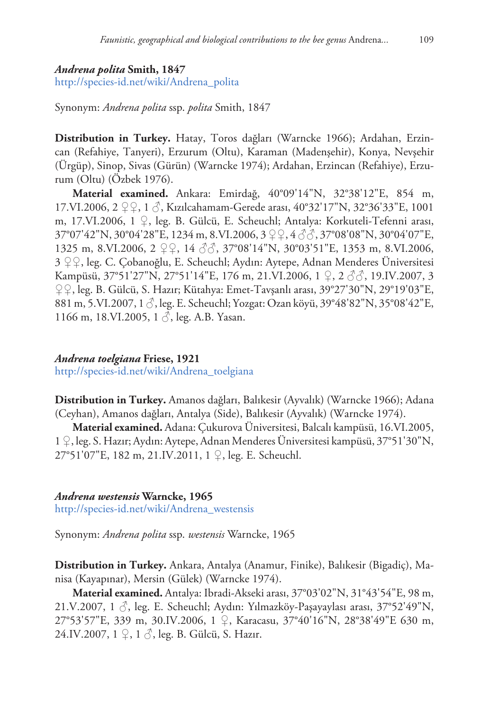## *Andrena polita* **Smith, 1847**

[http://species-id.net/wiki/Andrena\\_polita](http://species-id.net/wiki/Andrena_polita)

Synonym: *Andrena polita* ssp. *polita* Smith, 1847

**Distribution in Turkey.** Hatay, Toros dağları (Warncke 1966); Ardahan, Erzincan (Refahiye, Tanyeri), Erzurum (Oltu), Karaman (Madenşehir), Konya, Nevşehir (Ürgüp), Sinop, Sivas (Gürün) (Warncke 1974); Ardahan, Erzincan (Refahiye), Erzurum (Oltu) (Özbek 1976).

**Material examined.** Ankara: Emirdağ, 40°09'14"N, 32°38'12"E, 854 m, 17.VI.2006, 2 ♀♀, 1 ♂, Kızılcahamam-Gerede arası, 40°32'17"N, 32°36'33"E, 1001 m, 17.VI.2006, 1 ♀, leg. B. Gülcü, E. Scheuchl; Antalya: Korkuteli-Tefenni arası, 37°07'42"N, 30°04'28"E, 1234 m, 8.VI.2006, 3 ♀♀, 4 ♂♂, 37°08'08"N, 30°04'07"E, 1325 m, 8.VI.2006, 2 ♀♀, 14 ♂♂, 37°08'14"N, 30°03'51"E, 1353 m, 8.VI.2006, 3 ♀♀, leg. C. Çobanoğlu, E. Scheuchl; Aydın: Aytepe, Adnan Menderes Üniversitesi Kampüsü, 37°51'27"N, 27°51'14"E, 176 m, 21.VI.2006, 1 ♀, 2 ♂♂, 19.IV.2007, 3 ♀♀, leg. B. Gülcü, S. Hazır; Kütahya: Emet-Tavşanlı arası, 39°27'30"N, 29°19'03"E, 881 m, 5.VI.2007, 1 ♂, leg. E. Scheuchl; Yozgat: Ozan köyü, 39°48'82"N, 35°08'42"E, 1166 m, 18.VI.2005, 1  $\delta$ , leg. A.B. Yasan.

# *Andrena toelgiana* **Friese, 1921**

[http://species-id.net/wiki/Andrena\\_toelgiana](http://species-id.net/wiki/Andrena_toelgiana)

**Distribution in Turkey.** Amanos dağları, Balıkesir (Ayvalık) (Warncke 1966); Adana (Ceyhan), Amanos dağları, Antalya (Side), Balıkesir (Ayvalık) (Warncke 1974).

**Material examined.** Adana: Çukurova Üniversitesi, Balcalı kampüsü, 16.VI.2005, 1 ♀, leg. S. Hazır; Aydın: Aytepe, Adnan Menderes Üniversitesi kampüsü, 37°51'30"N, 27°51'07"E, 182 m, 21.IV.2011, 1 ♀, leg. E. Scheuchl.

## *Andrena westensis* **Warncke, 1965**

[http://species-id.net/wiki/Andrena\\_westensis](http://species-id.net/wiki/Andrena_westensis)

Synonym: *Andrena polita* ssp. *westensis* Warncke, 1965

**Distribution in Turkey.** Ankara, Antalya (Anamur, Finike), Balıkesir (Bigadiç), Manisa (Kayapınar), Mersin (Gülek) (Warncke 1974).

**Material examined.** Antalya: Ibradi-Akseki arası, 37°03'02"N, 31°43'54"E, 98 m, 21.V.2007, 1  $\circ$ , leg. E. Scheuchl; Aydın: Yılmazköy-Paşayaylası arası, 37°52'49"N, 27°53'57"E, 339 m, 30.IV.2006, 1 ♀, Karacasu, 37°40'16"N, 28°38'49"E 630 m, 24.IV.2007, 1 ♀, 1 ♂, leg. B. Gülcü, S. Hazır.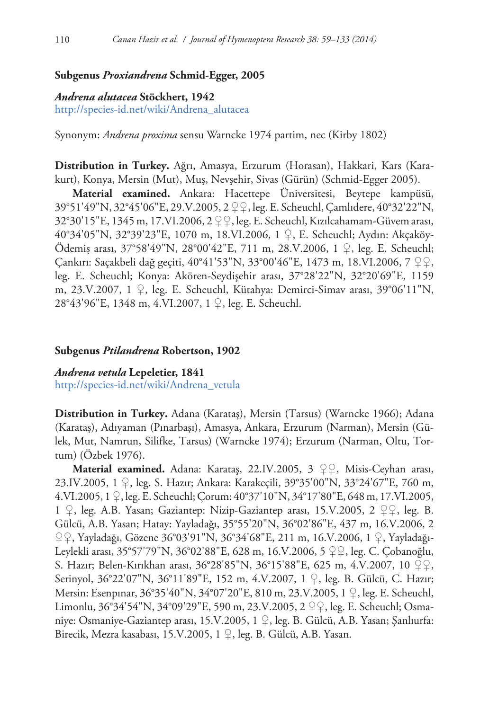# **Subgenus** *Proxiandrena* **Schmid-Egger, 2005**

## *Andrena alutacea* **Stöckhert, 1942**

[http://species-id.net/wiki/Andrena\\_alutacea](http://species-id.net/wiki/Andrena_alutacea)

Synonym: *Andrena proxima* sensu Warncke 1974 partim, nec (Kirby 1802)

**Distribution in Turkey.** Ağrı, Amasya, Erzurum (Horasan), Hakkari, Kars (Karakurt), Konya, Mersin (Mut), Muş, Nevşehir, Sivas (Gürün) (Schmid-Egger 2005).

**Material examined.** Ankara: Hacettepe Üniversitesi, Beytepe kampüsü, 39°51'49"N, 32°45'06"E, 29.V.2005, 2 ♀♀, leg. E. Scheuchl, Çamlıdere, 40°32'22"N, 32°30'15"E, 1345 m, 17.VI.2006, 2 ♀♀, leg. E. Scheuchl, Kızılcahamam-Güvem arası, 40°34'05"N, 32°39'23"E, 1070 m, 18.VI.2006, 1 ♀, E. Scheuchl; Aydın: Akçaköy-Ödemiş arası, 37°58'49"N, 28°00'42"E, 711 m, 28.V.2006, 1 ♀, leg. E. Scheuchl; Çankırı: Saçakbeli dağ geçiti, 40°41'53"N, 33°00'46"E, 1473 m, 18.VI.2006, 7 ♀♀, leg. E. Scheuchl; Konya: Akören-Seydişehir arası, 37°28'22"N, 32°20'69"E, 1159 m, 23.V.2007, 1 ♀, leg. E. Scheuchl, Kütahya: Demirci-Simav arası, 39°06'11"N, 28°43'96"E, 1348 m, 4.VI.2007, 1 ♀, leg. E. Scheuchl.

#### **Subgenus** *Ptilandrena* **Robertson, 1902**

*Andrena vetula* **Lepeletier, 1841** [http://species-id.net/wiki/Andrena\\_vetula](http://species-id.net/wiki/Andrena_vetula)

**Distribution in Turkey.** Adana (Karataş), Mersin (Tarsus) (Warncke 1966); Adana (Karataş), Adıyaman (Pınarbaşı), Amasya, Ankara, Erzurum (Narman), Mersin (Gülek, Mut, Namrun, Silifke, Tarsus) (Warncke 1974); Erzurum (Narman, Oltu, Tortum) (Özbek 1976).

**Material examined.** Adana: Karataş, 22.IV.2005, 3 ♀♀, Misis-Ceyhan arası, 23.IV.2005, 1 ♀, leg. S. Hazır; Ankara: Karakeçili, 39°35'00"N, 33°24'67"E, 760 m, 4.VI.2005, 1 ♀, leg. E. Scheuchl; Çorum: 40°37'10"N, 34°17'80"E, 648 m, 17.VI.2005, 1 ♀, leg. A.B. Yasan; Gaziantep: Nizip-Gaziantep arası, 15.V.2005, 2 ♀♀, leg. B. Gülcü, A.B. Yasan; Hatay: Yayladağı, 35°55'20"N, 36°02'86"E, 437 m, 16.V.2006, 2 ♀♀, Yayladağı, Gözene 36°03'91"N, 36°34'68"E, 211 m, 16.V.2006, 1 ♀, Yayladağı-Leylekli arası, 35°57'79"N, 36°02'88"E, 628 m, 16.V.2006, 5 ♀♀, leg. C. Çobanoğlu, S. Hazır; Belen-Kırıkhan arası, 36°28'85"N, 36°15'88"E, 625 m, 4.V.2007, 10 ♀♀, Serinyol, 36°22'07"N, 36°11'89"E, 152 m, 4.V.2007, 1 ♀, leg. B. Gülcü, C. Hazır; Mersin: Esenpınar, 36°35'40"N, 34°07'20"E, 810 m, 23.V.2005, 1 ♀, leg. E. Scheuchl, Limonlu, 36°34'54"N, 34°09'29"E, 590 m, 23.V.2005, 2 ♀♀, leg. E. Scheuchl; Osmaniye: Osmaniye-Gaziantep arası, 15.V.2005, 1 ♀, leg. B. Gülcü, A.B. Yasan; Şanlıurfa: Birecik, Mezra kasabası, 15.V.2005, 1 ♀, leg. B. Gülcü, A.B. Yasan.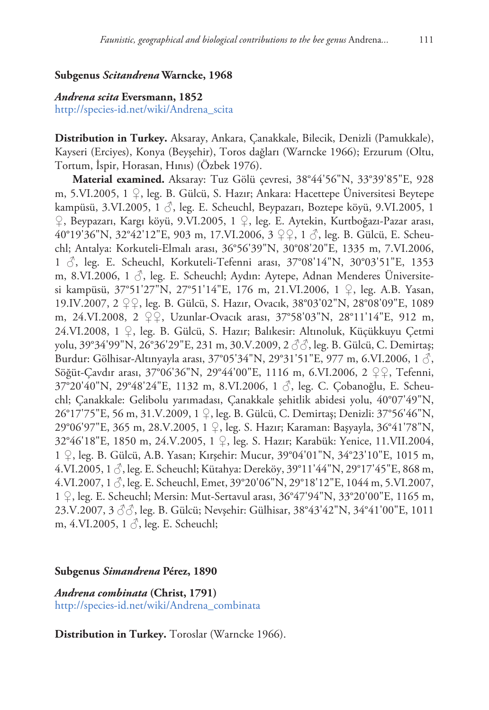# **Subgenus** *Scitandrena* **Warncke, 1968**

# *Andrena scita* **Eversmann, 1852**

[http://species-id.net/wiki/Andrena\\_scita](http://species-id.net/wiki/Andrena_scita)

**Distribution in Turkey.** Aksaray, Ankara, Çanakkale, Bilecik, Denizli (Pamukkale), Kayseri (Erciyes), Konya (Beyşehir), Toros dağları (Warncke 1966); Erzurum (Oltu, Tortum, İspir, Horasan, Hınıs) (Özbek 1976).

**Material examined.** Aksaray: Tuz Gölü çevresi, 38°44'56"N, 33°39'85"E, 928 m, 5.VI.2005, 1 ♀, leg. B. Gülcü, S. Hazır; Ankara: Hacettepe Üniversitesi Beytepe kampüsü, 3.VI.2005, 1  $\Diamond$ , leg. E. Scheuchl, Beypazarı, Boztepe köyü, 9.VI.2005, 1 ♀, Beypazarı, Kargı köyü, 9.VI.2005, 1 ♀, leg. E. Aytekin, Kurtboğazı-Pazar arası, 40°19'36"N, 32°42'12"E, 903 m, 17.VI.2006, 3 ♀♀, 1 ♂, leg. B. Gülcü, E. Scheuchl; Antalya: Korkuteli-Elmalı arası, 36°56'39"N, 30°08'20"E, 1335 m, 7.VI.2006, 1 ♂, leg. E. Scheuchl, Korkuteli-Tefenni arası, 37°08'14"N, 30°03'51"E, 1353 m, 8.VI.2006, 1  $\Diamond$ , leg. E. Scheuchl; Aydın: Aytepe, Adnan Menderes Üniversitesi kampüsü, 37°51'27"N, 27°51'14"E, 176 m, 21.VI.2006, 1 ♀, leg. A.B. Yasan, 19.IV.2007, 2 ♀♀, leg. B. Gülcü, S. Hazır, Ovacık, 38°03'02"N, 28°08'09"E, 1089 m, 24.VI.2008, 2 ♀♀, Uzunlar-Ovacık arası, 37°58'03"N, 28°11'14"E, 912 m, 24.VI.2008, 1 ♀, leg. B. Gülcü, S. Hazır; Balıkesir: Altınoluk, Küçükkuyu Çetmi yolu, 39°34'99"N, 26°36'29"E, 231 m, 30.V.2009, 2 ♂♂, leg. B. Gülcü, C. Demirtaş; Burdur: Gölhisar-Altınyayla arası, 37°05'34"N, 29°31'51"E, 977 m, 6.VI.2006, 1 ♂, Söğüt-Çavdır arası, 37°06'36"N, 29°44'00"E, 1116 m, 6.VI.2006, 2 ♀♀, Tefenni, 37°20'40"N, 29°48'24"E, 1132 m, 8.VI.2006, 1 ♂, leg. C. Çobanoğlu, E. Scheuchl; Çanakkale: Gelibolu yarımadası, Çanakkale şehitlik abidesi yolu, 40°07'49"N, 26°17'75"E, 56 m, 31.V.2009, 1 ♀, leg. B. Gülcü, C. Demirtaş; Denizli: 37°56'46"N, 29°06'97"E, 365 m, 28.V.2005, 1 ♀, leg. S. Hazır; Karaman: Başyayla, 36°41'78"N, 32°46'18"E, 1850 m, 24.V.2005, 1 ♀, leg. S. Hazır; Karabük: Yenice, 11.VII.2004, 1 ♀, leg. B. Gülcü, A.B. Yasan; Kırşehir: Mucur, 39°04'01"N, 34°23'10"E, 1015 m, 4.VI.2005, 1  $\circ$ , leg. E. Scheuchl; Kütahya: Dereköy, 39°11'44"N, 29°17'45"E, 868 m, 4.VI.2007, 1  $\circ$ , leg. E. Scheuchl, Emet, 39°20'06"N, 29°18'12"E, 1044 m, 5.VI.2007, 1 ♀, leg. E. Scheuchl; Mersin: Mut-Sertavul arası, 36°47'94"N, 33°20'00"E, 1165 m, 23.V.2007, 3 ♂♂, leg. B. Gülcü; Nevşehir: Gülhisar, 38°43'42"N, 34°41'00"E, 1011 m, 4.VI.2005, 1  $\Diamond$ , leg. E. Scheuchl;

# **Subgenus** *Simandrena* **Pérez, 1890**

*Andrena combinata* **(Christ, 1791)** [http://species-id.net/wiki/Andrena\\_combinata](http://species-id.net/wiki/Andrena_combinata)

**Distribution in Turkey.** Toroslar (Warncke 1966).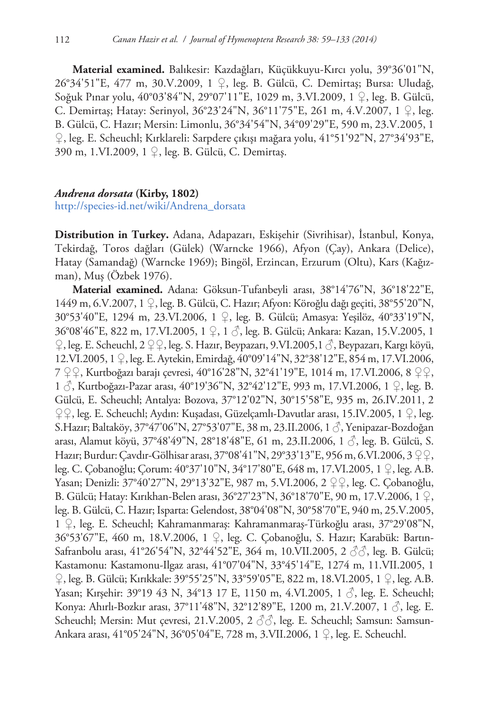**Material examined.** Balıkesir: Kazdağları, Küçükkuyu-Kırcı yolu, 39°36'01"N, 26°34'51"E, 477 m, 30.V.2009, 1 ♀, leg. B. Gülcü, C. Demirtaş; Bursa: Uludağ, Soğuk Pınar yolu, 40°03'84"N, 29°07'11"E, 1029 m, 3.VI.2009, 1 ♀, leg. B. Gülcü, C. Demirtaş; Hatay: Serinyol, 36°23'24"N, 36°11'75"E, 261 m, 4.V.2007, 1 ♀, leg. B. Gülcü, C. Hazır; Mersin: Limonlu, 36°34'54"N, 34°09'29"E, 590 m, 23.V.2005, 1 ♀, leg. E. Scheuchl; Kırklareli: Sarpdere çıkışı mağara yolu, 41°51'92"N, 27°34'93"E, 390 m, 1.VI.2009, 1 ♀, leg. B. Gülcü, C. Demirtaş.

## *Andrena dorsata* **(Kirby, 1802)**

[http://species-id.net/wiki/Andrena\\_dorsata](http://species-id.net/wiki/Andrena_dorsata)

**Distribution in Turkey.** Adana, Adapazarı, Eskişehir (Sivrihisar), İstanbul, Konya, Tekirdağ, Toros dağları (Gülek) (Warncke 1966), Afyon (Çay), Ankara (Delice), Hatay (Samandağ) (Warncke 1969); Bingöl, Erzincan, Erzurum (Oltu), Kars (Kağızman), Muş (Özbek 1976).

**Material examined.** Adana: Göksun-Tufanbeyli arası, 38°14'76"N, 36°18'22"E, 1449 m, 6.V.2007, 1 ♀, leg. B. Gülcü, C. Hazır; Afyon: Köroğlu dağı geçiti, 38°55'20"N, 30°53'40"E, 1294 m, 23.VI.2006, 1 ♀, leg. B. Gülcü; Amasya: Yeşilöz, 40°33'19"N, 36°08'46"E, 822 m, 17.VI.2005, 1 ♀, 1 ♂, leg. B. Gülcü; Ankara: Kazan, 15.V.2005, 1 ♀, leg. E. Scheuchl, 2 ♀♀, leg. S. Hazır, Beypazarı, 9.VI.2005,1 ♂, Beypazarı, Kargı köyü, 12.VI.2005, 1 ♀, leg. E. Aytekin, Emirdağ, 40°09'14"N, 32°38'12"E, 854 m, 17.VI.2006, 7 ♀♀, Kurtboğazı barajı çevresi, 40°16'28"N, 32°41'19"E, 1014 m, 17.VI.2006, 8 ♀♀, 1 ♂, Kurtboğazı-Pazar arası, 40°19'36"N, 32°42'12"E, 993 m, 17.VI.2006, 1 ♀, leg. B. Gülcü, E. Scheuchl; Antalya: Bozova, 37°12'02"N, 30°15'58"E, 935 m, 26.IV.2011, 2 ♀♀, leg. E. Scheuchl; Aydın: Kuşadası, Güzelçamlı-Davutlar arası, 15.IV.2005, 1 ♀, leg. S.Hazır; Baltaköy, 37°47'06"N, 27°53'07"E, 38 m, 23.II.2006, 1 ♂, Yenipazar-Bozdoğan arası, Alamut köyü, 37°48'49"N, 28°18'48"E, 61 m, 23.II.2006, 1 ♂, leg. B. Gülcü, S. Hazır; Burdur: Çavdır-Gölhisar arası, 37°08'41"N, 29°33'13"E, 956 m, 6.VI.2006, 3 ♀♀, leg. C. Çobanoğlu; Çorum: 40°37'10"N, 34°17'80"E, 648 m, 17.VI.2005, 1 ♀, leg. A.B. Yasan; Denizli: 37°40'27"N, 29°13'32"E, 987 m, 5.VI.2006, 2 ♀♀, leg. C. Çobanoğlu, B. Gülcü; Hatay: Kırıkhan-Belen arası, 36°27'23"N, 36°18'70"E, 90 m, 17.V.2006, 1 ♀, leg. B. Gülcü, C. Hazır; Isparta: Gelendost, 38°04'08"N, 30°58'70"E, 940 m, 25.V.2005, 1 ♀, leg. E. Scheuchl; Kahramanmaraş: Kahramanmaraş-Türkoğlu arası, 37°29'08"N, 36°53'67"E, 460 m, 18.V.2006, 1 ♀, leg. C. Çobanoğlu, S. Hazır; Karabük: Bartın-Safranbolu arası, 41°26'54"N, 32°44'52"E, 364 m, 10.VII.2005, 2 ♂♂, leg. B. Gülcü; Kastamonu: Kastamonu-Ilgaz arası, 41°07'04"N, 33°45'14"E, 1274 m, 11.VII.2005, 1 ♀, leg. B. Gülcü; Kırıkkale: 39°55'25"N, 33°59'05"E, 822 m, 18.VI.2005, 1 ♀, leg. A.B. Yasan; Kırşehir: 39°19 43 N, 34°13 17 E, 1150 m, 4.VI.2005, 1 ♂, leg. E. Scheuchl; Konya: Ahırlı-Bozkır arası, 37°11'48"N, 32°12'89"E, 1200 m, 21.V.2007, 1 ♂, leg. E. Scheuchl; Mersin: Mut çevresi, 21.V.2005, 2 ♂♂, leg. E. Scheuchl; Samsun: Samsun-Ankara arası, 41°05'24"N, 36°05'04"E, 728 m, 3.VII.2006, 1 ♀, leg. E. Scheuchl.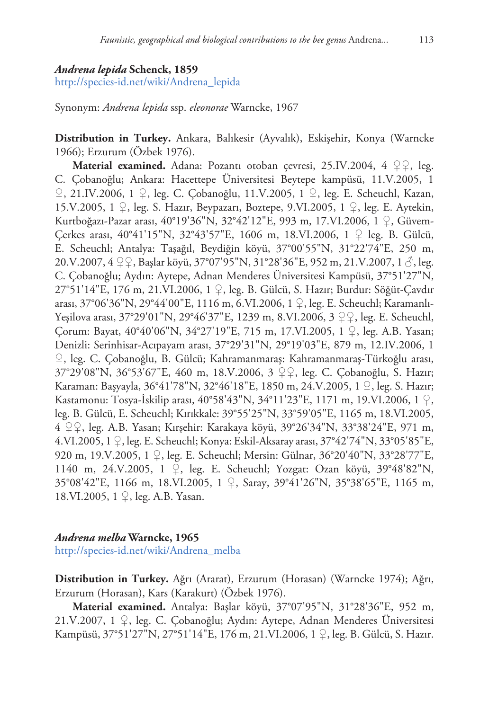#### *Andrena lepida* **Schenck, 1859**

[http://species-id.net/wiki/Andrena\\_lepida](http://species-id.net/wiki/Andrena_lepida)

Synonym: *Andrena lepida* ssp. *eleonorae* Warncke, 1967

**Distribution in Turkey.** Ankara, Balıkesir (Ayvalık), Eskişehir, Konya (Warncke 1966); Erzurum (Özbek 1976).

**Material examined.** Adana: Pozantı otoban çevresi, 25.IV.2004, 4 ♀♀, leg. C. Çobanoğlu; Ankara: Hacettepe Üniversitesi Beytepe kampüsü, 11.V.2005, 1 ♀, 21.IV.2006, 1 ♀, leg. C. Çobanoğlu, 11.V.2005, 1 ♀, leg. E. Scheuchl, Kazan, 15.V.2005, 1 ♀, leg. S. Hazır, Beypazarı, Boztepe, 9.VI.2005, 1 ♀, leg. E. Aytekin, Kurtboğazı-Pazar arası, 40°19'36"N, 32°42'12"E, 993 m, 17.VI.2006, 1 ♀, Güvem-Çerkes arası, 40°41'15"N, 32°43'57"E, 1606 m, 18.VI.2006, 1 ♀ leg. B. Gülcü, E. Scheuchl; Antalya: Taşağıl, Beydiğin köyü, 37°00'55"N, 31°22'74"E, 250 m, 20.V.2007, 4 ♀♀, Başlar köyü, 37°07'95"N, 31°28'36"E, 952 m, 21.V.2007, 1 *√*, leg. C. Çobanoğlu; Aydın: Aytepe, Adnan Menderes Üniversitesi Kampüsü, 37°51'27"N, 27°51'14"E, 176 m, 21.VI.2006, 1 ♀, leg. B. Gülcü, S. Hazır; Burdur: Söğüt-Çavdır arası, 37°06'36"N, 29°44'00"E, 1116 m, 6.VI.2006, 1 ♀, leg. E. Scheuchl; Karamanlı-Yeşilova arası, 37°29'01"N, 29°46'37"E, 1239 m, 8.VI.2006, 3 ♀♀, leg. E. Scheuchl, Çorum: Bayat, 40°40'06"N, 34°27'19"E, 715 m, 17.VI.2005, 1 ♀, leg. A.B. Yasan; Denizli: Serinhisar-Acıpayam arası, 37°29'31"N, 29°19'03"E, 879 m, 12.IV.2006, 1 ♀, leg. C. Çobanoğlu, B. Gülcü; Kahramanmaraş: Kahramanmaraş-Türkoğlu arası, 37°29'08"N, 36°53'67"E, 460 m, 18.V.2006, 3 ♀♀, leg. C. Çobanoğlu, S. Hazır; Karaman: Başyayla, 36°41'78"N, 32°46'18"E, 1850 m, 24.V.2005, 1 ♀, leg. S. Hazır; Kastamonu: Tosya-İskilip arası, 40°58'43"N, 34°11'23"E, 1171 m, 19.VI.2006, 1 ♀, leg. B. Gülcü, E. Scheuchl; Kırıkkale: 39°55'25"N, 33°59'05"E, 1165 m, 18.VI.2005, 4 ♀♀, leg. A.B. Yasan; Kırşehir: Karakaya köyü, 39°26'34"N, 33°38'24"E, 971 m, 4.VI.2005, 1 ♀, leg. E. Scheuchl; Konya: Eskil-Aksaray arası, 37°42'74"N, 33°05'85"E, 920 m, 19.V.2005, 1 ♀, leg. E. Scheuchl; Mersin: Gülnar, 36°20'40"N, 33°28'77"E, 1140 m, 24.V.2005, 1 ♀, leg. E. Scheuchl; Yozgat: Ozan köyü, 39°48'82"N, 35°08'42"E, 1166 m, 18.VI.2005, 1 ♀, Saray, 39°41'26"N, 35°38'65"E, 1165 m, 18.VI.2005, 1 ♀, leg. A.B. Yasan.

# *Andrena melba* **Warncke, 1965**

[http://species-id.net/wiki/Andrena\\_melba](http://species-id.net/wiki/Andrena_melba)

**Distribution in Turkey.** Ağrı (Ararat), Erzurum (Horasan) (Warncke 1974); Ağrı, Erzurum (Horasan), Kars (Karakurt) (Özbek 1976).

**Material examined.** Antalya: Başlar köyü, 37°07'95"N, 31°28'36"E, 952 m, 21.V.2007, 1 ♀, leg. C. Çobanoğlu; Aydın: Aytepe, Adnan Menderes Üniversitesi Kampüsü, 37°51'27"N, 27°51'14"E, 176 m, 21.VI.2006, 1 ♀, leg. B. Gülcü, S. Hazır.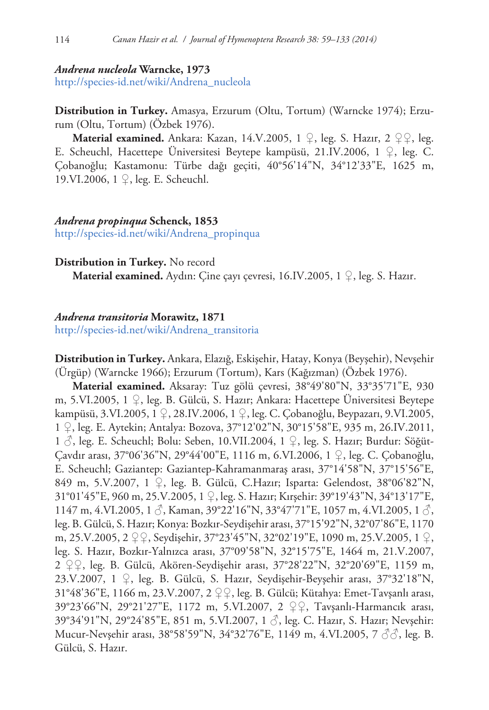#### *Andrena nucleola* **Warncke, 1973**

[http://species-id.net/wiki/Andrena\\_nucleola](http://species-id.net/wiki/Andrena_nucleola)

**Distribution in Turkey.** Amasya, Erzurum (Oltu, Tortum) (Warncke 1974); Erzurum (Oltu, Tortum) (Özbek 1976).

**Material examined.** Ankara: Kazan, 14.V.2005, 1  $\mathcal{Q}$ , leg. S. Hazır, 2  $\mathcal{Q}\mathcal{Q}$ , leg. E. Scheuchl, Hacettepe Üniversitesi Beytepe kampüsü, 21.IV.2006, 1 ♀, leg. C. Çobanoğlu; Kastamonu: Türbe dağı geçiti, 40°56'14"N, 34°12'33"E, 1625 m, 19.VI.2006, 1 ♀, leg. E. Scheuchl.

## *Andrena propinqua* **Schenck, 1853**

[http://species-id.net/wiki/Andrena\\_propinqua](http://species-id.net/wiki/Andrena_propinqua)

#### **Distribution in Turkey.** No record

**Material examined.** Aydın: Çine çayı çevresi, 16.IV.2005, 1 ♀, leg. S. Hazır.

#### *Andrena transitoria* **Morawitz, 1871**

[http://species-id.net/wiki/Andrena\\_transitoria](http://species-id.net/wiki/Andrena_transitoria)

**Distribution in Turkey.** Ankara, Elazığ, Eskişehir, Hatay, Konya (Beyşehir), Nevşehir (Ürgüp) (Warncke 1966); Erzurum (Tortum), Kars (Kağızman) (Özbek 1976).

**Material examined.** Aksaray: Tuz gölü çevresi, 38°49'80"N, 33°35'71"E, 930 m, 5.VI.2005, 1 ♀, leg. B. Gülcü, S. Hazır; Ankara: Hacettepe Üniversitesi Beytepe kampüsü, 3.VI.2005, 1 ♀, 28.IV.2006, 1 ♀, leg. C. Çobanoğlu, Beypazarı, 9.VI.2005, 1 ♀, leg. E. Aytekin; Antalya: Bozova, 37°12'02"N, 30°15'58"E, 935 m, 26.IV.2011, 1 ♂, leg. E. Scheuchl; Bolu: Seben, 10.VII.2004, 1 ♀, leg. S. Hazır; Burdur: Söğüt-Çavdır arası, 37°06'36"N, 29°44'00"E, 1116 m, 6.VI.2006, 1 ♀, leg. C. Çobanoğlu, E. Scheuchl; Gaziantep: Gaziantep-Kahramanmaraş arası, 37°14'58"N, 37°15'56"E, 849 m, 5.V.2007, 1 ♀, leg. B. Gülcü, C.Hazır; Isparta: Gelendost, 38°06'82"N, 31°01'45"E, 960 m, 25.V.2005, 1 ♀, leg. S. Hazır; Kırşehir: 39°19'43"N, 34°13'17"E, 1147 m, 4.VI.2005, 1  $\circ$ , Kaman, 39°22'16"N, 33°47'71"E, 1057 m, 4.VI.2005, 1  $\circ$ , leg. B. Gülcü, S. Hazır; Konya: Bozkır-Seydişehir arası, 37°15'92"N, 32°07'86"E, 1170 m, 25.V.2005, 2 ♀♀, Seydişehir, 37°23'45"N, 32°02'19"E, 1090 m, 25.V.2005, 1 ♀, leg. S. Hazır, Bozkır-Yalnızca arası, 37°09'58"N, 32°15'75"E, 1464 m, 21.V.2007, 2 ♀♀, leg. B. Gülcü, Akören-Seydişehir arası, 37°28'22"N, 32°20'69"E, 1159 m, 23.V.2007, 1 ♀, leg. B. Gülcü, S. Hazır, Seydişehir-Beyşehir arası, 37°32'18"N, 31°48'36"E, 1166 m, 23.V.2007, 2 ♀♀, leg. B. Gülcü; Kütahya: Emet-Tavşanlı arası, 39°23'66"N, 29°21'27"E, 1172 m, 5.VI.2007, 2 ♀♀, Tavşanlı-Harmancık arası, 39°34'91"N, 29°24'85"E, 851 m, 5.VI.2007, 1 ♂, leg. C. Hazır, S. Hazır; Nevşehir: Mucur-Nevşehir arası, 38°58'59"N, 34°32'76"E, 1149 m, 4.VI.2005, 7 ♂♂, leg. B. Gülcü, S. Hazır.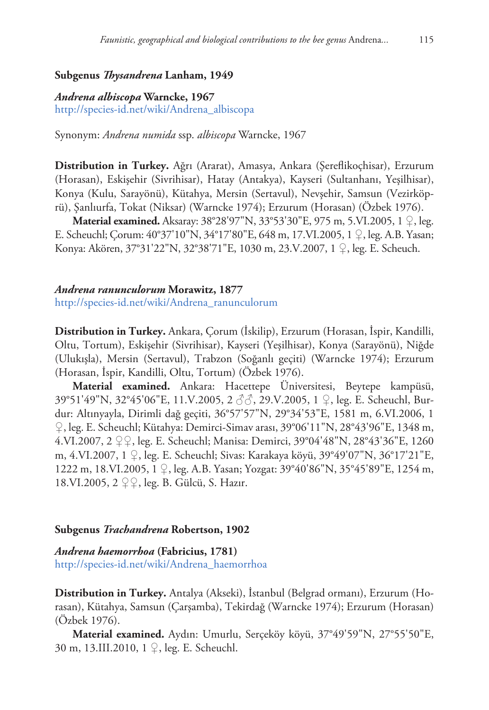## **Subgenus** *Thysandrena* **Lanham, 1949**

#### *Andrena albiscopa* **Warncke, 1967**

[http://species-id.net/wiki/Andrena\\_albiscopa](http://species-id.net/wiki/Andrena_albiscopa)

Synonym: *Andrena numida* ssp. *albiscopa* Warncke, 1967

**Distribution in Turkey.** Ağrı (Ararat), Amasya, Ankara (Şereflikoçhisar), Erzurum (Horasan), Eskişehir (Sivrihisar), Hatay (Antakya), Kayseri (Sultanhanı, Yeşilhisar), Konya (Kulu, Sarayönü), Kütahya, Mersin (Sertavul), Nevşehir, Samsun (Vezirköprü), Şanlıurfa, Tokat (Niksar) (Warncke 1974); Erzurum (Horasan) (Özbek 1976).

**Material examined.** Aksaray: 38°28'97"N, 33°53'30"E, 975 m, 5.VI.2005, 1 ♀, leg. E. Scheuchl; Çorum: 40°37'10"N, 34°17'80"E, 648 m, 17.VI.2005, 1 ♀, leg. A.B. Yasan; Konya: Akören, 37°31'22"N, 32°38'71"E, 1030 m, 23.V.2007, 1 ♀, leg. E. Scheuch.

# *Andrena ranunculorum* **Morawitz, 1877** [http://species-id.net/wiki/Andrena\\_ranunculorum](http://species-id.net/wiki/Andrena_ranunculorum)

**Distribution in Turkey.** Ankara, Çorum (İskilip), Erzurum (Horasan, İspir, Kandilli, Oltu, Tortum), Eskişehir (Sivrihisar), Kayseri (Yeşilhisar), Konya (Sarayönü), Niğde (Ulukışla), Mersin (Sertavul), Trabzon (Soğanlı geçiti) (Warncke 1974); Erzurum (Horasan, İspir, Kandilli, Oltu, Tortum) (Özbek 1976).

**Material examined.** Ankara: Hacettepe Üniversitesi, Beytepe kampüsü, 39°51'49"N, 32°45'06"E, 11.V.2005, 2 ♂♂, 29.V.2005, 1 ♀, leg. E. Scheuchl, Burdur: Altınyayla, Dirimli dağ geçiti, 36°57'57"N, 29°34'53"E, 1581 m, 6.VI.2006, 1 ♀, leg. E. Scheuchl; Kütahya: Demirci-Simav arası, 39°06'11"N, 28°43'96"E, 1348 m, 4.VI.2007, 2 ♀♀, leg. E. Scheuchl; Manisa: Demirci, 39°04'48"N, 28°43'36"E, 1260 m, 4.VI.2007, 1 ♀, leg. E. Scheuchl; Sivas: Karakaya köyü, 39°49'07"N, 36°17'21"E, 1222 m, 18.VI.2005, 1 ♀, leg. A.B. Yasan; Yozgat: 39°40'86"N, 35°45'89"E, 1254 m, 18.VI.2005, 2 ♀♀, leg. B. Gülcü, S. Hazır.

#### **Subgenus** *Trachandrena* **Robertson, 1902**

*Andrena haemorrhoa* **(Fabricius, 1781)** [http://species-id.net/wiki/Andrena\\_haemorrhoa](http://species-id.net/wiki/Andrena_haemorrhoa)

**Distribution in Turkey.** Antalya (Akseki), İstanbul (Belgrad ormanı), Erzurum (Horasan), Kütahya, Samsun (Çarşamba), Tekirdağ (Warncke 1974); Erzurum (Horasan) (Özbek 1976).

**Material examined.** Aydın: Umurlu, Serçeköy köyü, 37°49'59"N, 27°55'50"E, 30 m, 13.III.2010, 1 ♀, leg. E. Scheuchl.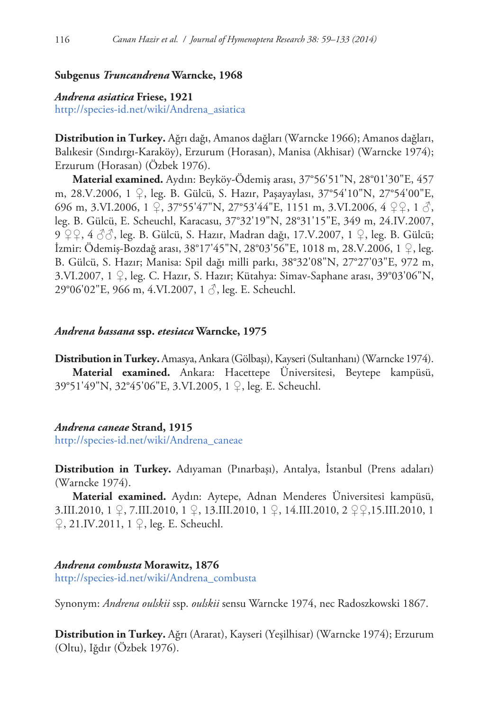## **Subgenus** *Truncandrena* **Warncke, 1968**

# *Andrena asiatica* **Friese, 1921**

[http://species-id.net/wiki/Andrena\\_asiatica](http://species-id.net/wiki/Andrena_asiatica)

**Distribution in Turkey.** Ağrı dağı, Amanos dağları (Warncke 1966); Amanos dağları, Balıkesir (Sındırgı-Karaköy), Erzurum (Horasan), Manisa (Akhisar) (Warncke 1974); Erzurum (Horasan) (Özbek 1976).

**Material examined.** Aydın: Beyköy-Ödemiş arası, 37°56'51"N, 28°01'30"E, 457 m, 28.V.2006, 1 ♀, leg. B. Gülcü, S. Hazır, Paşayaylası, 37°54'10"N, 27°54'00"E, 696 m, 3.VI.2006, 1  $\mathcal{Q}$ , 37°55'47"N, 27°53'44"E, 1151 m, 3.VI.2006, 4  $\mathcal{Q} \mathcal{Q}$ , 1  $\mathcal{S}$ , leg. B. Gülcü, E. Scheuchl, Karacasu, 37°32'19"N, 28°31'15"E, 349 m, 24.IV.2007, 9 ♀♀, 4 *&&*, leg. B. Gülcü, S. Hazır, Madran dağı, 17.V.2007, 1 ♀, leg. B. Gülcü; İzmir: Ödemiş-Bozdağ arası, 38°17'45"N, 28°03'56"E, 1018 m, 28.V.2006, 1 ♀, leg. B. Gülcü, S. Hazır; Manisa: Spil dağı milli parkı, 38°32'08"N, 27°27'03"E, 972 m, 3.VI.2007, 1 ♀, leg. C. Hazır, S. Hazır; Kütahya: Simav-Saphane arası, 39°03'06"N, 29°06'02"E, 966 m, 4.VI.2007, 1 ♂, leg. E. Scheuchl.

## *Andrena bassana* **ssp.** *etesiaca* **Warncke, 1975**

**Distribution in Turkey.** Amasya, Ankara (Gölbaşı), Kayseri (Sultanhanı) (Warncke 1974). **Material examined.** Ankara: Hacettepe Üniversitesi, Beytepe kampüsü, 39°51'49"N, 32°45'06"E, 3.VI.2005, 1 ♀, leg. E. Scheuchl.

#### *Andrena caneae* **Strand, 1915**

[http://species-id.net/wiki/Andrena\\_caneae](http://species-id.net/wiki/Andrena_caneae)

**Distribution in Turkey.** Adıyaman (Pınarbaşı), Antalya, İstanbul (Prens adaları) (Warncke 1974).

**Material examined.** Aydın: Aytepe, Adnan Menderes Üniversitesi kampüsü, 3.III.2010, 1 ♀, 7.III.2010, 1 ♀, 13.III.2010, 1 ♀, 14.III.2010, 2 ♀♀,15.III.2010, 1  $\varphi$ , 21.IV.2011, 1  $\varphi$ , leg. E. Scheuchl.

*Andrena combusta* **Morawitz, 1876** [http://species-id.net/wiki/Andrena\\_combusta](http://species-id.net/wiki/Andrena_combusta)

Synonym: *Andrena oulskii* ssp. *oulskii* sensu Warncke 1974, nec Radoszkowski 1867.

**Distribution in Turkey.** Ağrı (Ararat), Kayseri (Yeşilhisar) (Warncke 1974); Erzurum (Oltu), Iğdır (Özbek 1976).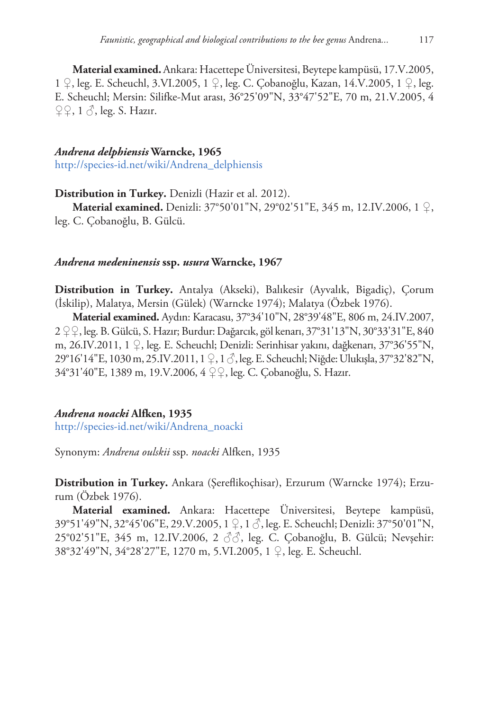**Material examined.**Ankara: Hacettepe Üniversitesi, Beytepe kampüsü, 17.V.2005, 1 ♀, leg. E. Scheuchl, 3.VI.2005, 1 ♀, leg. C. Çobanoğlu, Kazan, 14.V.2005, 1 ♀, leg. E. Scheuchl; Mersin: Silifke-Mut arası, 36°25'09"N, 33°47'52"E, 70 m, 21.V.2005, 4  $\mathcal{Q} \mathcal{Q}$ , 1  $\mathcal{S}$ , leg. S. Hazır.

# *Andrena delphiensis* **Warncke, 1965** [http://species-id.net/wiki/Andrena\\_delphiensis](http://species-id.net/wiki/Andrena_delphiensis)

**Distribution in Turkey.** Denizli (Hazir et al. 2012).

**Material examined.** Denizli: 37°50'01"N, 29°02'51"E, 345 m, 12.IV.2006, 1 ♀, leg. C. Çobanoğlu, B. Gülcü.

# *Andrena medeninensis* **ssp.** *usura* **Warncke, 1967**

**Distribution in Turkey.** Antalya (Akseki), Balıkesir (Ayvalık, Bigadiç), Çorum (İskilip), Malatya, Mersin (Gülek) (Warncke 1974); Malatya (Özbek 1976).

**Material examined.** Aydın: Karacasu, 37°34'10"N, 28°39'48"E, 806 m, 24.IV.2007, 2 ♀♀, leg. B. Gülcü, S. Hazır; Burdur: Dağarcık, göl kenarı, 37°31'13"N, 30°33'31"E, 840 m, 26.IV.2011, 1 ♀, leg. E. Scheuchl; Denizli: Serinhisar yakını, dağkenarı, 37°36'55"N, 29°16'14"E, 1030 m, 25.IV.2011, 1 ♀, 1 ♂, leg. E. Scheuchl; Niğde: Ulukışla, 37°32'82"N, 34°31'40"E, 1389 m, 19.V.2006, 4 ♀♀, leg. C. Çobanoğlu, S. Hazır.

# *Andrena noacki* **Alfken, 1935**

[http://species-id.net/wiki/Andrena\\_noacki](http://species-id.net/wiki/Andrena_noacki)

Synonym: *Andrena oulskii* ssp. *noacki* Alfken, 1935

**Distribution in Turkey.** Ankara (Şereflikoçhisar), Erzurum (Warncke 1974); Erzurum (Özbek 1976).

**Material examined.** Ankara: Hacettepe Üniversitesi, Beytepe kampüsü, 39°51'49"N, 32°45'06"E, 29.V.2005, 1 ♀, 1 ♂, leg. E. Scheuchl; Denizli: 37°50'01"N, 25°02'51"E, 345 m, 12.IV.2006, 2 ♂♂, leg. C. Çobanoğlu, B. Gülcü; Nevşehir: 38°32'49"N, 34°28'27"E, 1270 m, 5.VI.2005, 1 ♀, leg. E. Scheuchl.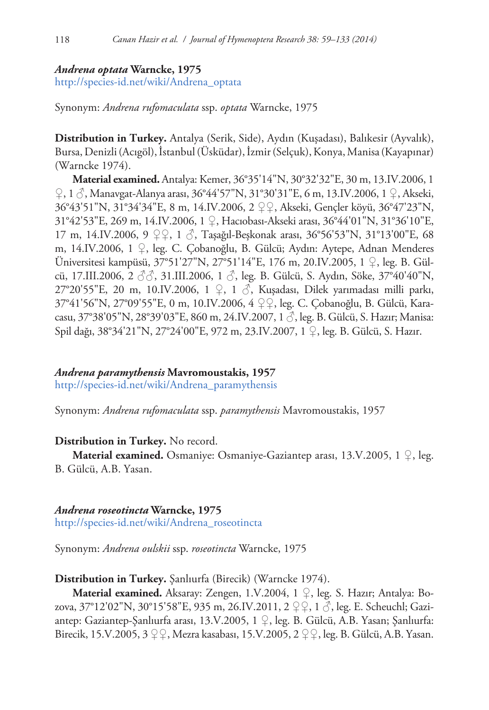## *Andrena optata* **Warncke, 1975**

[http://species-id.net/wiki/Andrena\\_optata](http://species-id.net/wiki/Andrena_optata)

Synonym: *Andrena rufomaculata* ssp. *optata* Warncke, 1975

**Distribution in Turkey.** Antalya (Serik, Side), Aydın (Kuşadası), Balıkesir (Ayvalık), Bursa, Denizli (Acıgöl), İstanbul (Üsküdar), İzmir (Selçuk), Konya, Manisa (Kayapınar) (Warncke 1974).

**Material examined.** Antalya: Kemer, 36°35'14"N, 30°32'32"E, 30 m, 13.IV.2006, 1 ♀, 1 ♂, Manavgat-Alanya arası, 36°44'57"N, 31°30'31"E, 6 m, 13.IV.2006, 1 ♀, Akseki, 36°43'51"N, 31°34'34"E, 8 m, 14.IV.2006, 2 ♀♀, Akseki, Gençler köyü, 36°47'23"N, 31°42'53"E, 269 m, 14.IV.2006, 1 ♀, Hacıobası-Akseki arası, 36°44'01"N, 31°36'10"E, 17 m, 14.IV.2006, 9 ♀♀, 1 ♂, Taşağıl-Beşkonak arası, 36°56'53"N, 31°13'00"E, 68 m, 14.IV.2006, 1 ♀, leg. C. Çobanoğlu, B. Gülcü; Aydın: Aytepe, Adnan Menderes Üniversitesi kampüsü, 37°51'27"N, 27°51'14"E, 176 m, 20.IV.2005, 1 ♀, leg. B. Gülcü, 17.III.2006, 2 ♂♂, 31.III.2006, 1 ♂, leg. B. Gülcü, S. Aydın, Söke, 37°40'40"N, 27°20'55"E, 20 m, 10.IV.2006, 1 ♀, 1 ♂, Kuşadası, Dilek yarımadası milli parkı, 37°41'56"N, 27°09'55"E, 0 m, 10.IV.2006, 4 ♀♀, leg. C. Çobanoğlu, B. Gülcü, Karacasu, 37°38'05"N, 28°39'03"E, 860 m, 24.IV.2007, 1 ♂, leg. B. Gülcü, S. Hazır; Manisa: Spil dağı, 38°34'21"N, 27°24'00"E, 972 m, 23.IV.2007, 1 ♀, leg. B. Gülcü, S. Hazır.

## *Andrena paramythensis* **Mavromoustakis, 1957**

[http://species-id.net/wiki/Andrena\\_paramythensis](http://species-id.net/wiki/Andrena_paramythensis)

Synonym: *Andrena rufomaculata* ssp. *paramythensis* Mavromoustakis, 1957

## **Distribution in Turkey.** No record.

**Material examined.** Osmaniye: Osmaniye-Gaziantep arası, 13.V.2005, 1  $\mathcal{Q}$ , leg. B. Gülcü, A.B. Yasan.

## *Andrena roseotincta* **Warncke, 1975**

[http://species-id.net/wiki/Andrena\\_roseotincta](http://species-id.net/wiki/Andrena_roseotincta)

Synonym: *Andrena oulskii* ssp. *roseotincta* Warncke, 1975

## **Distribution in Turkey.** Şanlıurfa (Birecik) (Warncke 1974).

**Material examined.** Aksaray: Zengen, 1.V.2004, 1 ♀, leg. S. Hazır; Antalya: Bozova, 37°12'02"N, 30°15'58"E, 935 m, 26.IV.2011, 2 ♀♀, 1 ♂, leg. E. Scheuchl; Gaziantep: Gaziantep-Şanlıurfa arası, 13.V.2005, 1 ♀, leg. B. Gülcü, A.B. Yasan; Şanlıurfa: Birecik, 15.V.2005, 3 ♀♀, Mezra kasabası, 15.V.2005, 2 ♀♀, leg. B. Gülcü, A.B. Yasan.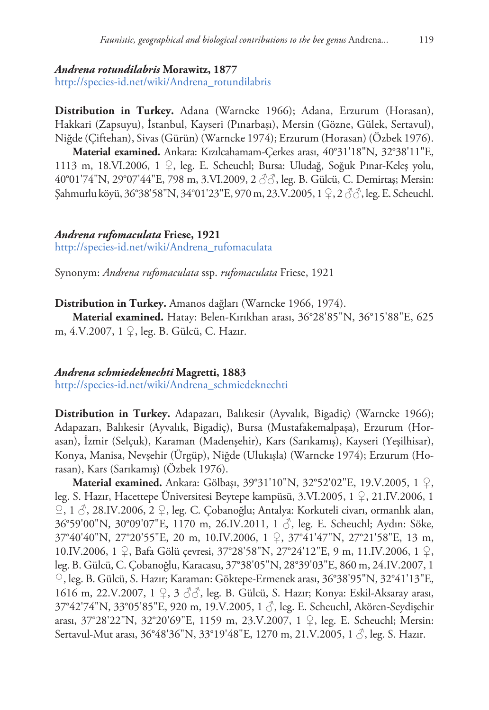#### *Andrena rotundilabris* **Morawitz, 1877**

[http://species-id.net/wiki/Andrena\\_rotundilabris](http://species-id.net/wiki/Andrena_rotundilabris)

**Distribution in Turkey.** Adana (Warncke 1966); Adana, Erzurum (Horasan), Hakkari (Zapsuyu), İstanbul, Kayseri (Pınarbaşı), Mersin (Gözne, Gülek, Sertavul), Niğde (Çiftehan), Sivas (Gürün) (Warncke 1974); Erzurum (Horasan) (Özbek 1976).

**Material examined.** Ankara: Kızılcahamam-Çerkes arası, 40°31'18"N, 32°38'11"E, 1113 m, 18.VI.2006, 1 ♀, leg. E. Scheuchl; Bursa: Uludağ, Soğuk Pınar-Keleş yolu, 40°01'74"N, 29°07'44"E, 798 m, 3.VI.2009, 2 ♂♂, leg. B. Gülcü, C. Demirtaş; Mersin: Şahmurlu köyü, 36°38'58"N, 34°01'23"E, 970 m, 23.V.2005, 1 ♀, 2 ♂♂, leg. E. Scheuchl.

## *Andrena rufomaculata* **Friese, 1921**

[http://species-id.net/wiki/Andrena\\_rufomaculata](http://species-id.net/wiki/Andrena_rufomaculata)

Synonym: *Andrena rufomaculata* ssp. *rufomaculata* Friese, 1921

**Distribution in Turkey.** Amanos dağları (Warncke 1966, 1974). **Material examined.** Hatay: Belen-Kırıkhan arası, 36°28'85"N, 36°15'88"E, 625

m, 4.V.2007, 1 ♀, leg. B. Gülcü, C. Hazır.

## *Andrena schmiedeknechti* **Magretti, 1883**

[http://species-id.net/wiki/Andrena\\_schmiedeknechti](http://species-id.net/wiki/Andrena_schmiedeknechti)

**Distribution in Turkey.** Adapazarı, Balıkesir (Ayvalık, Bigadiç) (Warncke 1966); Adapazarı, Balıkesir (Ayvalık, Bigadiç), Bursa (Mustafakemalpaşa), Erzurum (Horasan), İzmir (Selçuk), Karaman (Madenşehir), Kars (Sarıkamış), Kayseri (Yeşilhisar), Konya, Manisa, Nevşehir (Ürgüp), Niğde (Ulukışla) (Warncke 1974); Erzurum (Horasan), Kars (Sarıkamış) (Özbek 1976).

**Material examined.** Ankara: Gölbaşı, 39°31'10"N, 32°52'02"E, 19.V.2005, 1 ♀, leg. S. Hazır, Hacettepe Üniversitesi Beytepe kampüsü, 3.VI.2005, 1 ♀, 21.IV.2006, 1 ♀, 1 ♂, 28.IV.2006, 2 ♀, leg. C. Çobanoğlu; Antalya: Korkuteli civarı, ormanlık alan, 36°59'00"N, 30°09'07"E, 1170 m, 26.IV.2011, 1 ♂, leg. E. Scheuchl; Aydın: Söke, 37°40'40"N, 27°20'55"E, 20 m, 10.IV.2006, 1 ♀, 37°41'47"N, 27°21'58"E, 13 m, 10.IV.2006, 1 ♀, Bafa Gölü çevresi, 37°28'58"N, 27°24'12"E, 9 m, 11.IV.2006, 1 ♀, leg. B. Gülcü, C. Çobanoğlu, Karacasu, 37°38'05"N, 28°39'03"E, 860 m, 24.IV.2007, 1 ♀, leg. B. Gülcü, S. Hazır; Karaman: Göktepe-Ermenek arası, 36°38'95"N, 32°41'13"E, 1616 m, 22.V.2007, 1 ♀, 3 ♂♂, leg. B. Gülcü, S. Hazır; Konya: Eskil-Aksaray arası, 37°42'74"N, 33°05'85"E, 920 m, 19.V.2005, 1 ♂, leg. E. Scheuchl, Akören-Seydişehir arası, 37°28'22"N, 32°20'69"E, 1159 m, 23.V.2007, 1 ♀, leg. E. Scheuchl; Mersin: Sertavul-Mut arası, 36°48'36"N, 33°19'48"E, 1270 m, 21.V.2005, 1 √, leg. S. Hazır.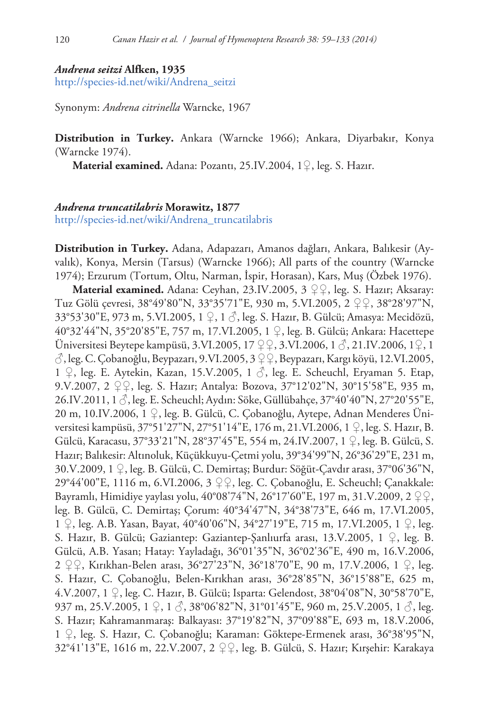#### *Andrena seitzi* **Alfken, 1935**

[http://species-id.net/wiki/Andrena\\_seitzi](http://species-id.net/wiki/Andrena_seitzi)

Synonym: *Andrena citrinella* Warncke, 1967

**Distribution in Turkey.** Ankara (Warncke 1966); Ankara, Diyarbakır, Konya (Warncke 1974).

**Material examined.** Adana: Pozantı, 25.IV.2004, 1♀, leg. S. Hazır.

# *Andrena truncatilabris* **Morawitz, 1877** [http://species-id.net/wiki/Andrena\\_truncatilabris](http://species-id.net/wiki/Andrena_truncatilabris)

**Distribution in Turkey.** Adana, Adapazarı, Amanos dağları, Ankara, Balıkesir (Ayvalık), Konya, Mersin (Tarsus) (Warncke 1966); All parts of the country (Warncke 1974); Erzurum (Tortum, Oltu, Narman, İspir, Horasan), Kars, Muş (Özbek 1976).

**Material examined.** Adana: Ceyhan, 23.IV.2005, 3 ♀♀, leg. S. Hazır; Aksaray: Tuz Gölü çevresi, 38°49'80"N, 33°35'71"E, 930 m, 5.VI.2005, 2 ♀♀, 38°28'97"N, 33°53'30"E, 973 m, 5.VI.2005, 1 ♀, 1 ♂, leg. S. Hazır, B. Gülcü; Amasya: Mecidözü, 40°32'44"N, 35°20'85"E, 757 m, 17.VI.2005, 1 ♀, leg. B. Gülcü; Ankara: Hacettepe Üniversitesi Beytepe kampüsü, 3.VI.2005, 17 ♀♀, 3.VI.2006, 1 ♂, 21.IV.2006, 1♀, 1  $\Diamond$ , leg. C. Çobanoğlu, Beypazarı, 9.VI.2005, 3  $\Diamond \Diamond$ , Beypazarı, Kargı köyü, 12.VI.2005, 1  $\varphi$ , leg. E. Aytekin, Kazan, 15.V.2005, 1  $\circ$ , leg. E. Scheuchl, Eryaman 5. Etap, 9.V.2007, 2 ♀♀, leg. S. Hazır; Antalya: Bozova, 37°12'02"N, 30°15'58"E, 935 m, 26.IV.2011, 1 ♂, leg. E. Scheuchl; Aydın: Söke, Güllübahçe, 37°40'40"N, 27°20'55"E, 20 m, 10.IV.2006, 1 ♀, leg. B. Gülcü, C. Çobanoğlu, Aytepe, Adnan Menderes Üniversitesi kampüsü, 37°51'27"N, 27°51'14"E, 176 m, 21.VI.2006, 1 ♀, leg. S. Hazır, B. Gülcü, Karacasu, 37°33'21"N, 28°37'45"E, 554 m, 24.IV.2007, 1 ♀, leg. B. Gülcü, S. Hazır; Balıkesir: Altınoluk, Küçükkuyu-Çetmi yolu, 39°34'99"N, 26°36'29"E, 231 m, 30.V.2009, 1 ♀, leg. B. Gülcü, C. Demirtaş; Burdur: Söğüt-Çavdır arası, 37°06'36"N, 29°44'00"E, 1116 m, 6.VI.2006, 3 ♀♀, leg. C. Çobanoğlu, E. Scheuchl; Çanakkale: Bayramlı, Himidiye yaylası yolu, 40°08'74"N, 26°17'60"E, 197 m, 31.V.2009, 2 ♀♀, leg. B. Gülcü, C. Demirtaş; Çorum: 40°34'47"N, 34°38'73"E, 646 m, 17.VI.2005, 1 ♀, leg. A.B. Yasan, Bayat, 40°40'06"N, 34°27'19"E, 715 m, 17.VI.2005, 1 ♀, leg. S. Hazır, B. Gülcü; Gaziantep: Gaziantep-Şanlıurfa arası, 13.V.2005, 1 ♀, leg. B. Gülcü, A.B. Yasan; Hatay: Yayladağı, 36°01'35"N, 36°02'36"E, 490 m, 16.V.2006, 2 ♀♀, Kırıkhan-Belen arası, 36°27'23"N, 36°18'70"E, 90 m, 17.V.2006, 1 ♀, leg. S. Hazır, C. Çobanoğlu, Belen-Kırıkhan arası, 36°28'85"N, 36°15'88"E, 625 m, 4.V.2007, 1 ♀, leg. C. Hazır, B. Gülcü; Isparta: Gelendost, 38°04'08"N, 30°58'70"E, 937 m, 25.V.2005, 1  $\varphi$ , 1  $\varphi$ , 38°06'82"N, 31°01'45"E, 960 m, 25.V.2005, 1  $\varphi$ , leg. S. Hazır; Kahramanmaraş: Balkayası: 37°19'82"N, 37°09'88"E, 693 m, 18.V.2006, 1 ♀, leg. S. Hazır, C. Çobanoğlu; Karaman: Göktepe-Ermenek arası, 36°38'95"N, 32°41'13"E, 1616 m, 22.V.2007, 2 ♀♀, leg. B. Gülcü, S. Hazır; Kırşehir: Karakaya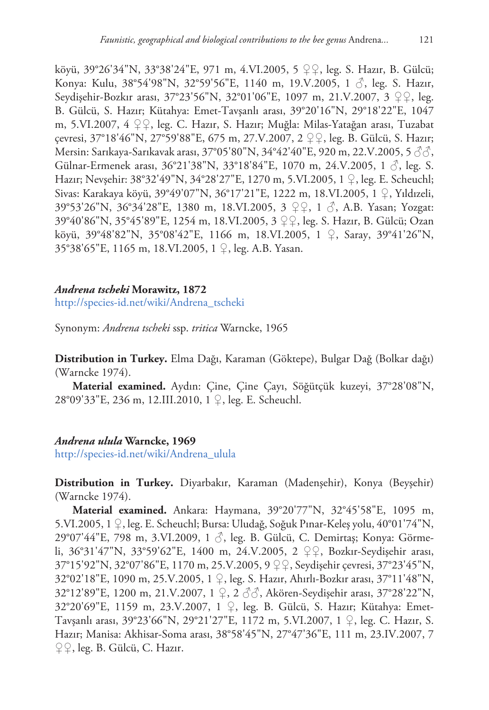köyü, 39°26'34"N, 33°38'24"E, 971 m, 4.VI.2005, 5 ♀♀, leg. S. Hazır, B. Gülcü; Konya: Kulu, 38°54'98"N, 32°59'56"E, 1140 m, 19.V.2005, 1  $\circ$ , leg. S. Hazır, Seydişehir-Bozkır arası, 37°23'56"N, 32°01'06"E, 1097 m, 21.V.2007, 3 ♀♀, leg. B. Gülcü, S. Hazır; Kütahya: Emet-Tavşanlı arası, 39°20'16"N, 29°18'22"E, 1047 m, 5.VI.2007, 4 ♀♀, leg. C. Hazır, S. Hazır; Muğla: Milas-Yatağan arası, Tuzabat çevresi, 37°18'46"N, 27°59'88"E, 675 m, 27.V.2007, 2 ♀♀, leg. B. Gülcü, S. Hazır; Mersin: Sarıkaya-Sarıkavak arası, 37°05'80"N, 34°42'40"E, 920 m, 22.V.2005, 5 ♂♂, Gülnar-Ermenek arası, 36°21'38"N, 33°18'84"E, 1070 m, 24.V.2005, 1 ♂, leg. S. Hazır; Nevşehir: 38°32'49"N, 34°28'27"E, 1270 m, 5.VI.2005, 1 ♀, leg. E. Scheuchl; Sivas: Karakaya köyü, 39°49'07"N, 36°17'21"E, 1222 m, 18.VI.2005, 1 ♀, Yıldızeli, 39°53'26"N, 36°34'28"E, 1380 m, 18.VI.2005, 3 ♀♀, 1 ♂, A.B. Yasan; Yozgat: 39°40'86"N, 35°45'89"E, 1254 m, 18.VI.2005, 3 ♀♀, leg. S. Hazır, B. Gülcü; Ozan köyü, 39°48'82"N, 35°08'42"E, 1166 m, 18.VI.2005, 1 ♀, Saray, 39°41'26"N, 35°38'65"E, 1165 m, 18.VI.2005, 1 ♀, leg. A.B. Yasan.

# *Andrena tscheki* **Morawitz, 1872**

[http://species-id.net/wiki/Andrena\\_tscheki](http://species-id.net/wiki/Andrena_tscheki)

Synonym: *Andrena tscheki* ssp. *tritica* Warncke, 1965

**Distribution in Turkey.** Elma Dağı, Karaman (Göktepe), Bulgar Dağ (Bolkar dağı) (Warncke 1974).

**Material examined.** Aydın: Çine, Çine Çayı, Söğütçük kuzeyi, 37°28'08"N, 28°09'33"E, 236 m, 12.III.2010, 1 ♀, leg. E. Scheuchl.

## *Andrena ulula* **Warncke, 1969**

[http://species-id.net/wiki/Andrena\\_ulula](http://species-id.net/wiki/Andrena_ulula)

**Distribution in Turkey.** Diyarbakır, Karaman (Madenşehir), Konya (Beyşehir) (Warncke 1974).

**Material examined.** Ankara: Haymana, 39°20'77"N, 32°45'58"E, 1095 m, 5.VI.2005, 1 ♀, leg. E. Scheuchl; Bursa: Uludağ, Soğuk Pınar-Keleş yolu, 40°01'74"N, 29°07'44"E, 798 m, 3.VI.2009, 1 ♂, leg. B. Gülcü, C. Demirtaş; Konya: Görmeli, 36°31'47"N, 33°59'62"E, 1400 m, 24.V.2005, 2 ♀♀, Bozkır-Seydişehir arası, 37°15'92"N, 32°07'86"E, 1170 m, 25.V.2005, 9 ♀♀, Seydişehir çevresi, 37°23'45"N, 32°02'18"E, 1090 m, 25.V.2005, 1 ♀, leg. S. Hazır, Ahırlı-Bozkır arası, 37°11'48"N, 32°12'89"E, 1200 m, 21.V.2007, 1 ♀, 2 ♂♂, Akören-Seydişehir arası, 37°28'22"N, 32°20'69"E, 1159 m, 23.V.2007, 1 ♀, leg. B. Gülcü, S. Hazır; Kütahya: Emet-Tavşanlı arası, 39°23'66"N, 29°21'27"E, 1172 m, 5.VI.2007, 1 ♀, leg. C. Hazır, S. Hazır; Manisa: Akhisar-Soma arası, 38°58'45"N, 27°47'36"E, 111 m, 23.IV.2007, 7 ♀♀, leg. B. Gülcü, C. Hazır.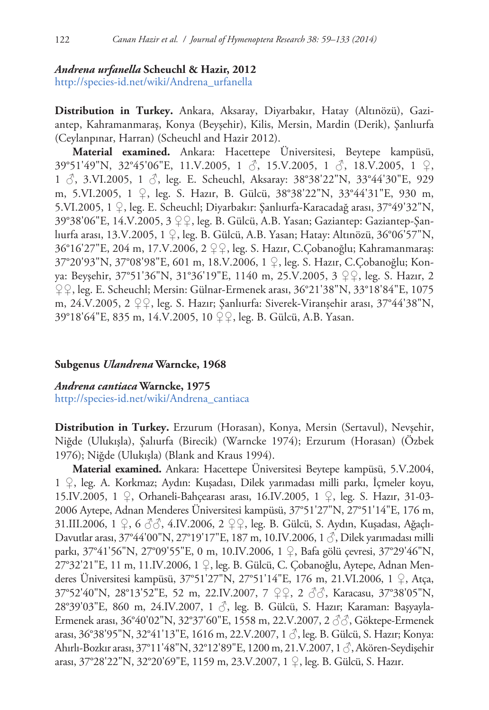# *Andrena urfanella* **Scheuchl & Hazir, 2012**

[http://species-id.net/wiki/Andrena\\_urfanella](http://species-id.net/wiki/Andrena_urfanella)

**Distribution in Turkey.** Ankara, Aksaray, Diyarbakır, Hatay (Altınözü), Gaziantep, Kahramanmaraş, Konya (Beyşehir), Kilis, Mersin, Mardin (Derik), Şanlıurfa (Ceylanpınar, Harran) (Scheuchl and Hazir 2012).

**Material examined.** Ankara: Hacettepe Üniversitesi, Beytepe kampüsü, 39°51'49"N, 32°45'06"E, 11.V.2005, 1 ♂, 15.V.2005, 1 ♂, 18.V.2005, 1 ♀, 1  $\circ$ , 3.VI.2005, 1  $\circ$ , leg. E. Scheuchl, Aksaray: 38°38'22"N, 33°44'30"E, 929 m, 5.VI.2005, 1 ♀, leg. S. Hazır, B. Gülcü, 38°38'22"N, 33°44'31"E, 930 m, 5.VI.2005, 1 ♀, leg. E. Scheuchl; Diyarbakır: Şanlıurfa-Karacadağ arası, 37°49'32"N, 39°38'06"E, 14.V.2005, 3 ♀♀, leg. B. Gülcü, A.B. Yasan; Gaziantep: Gaziantep-Şanlıurfa arası, 13.V.2005, 1 ♀, leg. B. Gülcü, A.B. Yasan; Hatay: Altınözü, 36°06'57"N, 36°16'27"E, 204 m, 17.V.2006, 2 ♀♀, leg. S. Hazır, C.Çobanoğlu; Kahramanmaraş: 37°20'93"N, 37°08'98"E, 601 m, 18.V.2006, 1 ♀, leg. S. Hazır, C.Çobanoğlu; Konya: Beyşehir, 37°51'36"N, 31°36'19"E, 1140 m, 25.V.2005, 3 ♀♀, leg. S. Hazır, 2 ♀♀, leg. E. Scheuchl; Mersin: Gülnar-Ermenek arası, 36°21'38"N, 33°18'84"E, 1075 m, 24.V.2005, 2  $\mathcal{Q}$ , leg. S. Hazır; Sanlıurfa: Siverek-Viranşehir arası, 37°44'38"N, 39°18'64"E, 835 m, 14.V.2005, 10 ♀♀, leg. B. Gülcü, A.B. Yasan.

# **Subgenus** *Ulandrena* **Warncke, 1968**

# *Andrena cantiaca* **Warncke, 1975**

[http://species-id.net/wiki/Andrena\\_cantiaca](http://species-id.net/wiki/Andrena_cantiaca)

**Distribution in Turkey.** Erzurum (Horasan), Konya, Mersin (Sertavul), Nevşehir, Niğde (Ulukışla), Şalıurfa (Birecik) (Warncke 1974); Erzurum (Horasan) (Özbek 1976); Niğde (Ulukışla) (Blank and Kraus 1994).

**Material examined.** Ankara: Hacettepe Üniversitesi Beytepe kampüsü, 5.V.2004, 1 ♀, leg. A. Korkmaz; Aydın: Kuşadası, Dilek yarımadası milli parkı, İçmeler koyu, 15.IV.2005, 1 ♀, Orhaneli-Bahçearası arası, 16.IV.2005, 1 ♀, leg. S. Hazır, 31-03- 2006 Aytepe, Adnan Menderes Üniversitesi kampüsü, 37°51'27"N, 27°51'14"E, 176 m, 31.III.2006, 1 ♀, 6 ♂♂, 4.IV.2006, 2 ♀♀, leg. B. Gülcü, S. Aydın, Kuşadası, Ağaçlı-Davutlar arası, 37°44'00"N, 27°19'17"E, 187 m, 10.IV.2006, 1 ♂, Dilek yarımadası milli parkı, 37°41'56"N, 27°09'55"E, 0 m, 10.IV.2006, 1 ♀, Bafa gölü çevresi, 37°29'46"N, 27°32'21"E, 11 m, 11.IV.2006, 1 ♀, leg. B. Gülcü, C. Çobanoğlu, Aytepe, Adnan Menderes Üniversitesi kampüsü, 37°51'27"N, 27°51'14"E, 176 m, 21.VI.2006, 1 ♀, Atça, 37°52'40"N, 28°13'52"E, 52 m, 22.IV.2007, 7 ♀♀, 2 ♂♂, Karacasu, 37°38'05"N, 28°39'03"E, 860 m, 24.IV.2007, 1 ♂, leg. B. Gülcü, S. Hazır; Karaman: Başyayla-Ermenek arası, 36°40'02"N, 32°37'60"E, 1558 m, 22.V.2007, 2 ♂♂, Göktepe-Ermenek arası, 36°38'95"N, 32°41'13"E, 1616 m, 22.V.2007, 1 ♂, leg. B. Gülcü, S. Hazır; Konya: Ahırlı-Bozkır arası, 37°11'48"N, 32°12'89"E, 1200 m, 21.V.2007, 1 ♂, Akören-Seydişehir arası, 37°28'22"N, 32°20'69"E, 1159 m, 23.V.2007, 1 ♀, leg. B. Gülcü, S. Hazır.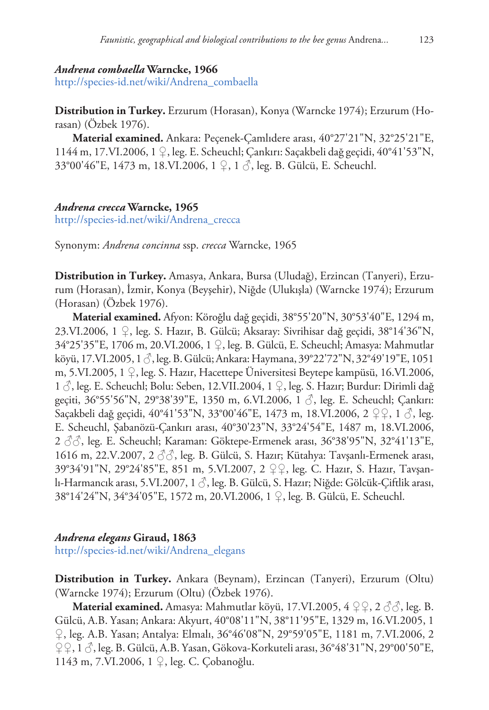#### *Andrena combaella* **Warncke, 1966**

[http://species-id.net/wiki/Andrena\\_combaella](http://species-id.net/wiki/Andrena_combaella)

**Distribution in Turkey.** Erzurum (Horasan), Konya (Warncke 1974); Erzurum (Horasan) (Özbek 1976).

**Material examined.** Ankara: Peçenek-Çamlıdere arası, 40°27'21"N, 32°25'21"E, 1144 m, 17.VI.2006, 1 ♀, leg. E. Scheuchl; Çankırı: Saçakbeli dağ geçidi, 40°41'53"N, 33°00'46"E, 1473 m, 18.VI.2006, 1 ♀, 1 ♂, leg. B. Gülcü, E. Scheuchl.

#### *Andrena crecca* **Warncke, 1965**

[http://species-id.net/wiki/Andrena\\_crecca](http://species-id.net/wiki/Andrena_crecca)

Synonym: *Andrena concinna* ssp. *crecca* Warncke, 1965

**Distribution in Turkey.** Amasya, Ankara, Bursa (Uludağ), Erzincan (Tanyeri), Erzurum (Horasan), İzmir, Konya (Beyşehir), Niğde (Ulukışla) (Warncke 1974); Erzurum (Horasan) (Özbek 1976).

**Material examined.** Afyon: Köroğlu dağ geçidi, 38°55'20"N, 30°53'40"E, 1294 m, 23.VI.2006, 1 ♀, leg. S. Hazır, B. Gülcü; Aksaray: Sivrihisar dağ geçidi, 38°14'36"N, 34°25'35"E, 1706 m, 20.VI.2006, 1 ♀, leg. B. Gülcü, E. Scheuchl; Amasya: Mahmutlar köyü, 17.VI.2005, 1 ♂, leg. B. Gülcü; Ankara: Haymana, 39°22'72"N, 32°49'19"E, 1051 m, 5.VI.2005, 1 ♀, leg. S. Hazır, Hacettepe Üniversitesi Beytepe kampüsü, 16.VI.2006, 1 ♂, leg. E. Scheuchl; Bolu: Seben, 12.VII.2004, 1 ♀, leg. S. Hazır; Burdur: Dirimli dağ geçiti, 36°55'56"N, 29°38'39"E, 1350 m, 6.VI.2006, 1 ♂, leg. E. Scheuchl; Çankırı: Saçakbeli dağ geçidi, 40°41'53"N, 33°00'46"E, 1473 m, 18.VI.2006, 2 ♀♀, 1 ♂, leg. E. Scheuchl, Şabanözü-Çankırı arası, 40°30'23"N, 33°24'54"E, 1487 m, 18.VI.2006, 2 ♂♂, leg. E. Scheuchl; Karaman: Göktepe-Ermenek arası, 36°38'95"N, 32°41'13"E, 1616 m, 22.V.2007, 2  $\Im$ , leg. B. Gülcü, S. Hazır; Kütahya: Tavşanlı-Ermenek arası, 39°34'91"N, 29°24'85"E, 851 m, 5.VI.2007, 2 ♀♀, leg. C. Hazır, S. Hazır, Tavşanlı-Harmancık arası, 5.VI.2007, 1 ♂, leg. B. Gülcü, S. Hazır; Niğde: Gölcük-Çiftlik arası, 38°14'24"N, 34°34'05"E, 1572 m, 20.VI.2006, 1 ♀, leg. B. Gülcü, E. Scheuchl.

#### *Andrena elegans* **Giraud, 1863**

[http://species-id.net/wiki/Andrena\\_elegans](http://species-id.net/wiki/Andrena_elegans)

**Distribution in Turkey.** Ankara (Beynam), Erzincan (Tanyeri), Erzurum (Oltu) (Warncke 1974); Erzurum (Oltu) (Özbek 1976).

**Material examined.** Amasya: Mahmutlar köyü, 17.VI.2005, 4 ♀♀, 2 ♂♂, leg. B. Gülcü, A.B. Yasan; Ankara: Akyurt, 40°08'11"N, 38°11'95"E, 1329 m, 16.VI.2005, 1 ♀, leg. A.B. Yasan; Antalya: Elmalı, 36°46'08"N, 29°59'05"E, 1181 m, 7.VI.2006, 2 ♀♀, 1 ♂, leg. B. Gülcü, A.B. Yasan, Gökova-Korkuteli arası, 36°48'31"N, 29°00'50"E, 1143 m, 7.VI.2006, 1 ♀, leg. C. Çobanoğlu.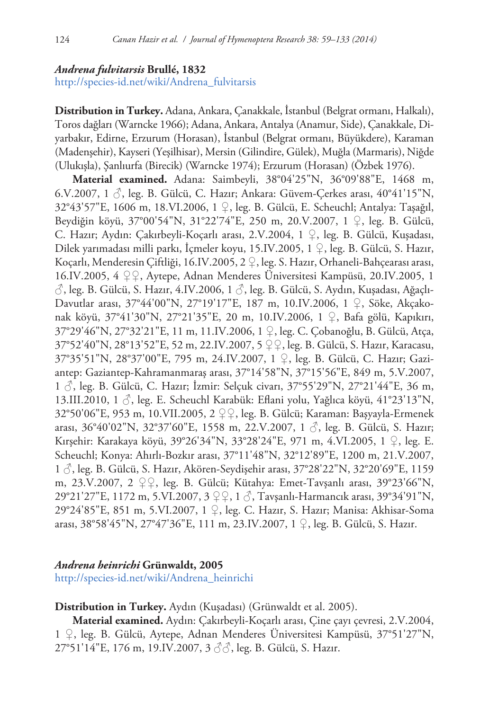#### *Andrena fulvitarsis* **Brullé, 1832**

[http://species-id.net/wiki/Andrena\\_fulvitarsis](http://species-id.net/wiki/Andrena_fulvitarsis)

**Distribution in Turkey.** Adana, Ankara, Çanakkale, İstanbul (Belgrat ormanı, Halkalı), Toros dağları (Warncke 1966); Adana, Ankara, Antalya (Anamur, Side), Çanakkale, Diyarbakır, Edirne, Erzurum (Horasan), İstanbul (Belgrat ormanı, Büyükdere), Karaman (Madenşehir), Kayseri (Yeşilhisar), Mersin (Gilindire, Gülek), Muğla (Marmaris), Niğde (Ulukışla), Şanlıurfa (Birecik) (Warncke 1974); Erzurum (Horasan) (Özbek 1976).

**Material examined.** Adana: Saimbeyli, 38°04'25"N, 36°09'88"E, 1468 m, 6.V.2007, 1 ♂, leg. B. Gülcü, C. Hazır; Ankara: Güvem-Çerkes arası, 40°41'15"N, 32°43'57"E, 1606 m, 18.VI.2006, 1 ♀, leg. B. Gülcü, E. Scheuchl; Antalya: Taşağıl, Beydiğin köyü, 37°00'54"N, 31°22'74"E, 250 m, 20.V.2007, 1 ♀, leg. B. Gülcü, C. Hazır; Aydın: Çakırbeyli-Koçarlı arası, 2.V.2004, 1 ♀, leg. B. Gülcü, Kuşadası, Dilek yarımadası milli parkı, İçmeler koyu, 15.IV.2005, 1 ♀, leg. B. Gülcü, S. Hazır, Koçarlı, Menderesin Çiftliği, 16.IV.2005, 2 ♀, leg. S. Hazır, Orhaneli-Bahçearası arası, 16.IV.2005, 4 ♀♀, Aytepe, Adnan Menderes Üniversitesi Kampüsü, 20.IV.2005, 1  $\Diamond$ , leg. B. Gülcü, S. Hazır, 4.IV.2006, 1 $\Diamond$ , leg. B. Gülcü, S. Aydın, Kuşadası, Ağaçlı-Davutlar arası, 37°44'00"N, 27°19'17"E, 187 m, 10.IV.2006, 1 ♀, Söke, Akçakonak köyü, 37°41'30"N, 27°21'35"E, 20 m, 10.IV.2006, 1 ♀, Bafa gölü, Kapıkırı, 37°29'46"N, 27°32'21"E, 11 m, 11.IV.2006, 1 ♀, leg. C. Çobanoğlu, B. Gülcü, Atça, 37°52'40"N, 28°13'52"E, 52 m, 22.IV.2007, 5 ♀♀, leg. B. Gülcü, S. Hazır, Karacasu, 37°35'51"N, 28°37'00"E, 795 m, 24.IV.2007, 1 ♀, leg. B. Gülcü, C. Hazır; Gaziantep: Gaziantep-Kahramanmaraş arası, 37°14'58"N, 37°15'56"E, 849 m, 5.V.2007, 1 ♂, leg. B. Gülcü, C. Hazır; İzmir: Selçuk civarı, 37°55'29"N, 27°21'44"E, 36 m, 13.III.2010, 1 ♂, leg. E. Scheuchl Karabük: Eflani yolu, Yağlıca köyü, 41°23'13"N, 32°50'06"E, 953 m, 10.VII.2005, 2 ♀♀, leg. B. Gülcü; Karaman: Başyayla-Ermenek arası, 36°40'02"N, 32°37'60"E, 1558 m, 22.V.2007, 1 $\Diamond$ , leg. B. Gülcü, S. Hazır; Kırşehir: Karakaya köyü, 39°26'34"N, 33°28'24"E, 971 m, 4.VI.2005, 1 ♀, leg. E. Scheuchl; Konya: Ahırlı-Bozkır arası, 37°11'48"N, 32°12'89"E, 1200 m, 21.V.2007, 1 ♂, leg. B. Gülcü, S. Hazır, Akören-Seydişehir arası, 37°28'22"N, 32°20'69"E, 1159 m, 23.V.2007, 2 ♀♀, leg. B. Gülcü; Kütahya: Emet-Tavşanlı arası, 39°23'66"N, 29°21'27"E, 1172 m, 5.VI.2007, 3 ♀♀, 1 ♂, Tavşanlı-Harmancık arası, 39°34'91"N, 29°24'85"E, 851 m, 5.VI.2007, 1 ♀, leg. C. Hazır, S. Hazır; Manisa: Akhisar-Soma arası, 38°58'45"N, 27°47'36"E, 111 m, 23.IV.2007, 1 ♀, leg. B. Gülcü, S. Hazır.

## *Andrena heinrichi* **Grünwaldt, 2005**

[http://species-id.net/wiki/Andrena\\_heinrichi](http://species-id.net/wiki/Andrena_heinrichi)

# **Distribution in Turkey.** Aydın (Kuşadası) (Grünwaldt et al. 2005).

**Material examined.** Aydın: Çakırbeyli-Koçarlı arası, Çine çayı çevresi, 2.V.2004, 1 ♀, leg. B. Gülcü, Aytepe, Adnan Menderes Üniversitesi Kampüsü, 37°51'27"N, 27°51'14"E, 176 m, 19.IV.2007, 3 ♂♂, leg. B. Gülcü, S. Hazır.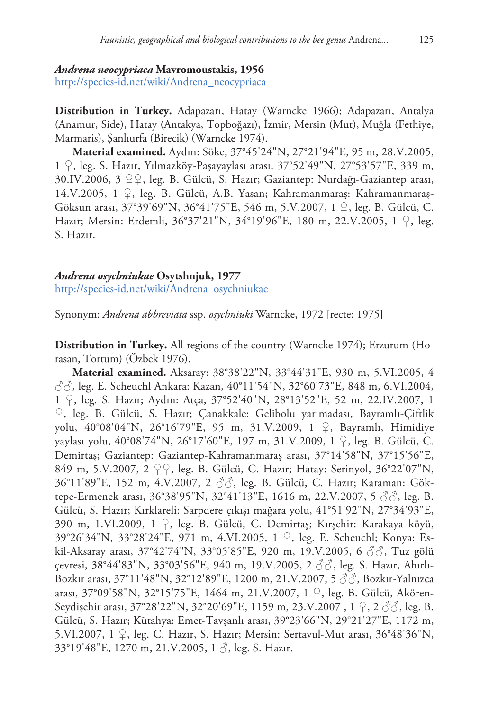#### *Andrena neocypriaca* **Mavromoustakis, 1956**

[http://species-id.net/wiki/Andrena\\_neocypriaca](http://species-id.net/wiki/Andrena_neocypriaca)

**Distribution in Turkey.** Adapazarı, Hatay (Warncke 1966); Adapazarı, Antalya (Anamur, Side), Hatay (Antakya, Topboğazı), İzmir, Mersin (Mut), Muğla (Fethiye, Marmaris), Şanlıurfa (Birecik) (Warncke 1974).

**Material examined.** Aydın: Söke, 37°45'24"N, 27°21'94"E, 95 m, 28.V.2005, 1 ♀, leg. S. Hazır, Yılmazköy-Paşayaylası arası, 37°52'49"N, 27°53'57"E, 339 m, 30.IV.2006, 3 ♀♀, leg. B. Gülcü, S. Hazır; Gaziantep: Nurdağı-Gaziantep arası, 14.V.2005, 1 ♀, leg. B. Gülcü, A.B. Yasan; Kahramanmaraş: Kahramanmaraş-Göksun arası, 37°39'69"N, 36°41'75"E, 546 m, 5.V.2007, 1 ♀, leg. B. Gülcü, C. Hazır; Mersin: Erdemli, 36°37'21"N, 34°19'96"E, 180 m, 22.V.2005, 1 ♀, leg. S. Hazır.

## *Andrena osychniukae* **Osytshnjuk, 1977**

[http://species-id.net/wiki/Andrena\\_osychniukae](http://species-id.net/wiki/Andrena_osychniukae)

Synonym: *Andrena abbreviata* ssp. *osychniuki* Warncke, 1972 [recte: 1975]

**Distribution in Turkey.** All regions of the country (Warncke 1974); Erzurum (Horasan, Tortum) (Özbek 1976).

**Material examined.** Aksaray: 38°38'22"N, 33°44'31"E, 930 m, 5.VI.2005, 4  $\Im$  $\Im$ , leg. E. Scheuchl Ankara: Kazan, 40°11'54"N, 32°60'73"E, 848 m, 6.VI.2004, 1 ♀, leg. S. Hazır; Aydın: Atça, 37°52'40"N, 28°13'52"E, 52 m, 22.IV.2007, 1 ♀, leg. B. Gülcü, S. Hazır; Çanakkale: Gelibolu yarımadası, Bayramlı-Çiftlik yolu, 40°08'04"N, 26°16'79"E, 95 m, 31.V.2009, 1 ♀, Bayramlı, Himidiye yaylası yolu, 40°08'74"N, 26°17'60"E, 197 m, 31.V.2009, 1 ♀, leg. B. Gülcü, C. Demirtaş; Gaziantep: Gaziantep-Kahramanmaraş arası, 37°14'58"N, 37°15'56"E, 849 m, 5.V.2007, 2 ♀♀, leg. B. Gülcü, C. Hazır; Hatay: Serinyol, 36°22'07"N, 36°11'89"E, 152 m, 4.V.2007, 2 ♂♂, leg. B. Gülcü, C. Hazır; Karaman: Göktepe-Ermenek arası, 36°38'95"N, 32°41'13"E, 1616 m, 22.V.2007, 5 ♂♂, leg. B. Gülcü, S. Hazır; Kırklareli: Sarpdere çıkışı mağara yolu, 41°51'92"N, 27°34'93"E, 390 m, 1.VI.2009, 1 ♀, leg. B. Gülcü, C. Demirtaş; Kırşehir: Karakaya köyü, 39°26'34"N, 33°28'24"E, 971 m, 4.VI.2005, 1 ♀, leg. E. Scheuchl; Konya: Eskil-Aksaray arası, 37°42'74"N, 33°05'85"E, 920 m, 19.V.2005, 6 ♂♂, Tuz gölü çevresi, 38°44'83"N, 33°03'56"E, 940 m, 19.V.2005, 2 ♂♂, leg. S. Hazır, Ahırlı-Bozkır arası, 37°11'48"N, 32°12'89"E, 1200 m, 21.V.2007, 5 ♂♂, Bozkır-Yalnızca arası, 37°09'58"N, 32°15'75"E, 1464 m, 21.V.2007, 1 ♀, leg. B. Gülcü, Akören-Seydişehir arası, 37°28'22"N, 32°20'69"E, 1159 m, 23.V.2007, 1 ♀, 2 ♂ , leg. B. Gülcü, S. Hazır; Kütahya: Emet-Tavşanlı arası, 39°23'66"N, 29°21'27"E, 1172 m, 5.VI.2007, 1 ♀, leg. C. Hazır, S. Hazır; Mersin: Sertavul-Mut arası, 36°48'36"N, 33°19'48"E, 1270 m, 21.V.2005, 1 ♂, leg. S. Hazır.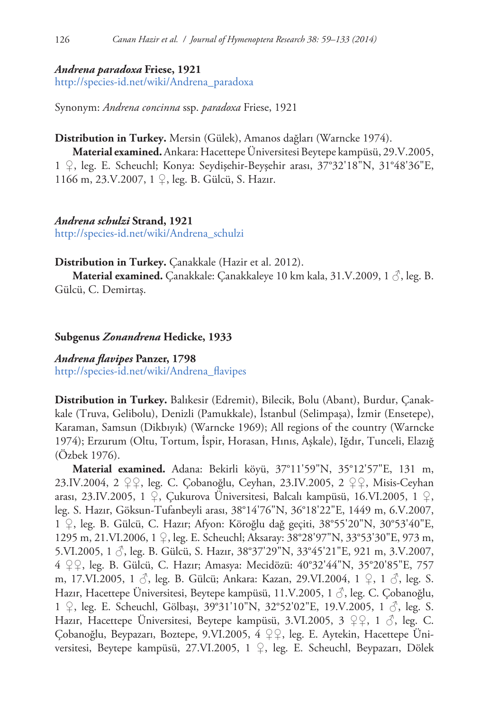## *Andrena paradoxa* **Friese, 1921**

[http://species-id.net/wiki/Andrena\\_paradoxa](http://species-id.net/wiki/Andrena_paradoxa)

Synonym: *Andrena concinna* ssp. *paradoxa* Friese, 1921

## **Distribution in Turkey.** Mersin (Gülek), Amanos dağları (Warncke 1974).

**Material examined.**Ankara: Hacettepe Üniversitesi Beytepe kampüsü, 29.V.2005, 1 ♀, leg. E. Scheuchl; Konya: Seydişehir-Beyşehir arası, 37°32'18"N, 31°48'36"E, 1166 m, 23.V.2007, 1 ♀, leg. B. Gülcü, S. Hazır.

# *Andrena schulzi* **Strand, 1921**

[http://species-id.net/wiki/Andrena\\_schulzi](http://species-id.net/wiki/Andrena_schulzi)

**Distribution in Turkey.** Çanakkale (Hazir et al. 2012).

**Material examined.** Çanakkale: Çanakkaleye 10 km kala, 31.V.2009, 1 ♂, leg. B. Gülcü, C. Demirtaş.

# **Subgenus** *Zonandrena* **Hedicke, 1933**

# *Andrena flavipes* **Panzer, 1798** [http://species-id.net/wiki/Andrena\\_flavipes](http://species-id.net/wiki/Andrena_flavipes)

**Distribution in Turkey.** Balıkesir (Edremit), Bilecik, Bolu (Abant), Burdur, Çanakkale (Truva, Gelibolu), Denizli (Pamukkale), İstanbul (Selimpaşa), İzmir (Ensetepe), Karaman, Samsun (Dikbıyık) (Warncke 1969); All regions of the country (Warncke 1974); Erzurum (Oltu, Tortum, İspir, Horasan, Hınıs, Aşkale), Iğdır, Tunceli, Elazığ (Özbek 1976).

**Material examined.** Adana: Bekirli köyü, 37°11'59"N, 35°12'57"E, 131 m, 23.IV.2004, 2 ♀♀, leg. C. Çobanoğlu, Ceyhan, 23.IV.2005, 2 ♀♀, Misis-Ceyhan arası, 23.IV.2005, 1 ♀, Çukurova Üniversitesi, Balcalı kampüsü, 16.VI.2005, 1 ♀, leg. S. Hazır, Göksun-Tufanbeyli arası, 38°14'76"N, 36°18'22"E, 1449 m, 6.V.2007, 1 ♀, leg. B. Gülcü, C. Hazır; Afyon: Köroğlu dağ geçiti, 38°55'20"N, 30°53'40"E, 1295 m, 21.VI.2006, 1 ♀, leg. E. Scheuchl; Aksaray: 38°28'97"N, 33°53'30"E, 973 m, 5.VI.2005, 1 ♂, leg. B. Gülcü, S. Hazır, 38°37'29"N, 33°45'21"E, 921 m, 3.V.2007, 4 ♀♀, leg. B. Gülcü, C. Hazır; Amasya: Mecidözü: 40°32'44"N, 35°20'85"E, 757 m, 17.VI.2005, 1 ♂, leg. B. Gülcü; Ankara: Kazan, 29.VI.2004, 1 ♀, 1 ♂, leg. S. Hazır, Hacettepe Üniversitesi, Beytepe kampüsü, 11.V.2005, 1 ♂, leg. C. Çobanoğlu, 1 ♀, leg. E. Scheuchl, Gölbaşı, 39°31'10"N, 32°52'02"E, 19.V.2005, 1 ♂, leg. S. Hazır, Hacettepe Üniversitesi, Beytepe kampüsü, 3.VI.2005, 3 ♀♀, 1 ♂, leg. C. Çobanoğlu, Beypazarı, Boztepe, 9.VI.2005, 4 ♀♀, leg. E. Aytekin, Hacettepe Üniversitesi, Beytepe kampüsü, 27.VI.2005, 1 ♀, leg. E. Scheuchl, Beypazarı, Dölek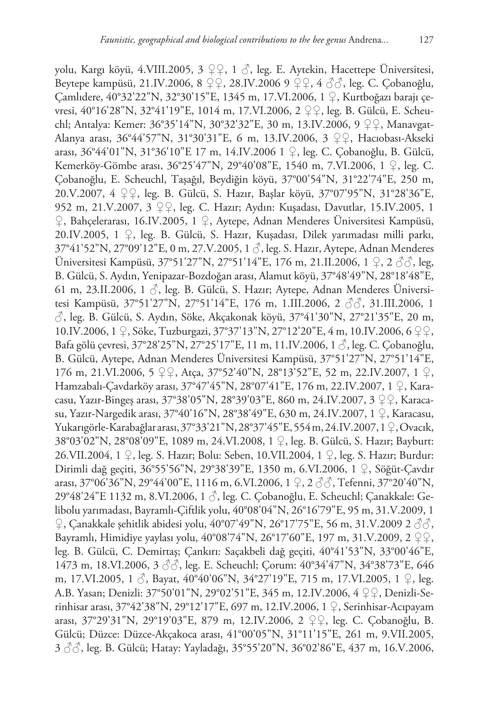yolu, Kargı köyü, 4.VIII.2005, 3  $\mathcal{Q} \mathcal{Q}$ , 1  $\mathcal{S}$ , leg. E. Aytekin, Hacettepe Üniversitesi, Beytepe kampüsü, 21.IV.2006, 8 ♀♀, 28.IV.2006 9 ♀♀, 4 ♂♂, leg. C. Çobanoğlu, Çamlıdere, 40°32'22"N, 32°30'15"E, 1345 m, 17.VI.2006, 1 ♀, Kurtboğazı barajı çevresi, 40°16'28"N, 32°41'19"E, 1014 m, 17.VI.2006, 2 ♀♀, leg. B. Gülcü, E. Scheuchl; Antalya: Kemer: 36°35'14"N, 30°32'32"E, 30 m, 13.IV.2006, 9 ♀♀, Manavgat-Alanya arası, 36°44'57"N, 31°30'31"E, 6 m, 13.IV.2006, 3 ♀♀, Hacıobası-Akseki arası, 36°44'01"N, 31°36'10"E 17 m, 14.IV.2006 1 ♀, leg. C. Çobanoğlu, B. Gülcü, Kemerköy-Gömbe arası, 36°25'47"N, 29°40'08"E, 1540 m, 7.VI.2006, 1 ♀, leg. C. Çobanoğlu, E. Scheuchl, Taşağıl, Beydiğin köyü, 37°00'54"N, 31°22'74"E, 250 m, 20.V.2007, 4 ♀♀, leg. B. Gülcü, S. Hazır, Başlar köyü, 37°07'95"N, 31°28'36"E, 952 m, 21.V.2007, 3 ♀♀, leg. C. Hazır; Aydın: Kuşadası, Davutlar, 15.IV.2005, 1 ♀, Bahçelerarası, 16.IV.2005, 1 ♀, Aytepe, Adnan Menderes Üniversitesi Kampüsü, 20.IV.2005, 1 ♀, leg. B. Gülcü, S. Hazır, Kuşadası, Dilek yarımadası milli parkı, 37°41'52"N, 27°09'12"E, 0 m, 27.V.2005, 1 ♂, leg. S. Hazır, Aytepe, Adnan Menderes Üniversitesi Kampüsü, 37°51'27"N, 27°51'14"E, 176 m, 21.II.2006, 1 ♀, 2 ♂♂, leg, B. Gülcü, S. Aydın, Yenipazar-Bozdoğan arası, Alamut köyü, 37°48'49"N, 28°18'48"E, 61 m, 23.II.2006, 1  $\mathcal{S}$ , leg. B. Gülcü, S. Hazır; Aytepe, Adnan Menderes Üniversitesi Kampüsü, 37°51'27"N, 27°51'14"E, 176 m, 1.III.2006, 2 ♂♂, 31.III.2006, 1 ♂, leg. B. Gülcü, S. Aydın, Söke, Akçakonak köyü, 37°41'30"N, 27°21'35"E, 20 m, 10.IV.2006, 1 ♀, Söke, Tuzburgazi, 37°37'13"N, 27°12'20"E, 4 m, 10.IV.2006, 6 ♀♀, Bafa gölü çevresi, 37°28'25"N, 27°25'17"E, 11 m, 11.IV.2006, 1 ♂, leg. C. Çobanoğlu, B. Gülcü, Aytepe, Adnan Menderes Üniversitesi Kampüsü, 37°51'27"N, 27°51'14"E, 176 m, 21.VI.2006, 5 ♀♀, Atça, 37°52'40"N, 28°13'52"E, 52 m, 22.IV.2007, 1 ♀, Hamzabalı-Çavdarköy arası, 37°47'45"N, 28°07'41"E, 176 m, 22.IV.2007, 1 ♀, Karacasu, Yazır-Bingeş arası, 37°38'05"N, 28°39'03"E, 860 m, 24.IV.2007, 3 ♀♀, Karacasu, Yazır-Nargedik arası, 37°40'16"N, 28°38'49"E, 630 m, 24.IV.2007, 1 ♀, Karacasu, Yukarıgörle-Karabağlar arası, 37°33'21"N, 28°37'45"E, 554 m, 24.IV.2007, 1 ♀, Ovacık, 38°03'02"N, 28°08'09"E, 1089 m, 24.VI.2008, 1 ♀, leg. B. Gülcü, S. Hazır; Bayburt: 26.VII.2004, 1 ♀, leg. S. Hazır; Bolu: Seben, 10.VII.2004, 1 ♀, leg. S. Hazır; Burdur: Dirimli dağ geçiti, 36°55'56"N, 29°38'39"E, 1350 m, 6.VI.2006, 1 ♀, Söğüt-Çavdır arası, 37°06'36"N, 29°44'00"E, 1116 m, 6.VI.2006, 1  $\varphi$ , 2  $\Im$   $\Im$ , Tefenni, 37°20'40"N, 29°48'24"E 1132 m, 8.VI.2006, 1 ♂, leg. C. Çobanoğlu, E. Scheuchl; Çanakkale: Gelibolu yarımadası, Bayramlı-Çiftlik yolu, 40°08'04"N, 26°16'79"E, 95 m, 31.V.2009, 1  $\varphi$ , Çanakkale şehitlik abidesi yolu, 40°07'49"N, 26°17'75"E, 56 m, 31.V.2009 2  $\Im \Im$ , Bayramlı, Himidiye yaylası yolu, 40°08'74"N, 26°17'60"E, 197 m, 31.V.2009, 2  $\mathcal{Q}$   $\mathcal{Q}$ , leg. B. Gülcü, C. Demirtaş; Çankırı: Saçakbeli dağ geçiti, 40°41'53"N, 33°00'46"E, 1473 m, 18.VI.2006, 3  $\Im$ , leg. E. Scheuchl; Corum: 40°34'47"N, 34°38'73"E, 646 m, 17.VI.2005, 1 ♂, Bayat, 40°40'06"N, 34°27'19"E, 715 m, 17.VI.2005, 1 ♀, leg. A.B. Yasan; Denizli: 37°50'01"N, 29°02'51"E, 345 m, 12.IV.2006, 4 ♀♀, Denizli-Serinhisar arası, 37°42'38"N, 29°12'17"E, 697 m, 12.IV.2006, 1 ♀, Serinhisar-Acıpayam arası, 37°29'31"N, 29°19'03"E, 879 m, 12.IV.2006, 2 ♀♀, leg. C. Çobanoğlu, B.

Gülcü; Düzce: Düzce-Akçakoca arası, 41°00'05"N, 31°11'15"E, 261 m, 9.VII.2005, 3 ♂♂, leg. B. Gülcü; Hatay: Yayladağı, 35°55'20"N, 36°02'86"E, 437 m, 16.V.2006,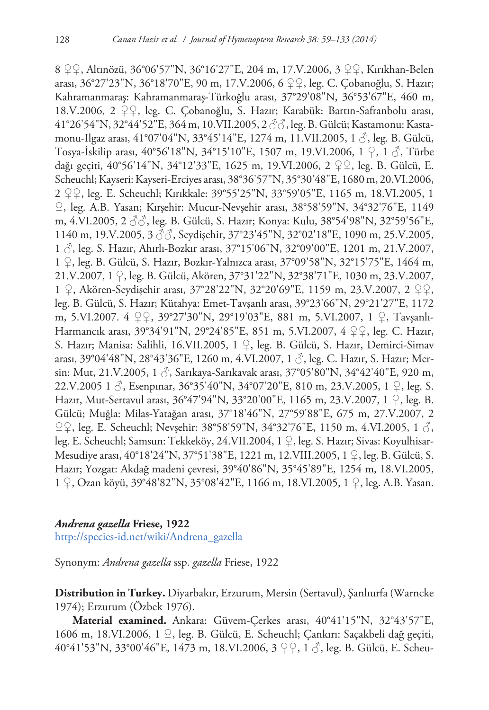8 ♀♀, Altınözü, 36°06'57"N, 36°16'27"E, 204 m, 17.V.2006, 3 ♀♀, Kırıkhan-Belen arası, 36°27'23"N, 36°18'70"E, 90 m, 17.V.2006, 6 ♀♀, leg. C. Çobanoğlu, S. Hazır; Kahramanmaraş: Kahramanmaraş-Türkoğlu arası, 37°29'08"N, 36°53'67"E, 460 m, 18.V.2006, 2 ♀♀, leg. C. Çobanoğlu, S. Hazır; Karabük: Bartın-Safranbolu arası, 41°26'54"N, 32°44'52"E, 364 m, 10.VII.2005, 2 ♂♂, leg. B. Gülcü; Kastamonu: Kastamonu-Ilgaz arası, 41°07'04"N, 33°45'14"E, 1274 m, 11.VII.2005, 1 $\beta$ , leg. B. Gülcü, Tosya-İskilip arası, 40°56'18"N, 34°15'10"E, 1507 m, 19.VI.2006, 1 ♀, 1 ♂, Türbe dağı geçiti, 40°56'14"N, 34°12'33"E, 1625 m, 19.VI.2006, 2 ♀♀, leg. B. Gülcü, E. Scheuchl; Kayseri: Kayseri-Erciyes arası, 38°36'57"N, 35°30'48"E, 1680 m, 20.VI.2006, 2 ♀♀, leg. E. Scheuchl; Kırıkkale: 39°55'25"N, 33°59'05"E, 1165 m, 18.VI.2005, 1 ♀, leg. A.B. Yasan; Kırşehir: Mucur-Nevşehir arası, 38°58'59"N, 34°32'76"E, 1149 m, 4.VI.2005, 2 ♂♂, leg. B. Gülcü, S. Hazır; Konya: Kulu, 38°54'98"N, 32°59'56"E, 1140 m, 19.V.2005, 3  $\Im$ , Seydişehir, 37°23'45"N, 32°02'18"E, 1090 m, 25.V.2005, 1 ♂, leg. S. Hazır, Ahırlı-Bozkır arası, 37°15'06"N, 32°09'00"E, 1201 m, 21.V.2007, 1 ♀, leg. B. Gülcü, S. Hazır, Bozkır-Yalnızca arası, 37°09'58"N, 32°15'75"E, 1464 m, 21.V.2007, 1 ♀, leg. B. Gülcü, Akören, 37°31'22"N, 32°38'71"E, 1030 m, 23.V.2007, 1 ♀, Akören-Seydişehir arası, 37°28'22"N, 32°20'69"E, 1159 m, 23.V.2007, 2 ♀♀, leg. B. Gülcü, S. Hazır; Kütahya: Emet-Tavşanlı arası, 39°23'66"N, 29°21'27"E, 1172 m, 5.VI.2007. 4 ♀♀, 39°27'30"N, 29°19'03"E, 881 m, 5.VI.2007, 1 ♀, Tavşanlı-Harmancık arası, 39°34'91"N, 29°24'85"E, 851 m, 5.VI.2007, 4 ♀♀, leg. C. Hazır, S. Hazır; Manisa: Salihli, 16.VII.2005, 1 ♀, leg. B. Gülcü, S. Hazır, Demirci-Simav arası, 39°04'48"N, 28°43'36"E, 1260 m, 4.VI.2007, 1 ♂, leg. C. Hazır, S. Hazır; Mersin: Mut, 21.V.2005, 1 ♂, Sarıkaya-Sarıkavak arası, 37°05'80"N, 34°42'40"E, 920 m, 22.V.2005 1  $\circ$ , Esenpinar, 36°35'40"N, 34°07'20"E, 810 m, 23.V.2005, 1  $\circ$ , leg. S. Hazır, Mut-Sertavul arası, 36°47'94"N, 33°20'00"E, 1165 m, 23.V.2007, 1 ♀, leg. B. Gülcü; Muğla: Milas-Yatağan arası, 37°18'46"N, 27°59'88"E, 675 m, 27.V.2007, 2  $\varphi$ , leg. E. Scheuchl; Nevşehir: 38°58'59"N, 34°32'76"E, 1150 m, 4.VI.2005, 1 $\beta$ , leg. E. Scheuchl; Samsun: Tekkeköy, 24.VII.2004, 1 ♀, leg. S. Hazır; Sivas: Koyulhisar-Mesudiye arası, 40°18'24"N, 37°51'38"E, 1221 m, 12.VIII.2005, 1 ♀, leg. B. Gülcü, S. Hazır; Yozgat: Akdağ madeni çevresi, 39°40'86"N, 35°45'89"E, 1254 m, 18.VI.2005, 1 ♀, Ozan köyü, 39°48'82"N, 35°08'42"E, 1166 m, 18.VI.2005, 1 ♀, leg. A.B. Yasan.

## *Andrena gazella* **Friese, 1922**

[http://species-id.net/wiki/Andrena\\_gazella](http://species-id.net/wiki/Andrena_gazella)

Synonym: *Andrena gazella* ssp. *gazella* Friese, 1922

**Distribution in Turkey.** Diyarbakır, Erzurum, Mersin (Sertavul), Şanlıurfa (Warncke 1974); Erzurum (Özbek 1976).

**Material examined.** Ankara: Güvem-Çerkes arası, 40°41'15"N, 32°43'57"E, 1606 m, 18.VI.2006, 1 ♀, leg. B. Gülcü, E. Scheuchl; Çankırı: Saçakbeli dağ geçiti, 40°41'53"N, 33°00'46"E, 1473 m, 18.VI.2006, 3 ♀♀, 1 ♂, leg. B. Gülcü, E. Scheu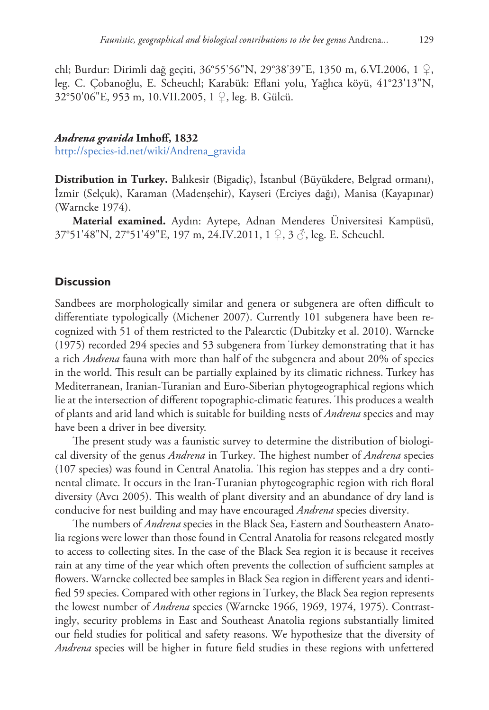chl; Burdur: Dirimli dağ geçiti, 36°55'56"N, 29°38'39"E, 1350 m, 6.VI.2006, 1 ♀, leg. C. Çobanoğlu, E. Scheuchl; Karabük: Eflani yolu, Yağlıca köyü, 41°23'13"N, 32°50'06"E, 953 m, 10.VII.2005, 1 ♀, leg. B. Gülcü.

# *Andrena gravida* **Imhoff, 1832** [http://species-id.net/wiki/Andrena\\_gravida](http://species-id.net/wiki/Andrena_gravida)

**Distribution in Turkey.** Balıkesir (Bigadiç), İstanbul (Büyükdere, Belgrad ormanı), İzmir (Selçuk), Karaman (Madenşehir), Kayseri (Erciyes dağı), Manisa (Kayapınar) (Warncke 1974).

**Material examined.** Aydın: Aytepe, Adnan Menderes Üniversitesi Kampüsü, 37°51'48"N, 27°51'49"E, 197 m, 24.IV.2011, 1 ♀, 3 ♂, leg. E. Scheuchl.

# **Discussion**

Sandbees are morphologically similar and genera or subgenera are often difficult to differentiate typologically (Michener 2007). Currently 101 subgenera have been recognized with 51 of them restricted to the Palearctic (Dubitzky et al. 2010). Warncke (1975) recorded 294 species and 53 subgenera from Turkey demonstrating that it has a rich *Andrena* fauna with more than half of the subgenera and about 20% of species in the world. This result can be partially explained by its climatic richness. Turkey has Mediterranean, Iranian-Turanian and Euro-Siberian phytogeographical regions which lie at the intersection of different topographic-climatic features. This produces a wealth of plants and arid land which is suitable for building nests of *Andrena* species and may have been a driver in bee diversity.

The present study was a faunistic survey to determine the distribution of biological diversity of the genus *Andrena* in Turkey. The highest number of *Andrena* species (107 species) was found in Central Anatolia. This region has steppes and a dry continental climate. It occurs in the Iran-Turanian phytogeographic region with rich floral diversity (Avcı 2005). This wealth of plant diversity and an abundance of dry land is conducive for nest building and may have encouraged *Andrena* species diversity.

The numbers of *Andrena* species in the Black Sea, Eastern and Southeastern Anatolia regions were lower than those found in Central Anatolia for reasons relegated mostly to access to collecting sites. In the case of the Black Sea region it is because it receives rain at any time of the year which often prevents the collection of sufficient samples at flowers. Warncke collected bee samples in Black Sea region in different years and identified 59 species. Compared with other regions in Turkey, the Black Sea region represents the lowest number of *Andrena* species (Warncke 1966, 1969, 1974, 1975). Contrastingly, security problems in East and Southeast Anatolia regions substantially limited our field studies for political and safety reasons. We hypothesize that the diversity of *Andrena* species will be higher in future field studies in these regions with unfettered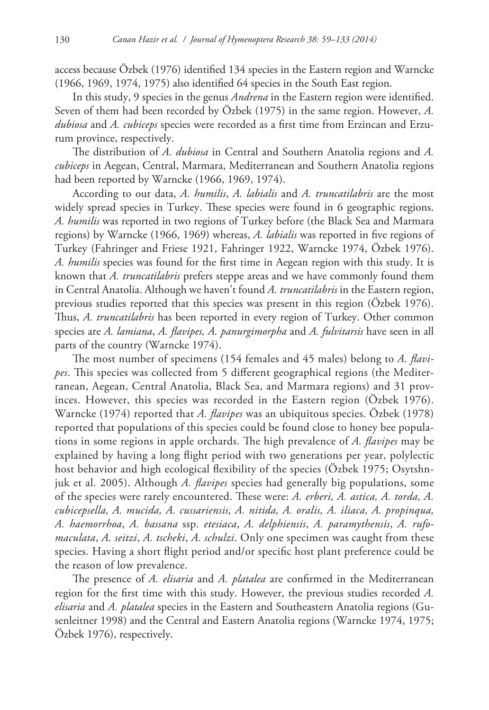access because Özbek (1976) identified 134 species in the Eastern region and Warncke (1966, 1969, 1974, 1975) also identified 64 species in the South East region.

In this study, 9 species in the genus *Andrena* in the Eastern region were identified. Seven of them had been recorded by Özbek (1975) in the same region. However, *A. dubiosa* and *A. cubiceps* species were recorded as a first time from Erzincan and Erzurum province, respectively.

The distribution of *A. dubiosa* in Central and Southern Anatolia regions and *A. cubiceps* in Aegean, Central, Marmara, Mediterranean and Southern Anatolia regions had been reported by Warncke (1966, 1969, 1974).

According to our data, *A. humilis*, *A. labialis* and *A. truncatilabris* are the most widely spread species in Turkey. These species were found in 6 geographic regions. *A. humilis* was reported in two regions of Turkey before (the Black Sea and Marmara regions) by Warncke (1966, 1969) whereas, *A. labialis* was reported in five regions of Turkey (Fahringer and Friese 1921, Fahringer 1922, Warncke 1974, Özbek 1976). *A. humilis* species was found for the first time in Aegean region with this study. It is known that *A. truncatilabris* prefers steppe areas and we have commonly found them in Central Anatolia. Although we haven't found *A. truncatilabris* in the Eastern region, previous studies reported that this species was present in this region (Özbek 1976). Thus, *A. truncatilabris* has been reported in every region of Turkey. Other common species are *A. lamiana*, *A. flavipes, A. panurgimorpha* and *A. fulvitarsis* have seen in all parts of the country (Warncke 1974).

The most number of specimens (154 females and 45 males) belong to *A. flavipes*. This species was collected from 5 different geographical regions (the Mediterranean, Aegean, Central Anatolia, Black Sea, and Marmara regions) and 31 provinces. However, this species was recorded in the Eastern region (Özbek 1976). Warncke (1974) reported that *A. flavipes* was an ubiquitous species. Özbek (1978) reported that populations of this species could be found close to honey bee populations in some regions in apple orchards. The high prevalence of *A. flavipes* may be explained by having a long flight period with two generations per year, polylectic host behavior and high ecological flexibility of the species (Özbek 1975; Osytshnjuk et al. 2005). Although *A. flavipes* species had generally big populations, some of the species were rarely encountered. These were: *A. erberi, A. astica, A. torda, A. cubicepsella, A. mucida, A. cussariensis, A. nitida, A. oralis, A. iliaca, A. propinqua, A. haemorrhoa*, *A. bassana* ssp. *etesiaca*, *A. delphiensis*, *A. paramythensis*, *A. rufomaculata*, *A. seitzi*, *A. tscheki*, *A. schulzi*. Only one specimen was caught from these species. Having a short flight period and/or specific host plant preference could be the reason of low prevalence.

The presence of *A. elisaria* and *A. platalea* are confirmed in the Mediterranean region for the first time with this study. However, the previous studies recorded *A. elisaria* and *A. platalea* species in the Eastern and Southeastern Anatolia regions (Gusenleitner 1998) and the Central and Eastern Anatolia regions (Warncke 1974, 1975; Özbek 1976), respectively.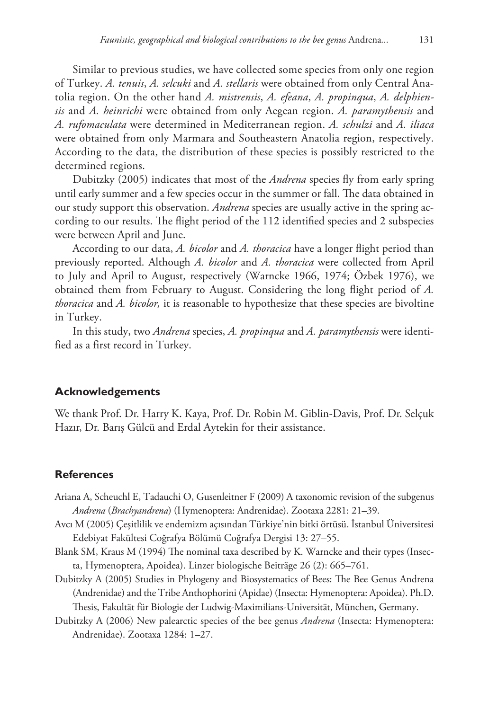Similar to previous studies, we have collected some species from only one region of Turkey. *A. tenuis*, *A. selcuki* and *A. stellaris* were obtained from only Central Anatolia region. On the other hand *A. mistrensis*, *A. efeana*, *A. propinqua*, *A. delphiensis* and *A. heinrichi* were obtained from only Aegean region. *A. paramythensis* and *A. rufomaculata* were determined in Mediterranean region. *A. schulzi* and *A. iliaca* were obtained from only Marmara and Southeastern Anatolia region, respectively. According to the data, the distribution of these species is possibly restricted to the determined regions.

Dubitzky (2005) indicates that most of the *Andrena* species fly from early spring until early summer and a few species occur in the summer or fall. The data obtained in our study support this observation. *Andrena* species are usually active in the spring according to our results. The flight period of the 112 identified species and 2 subspecies were between April and June.

According to our data, *A. bicolor* and *A. thoracica* have a longer flight period than previously reported. Although *A. bicolor* and *A. thoracica* were collected from April to July and April to August, respectively (Warncke 1966, 1974; Özbek 1976), we obtained them from February to August. Considering the long flight period of *A. thoracica* and *A. bicolor,* it is reasonable to hypothesize that these species are bivoltine in Turkey.

In this study, two *Andrena* species, *A. propinqua* and *A. paramythensis* were identified as a first record in Turkey.

## **Acknowledgements**

We thank Prof. Dr. Harry K. Kaya, Prof. Dr. Robin M. Giblin-Davis, Prof. Dr. Selçuk Hazır, Dr. Barış Gülcü and Erdal Aytekin for their assistance.

## **References**

- Ariana A, Scheuchl E, Tadauchi O, Gusenleitner F (2009) A taxonomic revision of the subgenus *Andrena* (*Brachyandrena*) (Hymenoptera: Andrenidae). Zootaxa 2281: 21–39.
- Avcı M (2005) Çeşitlilik ve endemizm açısından Türkiye'nin bitki örtüsü. İstanbul Üniversitesi Edebiyat Fakültesi Coğrafya Bölümü Coğrafya Dergisi 13: 27–55.
- Blank SM, Kraus M (1994) The nominal taxa described by K. Warncke and their types (Insecta, Hymenoptera, Apoidea). Linzer biologische Beiträge 26 (2): 665–761.
- Dubitzky A (2005) Studies in Phylogeny and Biosystematics of Bees: The Bee Genus Andrena (Andrenidae) and the Tribe Anthophorini (Apidae) (Insecta: Hymenoptera: Apoidea). Ph.D. Thesis, Fakultät für Biologie der Ludwig-Maximilians-Universität, München, Germany.
- Dubitzky A (2006) New palearctic species of the bee genus *Andrena* (Insecta: Hymenoptera: Andrenidae). Zootaxa 1284: 1–27.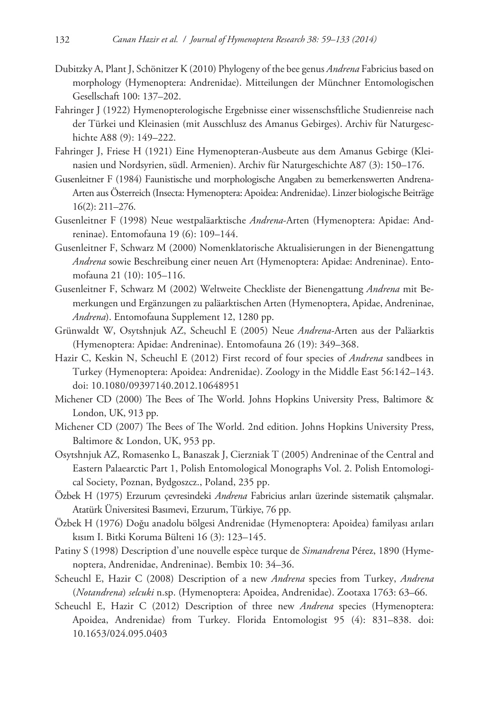- Dubitzky A, Plant J, Schönitzer K (2010) Phylogeny of the bee genus *Andrena* Fabricius based on morphology (Hymenoptera: Andrenidae). Mitteilungen der Münchner Entomologischen Gesellschaft 100: 137–202.
- Fahringer J (1922) Hymenopterologische Ergebnisse einer wissenschsftliche Studienreise nach der Türkei und Kleinasien (mit Ausschlusz des Amanus Gebirges). Archiv für Naturgeschichte A88 (9): 149–222.
- Fahringer J, Friese H (1921) Eine Hymenopteran-Ausbeute aus dem Amanus Gebirge (Kleinasien und Nordsyrien, südl. Armenien). Archiv für Naturgeschichte A87 (3): 150–176.
- Gusenleitner F (1984) Faunistische und morphologische Angaben zu bemerkenswerten Andrena-Arten aus Österreich (Insecta: Hymenoptera: Apoidea: Andrenidae). Linzer biologische Beiträge 16(2): 211–276.
- Gusenleitner F (1998) Neue westpaläarktische *Andrena*-Arten (Hymenoptera: Apidae: Andreninae). Entomofauna 19 (6): 109–144.
- Gusenleitner F, Schwarz M (2000) Nomenklatorische Aktualisierungen in der Bienengattung *Andrena* sowie Beschreibung einer neuen Art (Hymenoptera: Apidae: Andreninae). Entomofauna 21 (10): 105–116.
- Gusenleitner F, Schwarz M (2002) Weltweite Checkliste der Bienengattung *Andrena* mit Bemerkungen und Ergänzungen zu paläarktischen Arten (Hymenoptera, Apidae, Andreninae, *Andrena*). Entomofauna Supplement 12, 1280 pp.
- Grünwaldt W, Osytshnjuk AZ, Scheuchl E (2005) Neue *Andrena*-Arten aus der Paläarktis (Hymenoptera: Apidae: Andreninae). Entomofauna 26 (19): 349–368.
- Hazir C, Keskin N, Scheuchl E (2012) First record of four species of *Andrena* sandbees in Turkey (Hymenoptera: Apoidea: Andrenidae). Zoology in the Middle East 56:142–143. [doi: 10.1080/09397140.2012.10648951](http://dx.doi.org/10.1080/09397140.2012.10648951)
- Michener CD (2000) The Bees of The World. Johns Hopkins University Press, Baltimore & London, UK, 913 pp.
- Michener CD (2007) The Bees of The World. 2nd edition. Johns Hopkins University Press, Baltimore & London, UK, 953 pp.
- Osytshnjuk AZ, Romasenko L, Banaszak J, Cierzniak T (2005) Andreninae of the Central and Eastern Palaearctic Part 1, Polish Entomological Monographs Vol. 2. Polish Entomological Society, Poznan, Bydgoszcz., Poland, 235 pp.
- Özbek H (1975) Erzurum çevresindeki *Andrena* Fabricius arıları üzerinde sistematik çalışmalar. Atatürk Üniversitesi Basımevi, Erzurum, Türkiye, 76 pp.
- Özbek H (1976) Doğu anadolu bölgesi Andrenidae (Hymenoptera: Apoidea) familyası arıları kısım I. Bitki Koruma Bülteni 16 (3): 123–145.
- Patiny S (1998) Description d'une nouvelle espèce turque de *Simandrena* Pérez, 1890 (Hymenoptera, Andrenidae, Andreninae). Bembix 10: 34–36.
- Scheuchl E, Hazir C (2008) Description of a new *Andrena* species from Turkey, *Andrena*  (*Notandrena*) *selcuki* n.sp. (Hymenoptera: Apoidea, Andrenidae). Zootaxa 1763: 63–66.
- Scheuchl E, Hazir C (2012) Description of three new *Andrena* species (Hymenoptera: Apoidea, Andrenidae) from Turkey. Florida Entomologist 95 (4): 831–838. [doi:](http://dx.doi.org/10.1653/024.095.0403) [10.1653/024.095.0403](http://dx.doi.org/10.1653/024.095.0403)